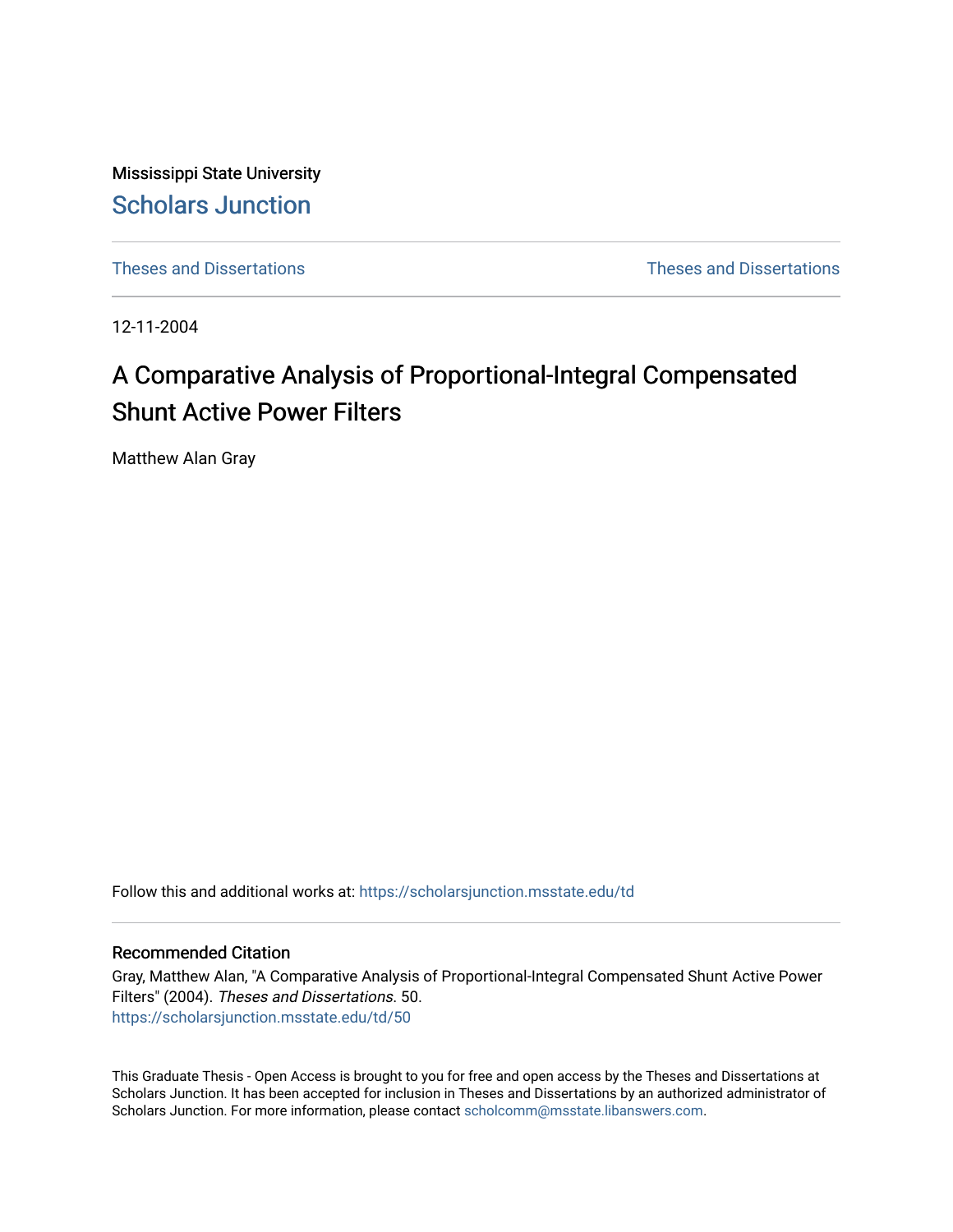Mississippi State University [Scholars Junction](https://scholarsjunction.msstate.edu/) 

[Theses and Dissertations](https://scholarsjunction.msstate.edu/td) [Theses and Dissertations](https://scholarsjunction.msstate.edu/theses-dissertations) 

12-11-2004

# A Comparative Analysis of Proportional-Integral Compensated Shunt Active Power Filters

Matthew Alan Gray

Follow this and additional works at: [https://scholarsjunction.msstate.edu/td](https://scholarsjunction.msstate.edu/td?utm_source=scholarsjunction.msstate.edu%2Ftd%2F50&utm_medium=PDF&utm_campaign=PDFCoverPages) 

### Recommended Citation

Gray, Matthew Alan, "A Comparative Analysis of Proportional-Integral Compensated Shunt Active Power Filters" (2004). Theses and Dissertations. 50. [https://scholarsjunction.msstate.edu/td/50](https://scholarsjunction.msstate.edu/td/50?utm_source=scholarsjunction.msstate.edu%2Ftd%2F50&utm_medium=PDF&utm_campaign=PDFCoverPages)

This Graduate Thesis - Open Access is brought to you for free and open access by the Theses and Dissertations at Scholars Junction. It has been accepted for inclusion in Theses and Dissertations by an authorized administrator of Scholars Junction. For more information, please contact [scholcomm@msstate.libanswers.com.](mailto:scholcomm@msstate.libanswers.com)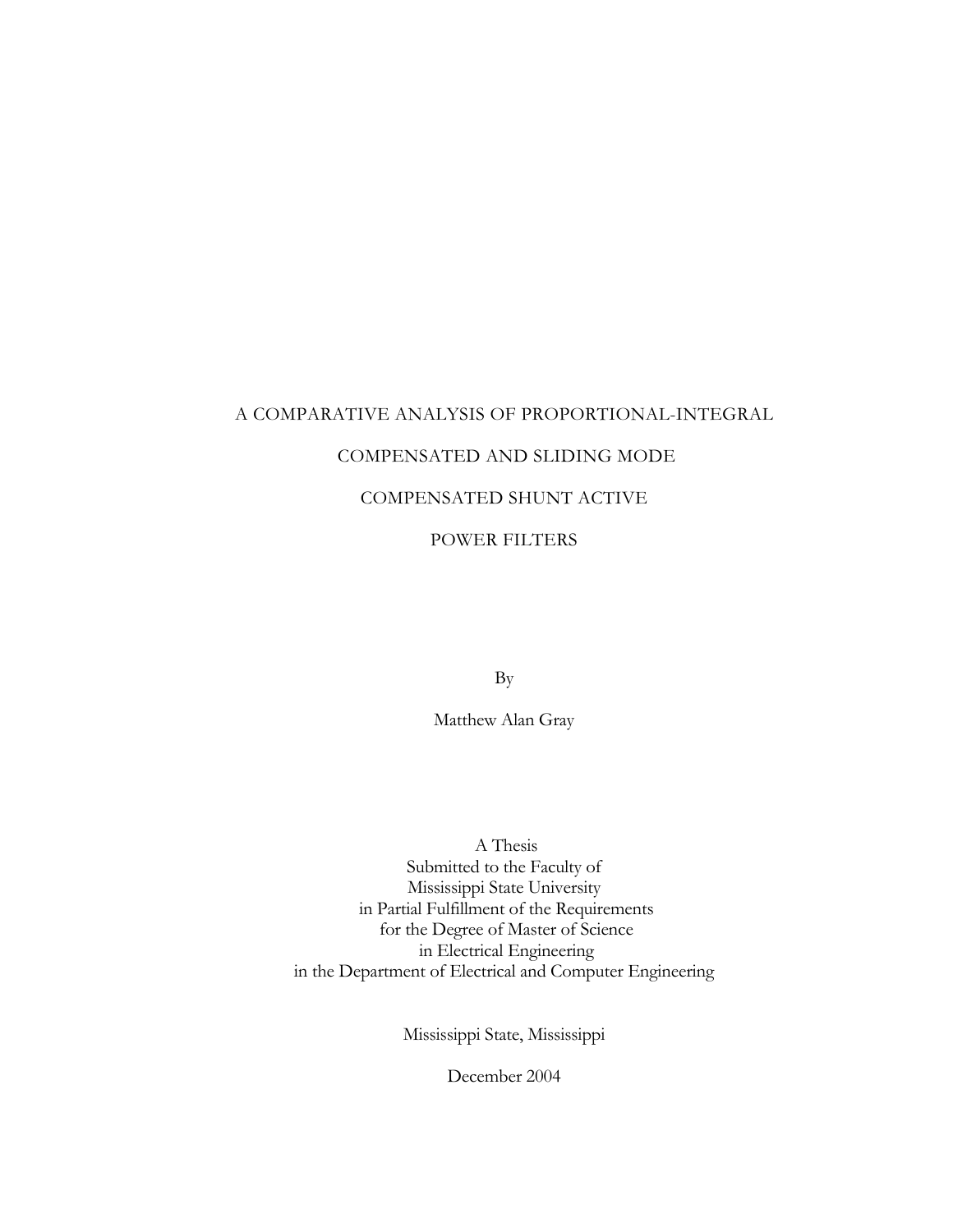### A COMPARATIVE ANALYSIS OF PROPORTIONAL-INTEGRAL

### COMPENSATED AND SLIDING MODE

### COMPENSATED SHUNT ACTIVE

### POWER FILTERS

By

Matthew Alan Gray

 A Thesis Submitted to the Faculty of Mississippi State University in Partial Fulfillment of the Requirements for the Degree of Master of Science in Electrical Engineering in the Department of Electrical and Computer Engineering

Mississippi State, Mississippi

December 2004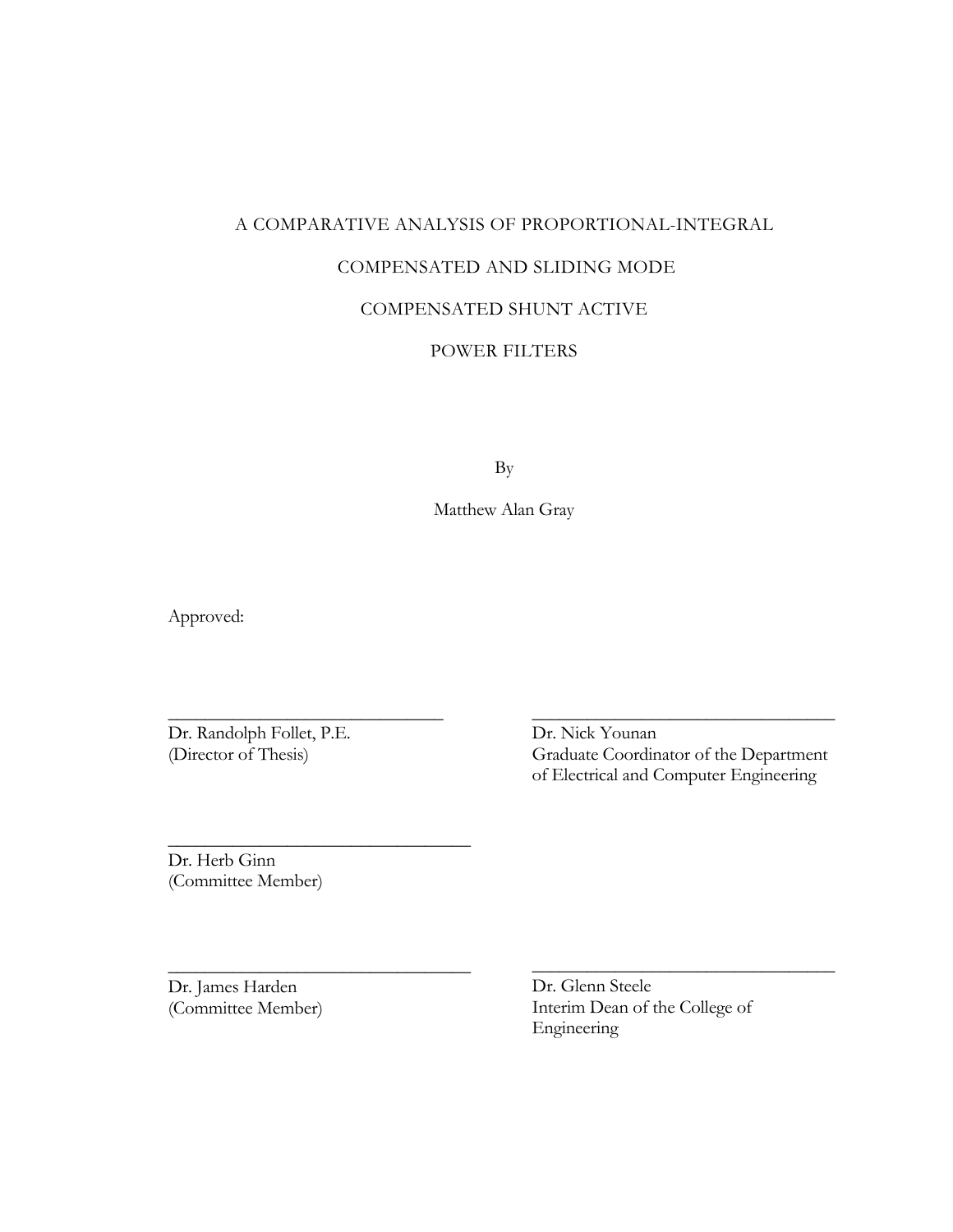### A COMPARATIVE ANALYSIS OF PROPORTIONAL-INTEGRAL

### COMPENSATED AND SLIDING MODE

### COMPENSATED SHUNT ACTIVE

### POWER FILTERS

By

Matthew Alan Gray

Approved:

Dr. Randolph Follet, P.E. (Director of Thesis)

\_\_\_\_\_\_\_\_\_\_\_\_\_\_\_\_\_\_\_\_\_\_\_\_\_\_\_\_\_\_

\_\_\_\_\_\_\_\_\_\_\_\_\_\_\_\_\_\_\_\_\_\_\_\_\_\_\_\_\_\_\_\_\_

\_\_\_\_\_\_\_\_\_\_\_\_\_\_\_\_\_\_\_\_\_\_\_\_\_\_\_\_\_\_\_\_\_

Dr. Nick Younan Graduate Coordinator of the Department of Electrical and Computer Engineering

\_\_\_\_\_\_\_\_\_\_\_\_\_\_\_\_\_\_\_\_\_\_\_\_\_\_\_\_\_\_\_\_\_

\_\_\_\_\_\_\_\_\_\_\_\_\_\_\_\_\_\_\_\_\_\_\_\_\_\_\_\_\_\_\_\_\_

Dr. Herb Ginn (Committee Member)

Dr. James Harden (Committee Member) Dr. Glenn Steele Interim Dean of the College of Engineering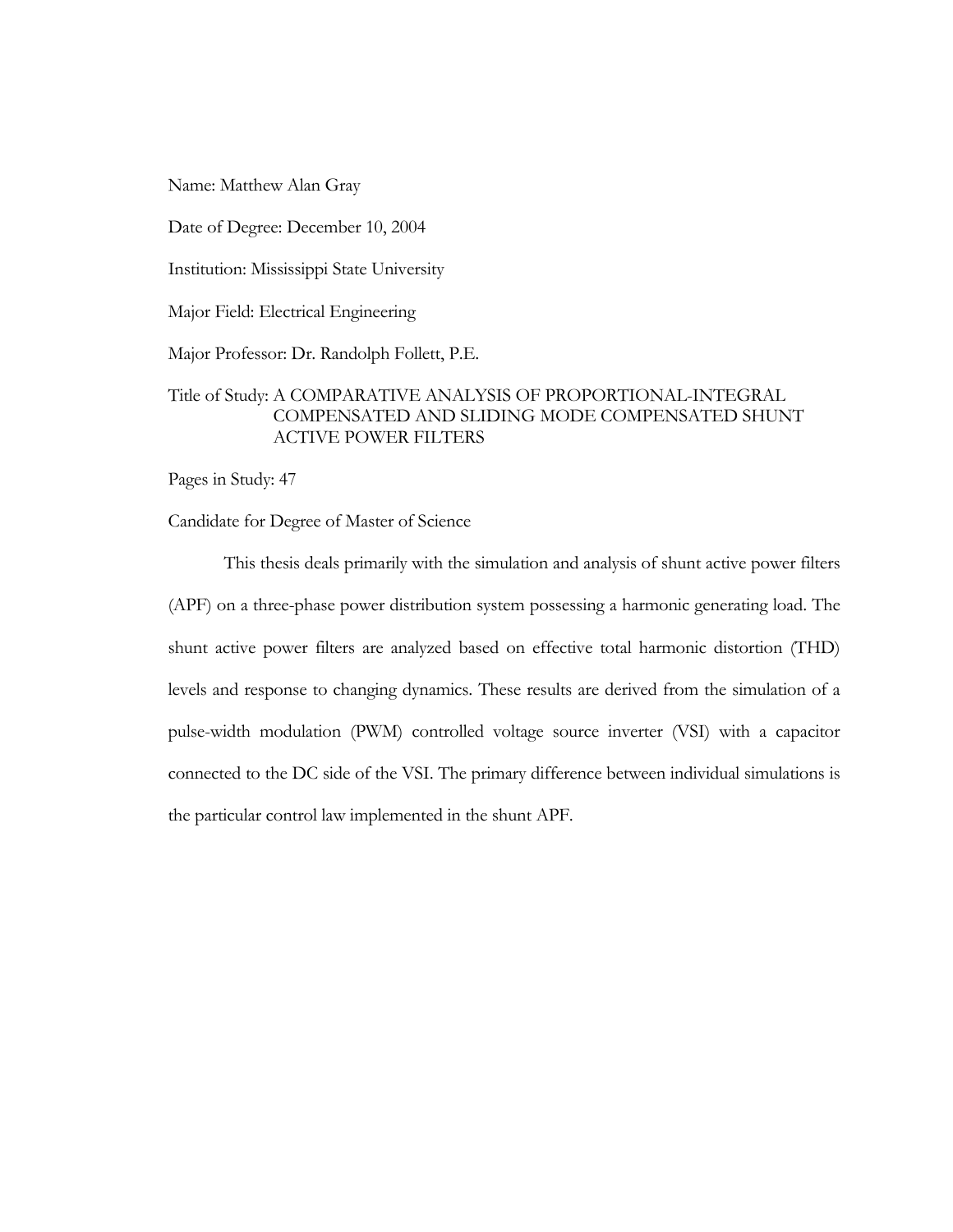Name: Matthew Alan Gray

Date of Degree: December 10, 2004

Institution: Mississippi State University

Major Field: Electrical Engineering

Major Professor: Dr. Randolph Follett, P.E.

### Title of Study: A COMPARATIVE ANALYSIS OF PROPORTIONAL-INTEGRAL COMPENSATED AND SLIDING MODE COMPENSATED SHUNT ACTIVE POWER FILTERS

Pages in Study: 47

Candidate for Degree of Master of Science

This thesis deals primarily with the simulation and analysis of shunt active power filters (APF) on a three-phase power distribution system possessing a harmonic generating load. The shunt active power filters are analyzed based on effective total harmonic distortion (THD) levels and response to changing dynamics. These results are derived from the simulation of a pulse-width modulation (PWM) controlled voltage source inverter (VSI) with a capacitor connected to the DC side of the VSI. The primary difference between individual simulations is the particular control law implemented in the shunt APF.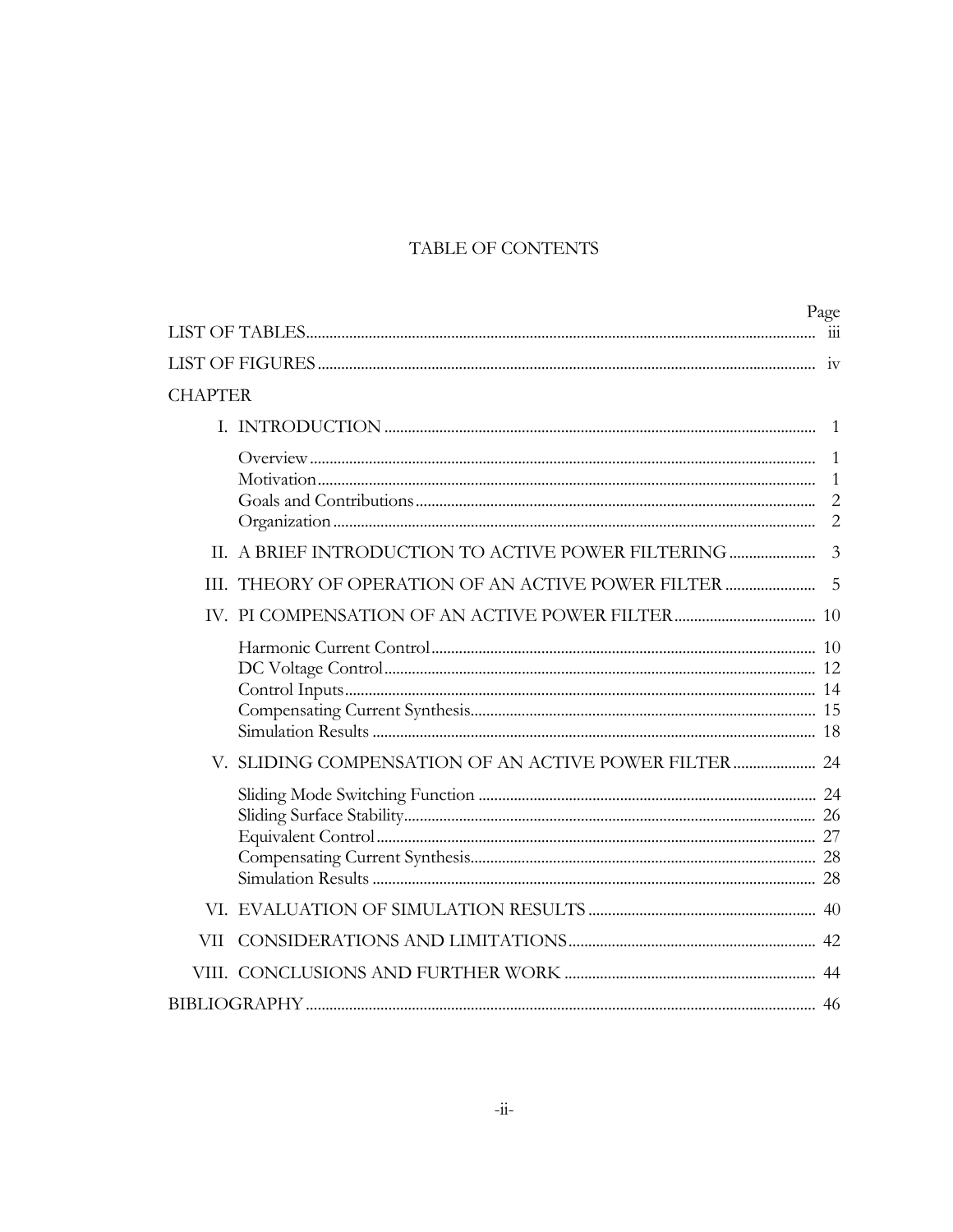### TABLE OF CONTENTS

|                |                                                      | Page                                                  |
|----------------|------------------------------------------------------|-------------------------------------------------------|
|                |                                                      |                                                       |
|                |                                                      |                                                       |
| <b>CHAPTER</b> |                                                      |                                                       |
|                |                                                      | -1                                                    |
|                |                                                      | $\mathbf{1}$<br>1<br>$\overline{2}$<br>$\overline{2}$ |
|                | II. A BRIEF INTRODUCTION TO ACTIVE POWER FILTERING   | $\overline{3}$                                        |
| Ш              |                                                      |                                                       |
|                |                                                      |                                                       |
|                |                                                      |                                                       |
|                | V. SLIDING COMPENSATION OF AN ACTIVE POWER FILTER 24 |                                                       |
|                |                                                      |                                                       |
|                |                                                      |                                                       |
| VН             |                                                      |                                                       |
|                |                                                      |                                                       |
|                |                                                      |                                                       |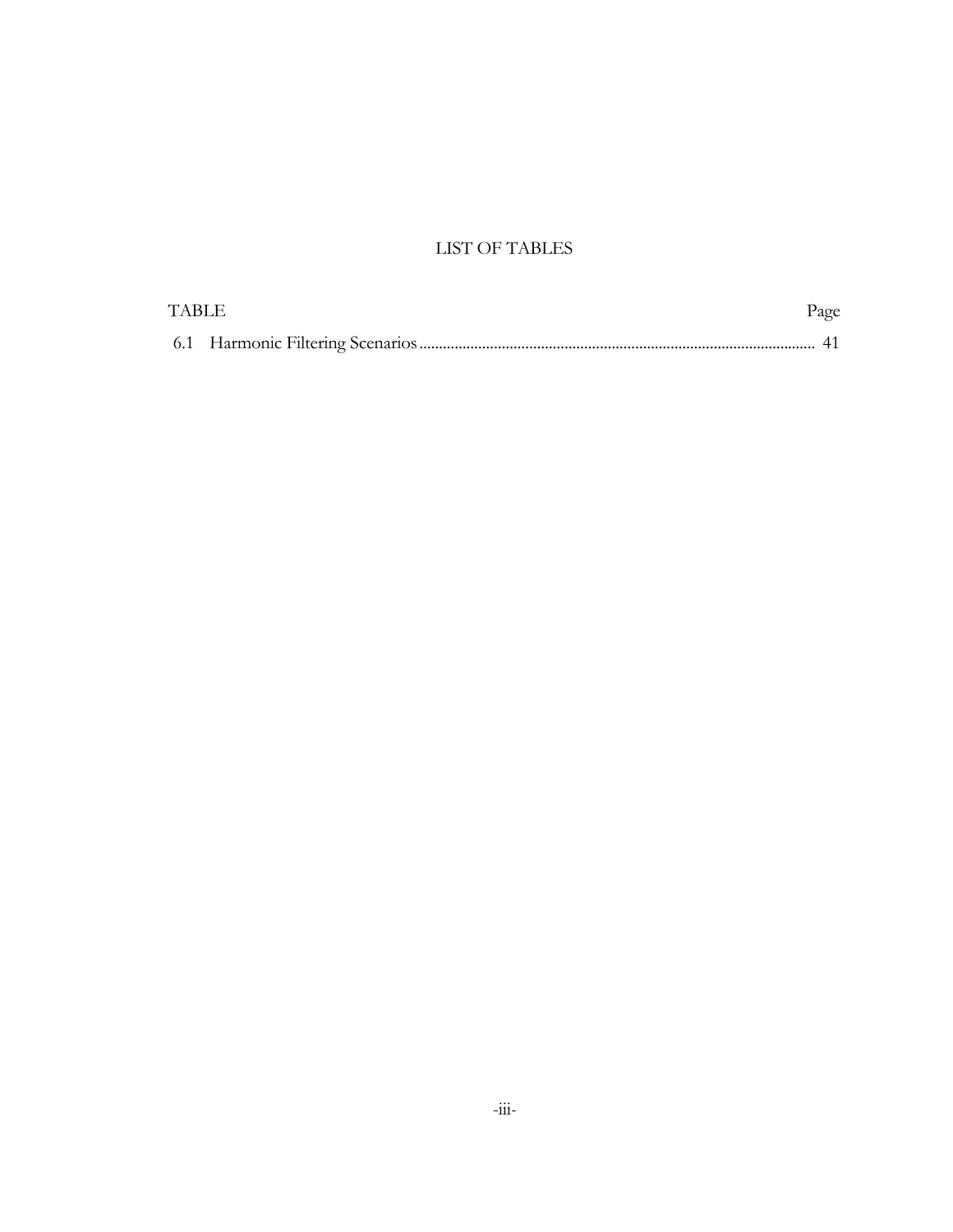### LIST OF TABLES

| <b>TABLE</b> | Page |
|--------------|------|
|              |      |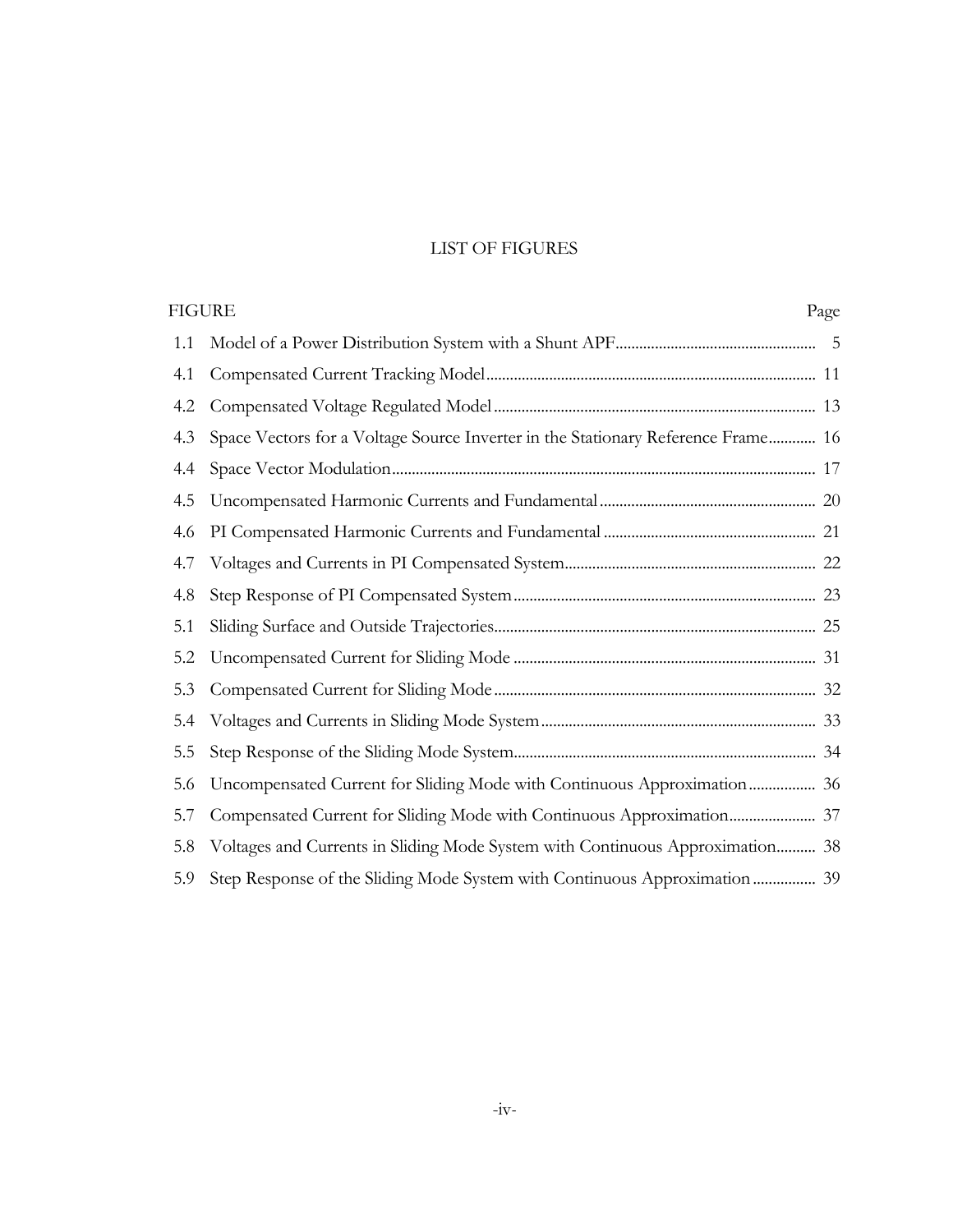### LIST OF FIGURES

|     | FIGURE<br>Page                                                                   |  |
|-----|----------------------------------------------------------------------------------|--|
| 1.1 |                                                                                  |  |
| 4.1 |                                                                                  |  |
| 4.2 |                                                                                  |  |
| 4.3 | Space Vectors for a Voltage Source Inverter in the Stationary Reference Frame 16 |  |
| 4.4 |                                                                                  |  |
| 4.5 |                                                                                  |  |
| 4.6 |                                                                                  |  |
| 4.7 |                                                                                  |  |
| 4.8 |                                                                                  |  |
| 5.1 |                                                                                  |  |
| 5.2 |                                                                                  |  |
| 5.3 |                                                                                  |  |
| 5.4 |                                                                                  |  |
| 5.5 |                                                                                  |  |
| 5.6 | Uncompensated Current for Sliding Mode with Continuous Approximation 36          |  |
| 5.7 |                                                                                  |  |
| 5.8 | Voltages and Currents in Sliding Mode System with Continuous Approximation 38    |  |
| 5.9 | Step Response of the Sliding Mode System with Continuous Approximation  39       |  |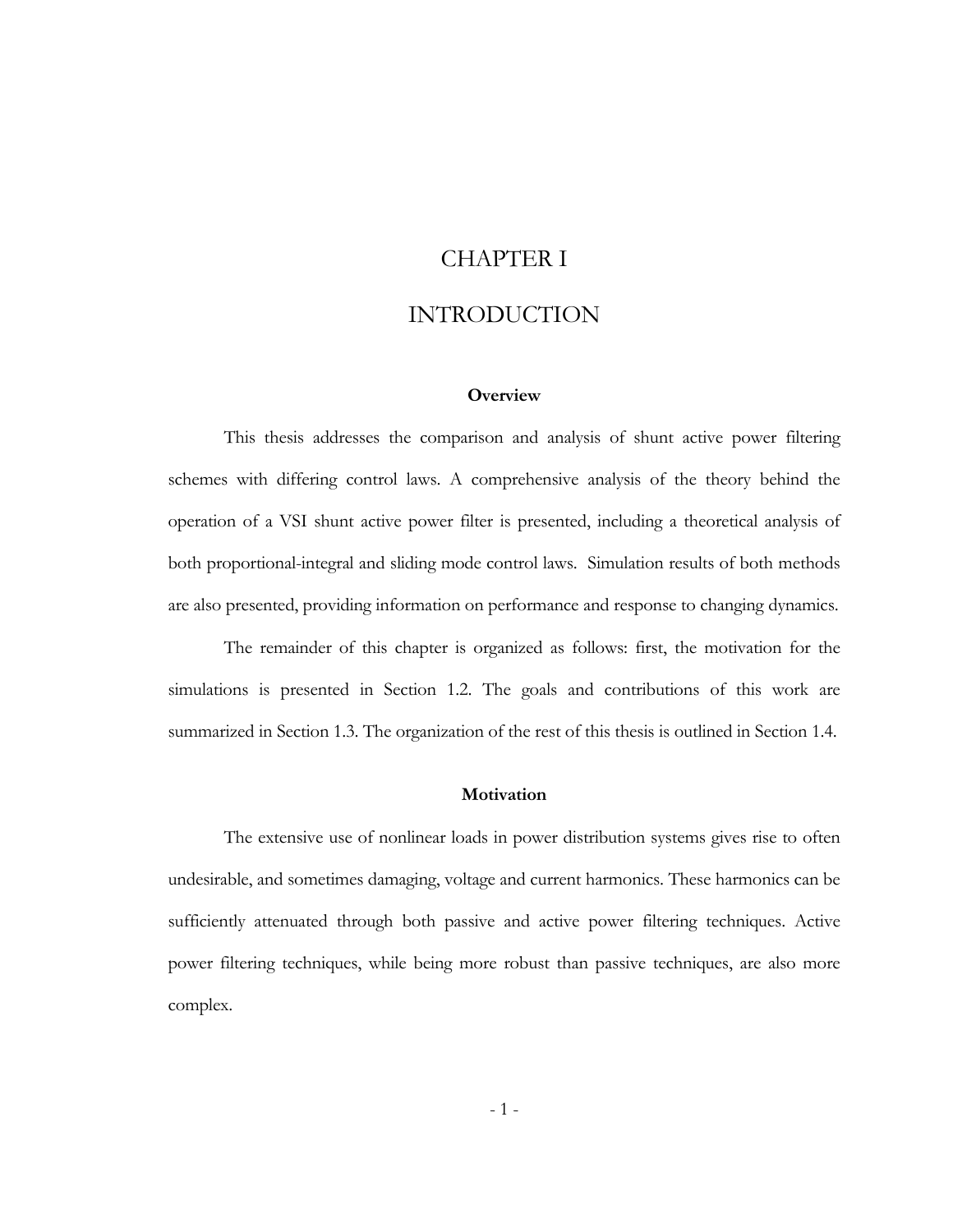# CHAPTER I

# INTRODUCTION

### **Overview**

This thesis addresses the comparison and analysis of shunt active power filtering schemes with differing control laws. A comprehensive analysis of the theory behind the operation of a VSI shunt active power filter is presented, including a theoretical analysis of both proportional-integral and sliding mode control laws. Simulation results of both methods are also presented, providing information on performance and response to changing dynamics.

The remainder of this chapter is organized as follows: first, the motivation for the simulations is presented in Section 1.2. The goals and contributions of this work are summarized in Section 1.3. The organization of the rest of this thesis is outlined in Section 1.4.

### **Motivation**

The extensive use of nonlinear loads in power distribution systems gives rise to often undesirable, and sometimes damaging, voltage and current harmonics. These harmonics can be sufficiently attenuated through both passive and active power filtering techniques. Active power filtering techniques, while being more robust than passive techniques, are also more complex.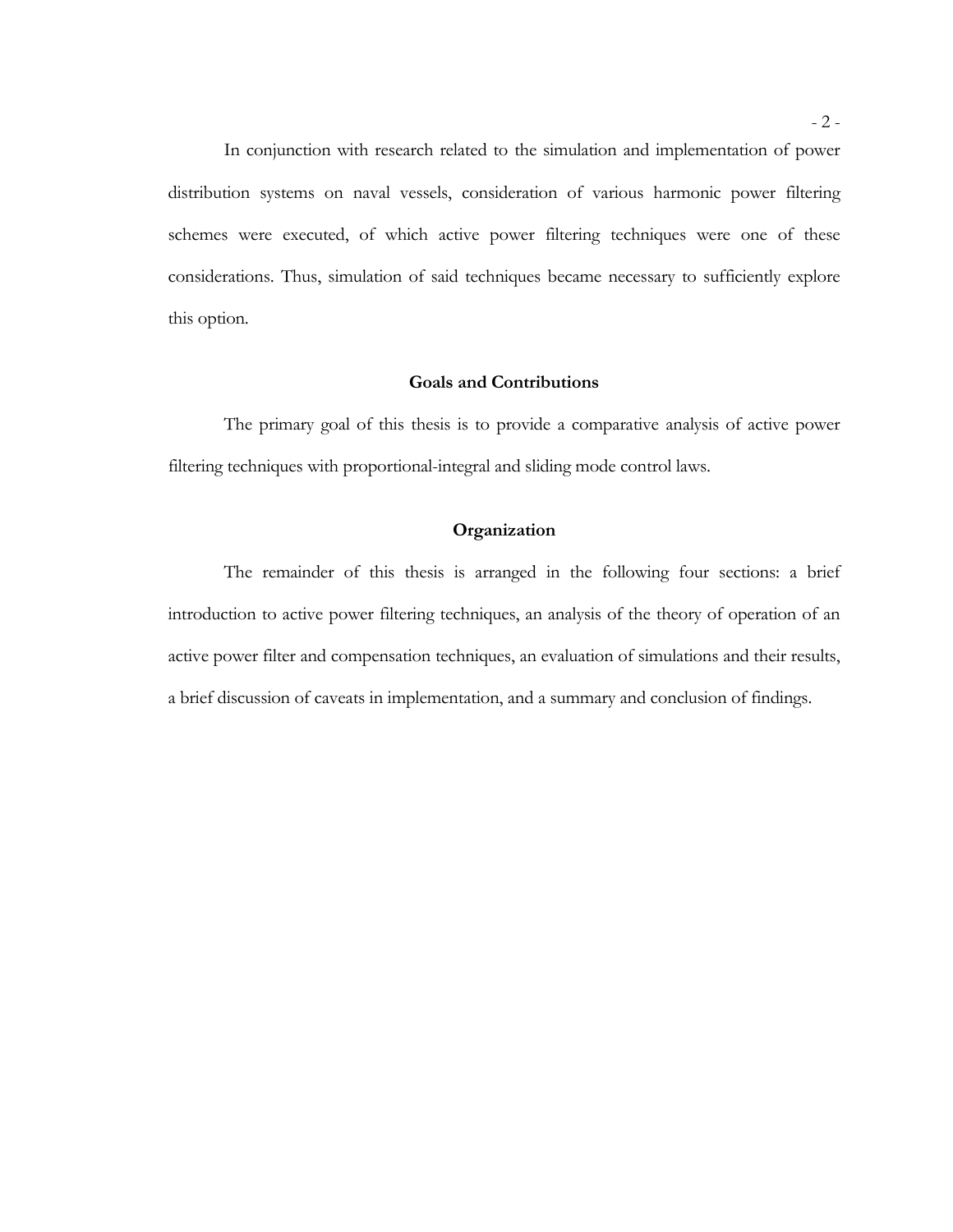In conjunction with research related to the simulation and implementation of power distribution systems on naval vessels, consideration of various harmonic power filtering schemes were executed, of which active power filtering techniques were one of these considerations. Thus, simulation of said techniques became necessary to sufficiently explore this option.

### **Goals and Contributions**

The primary goal of this thesis is to provide a comparative analysis of active power filtering techniques with proportional-integral and sliding mode control laws.

### **Organization**

The remainder of this thesis is arranged in the following four sections: a brief introduction to active power filtering techniques, an analysis of the theory of operation of an active power filter and compensation techniques, an evaluation of simulations and their results, a brief discussion of caveats in implementation, and a summary and conclusion of findings.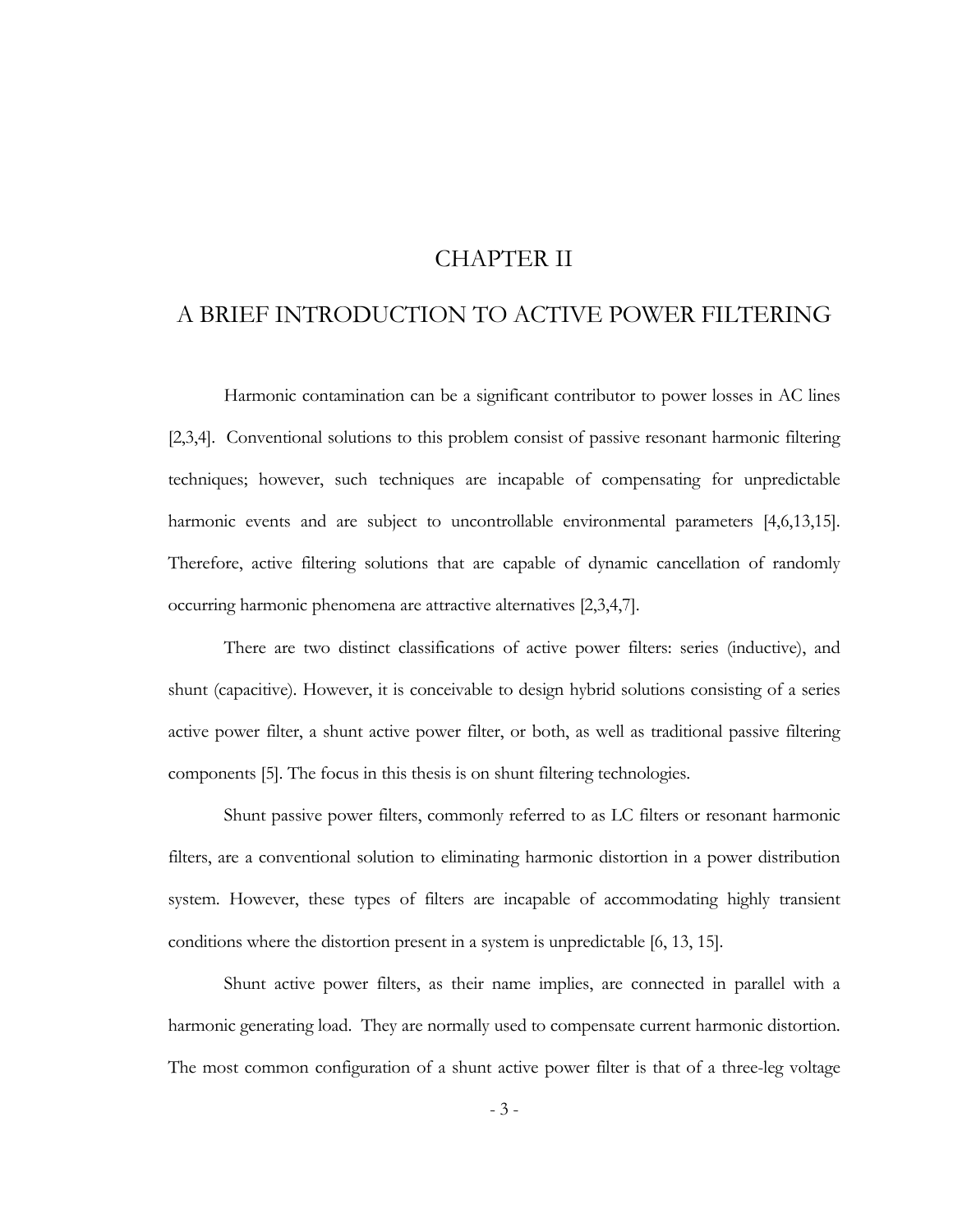# CHAPTER II

# A BRIEF INTRODUCTION TO ACTIVE POWER FILTERING

Harmonic contamination can be a significant contributor to power losses in AC lines [2,3,4]. Conventional solutions to this problem consist of passive resonant harmonic filtering techniques; however, such techniques are incapable of compensating for unpredictable harmonic events and are subject to uncontrollable environmental parameters [4,6,13,15]. Therefore, active filtering solutions that are capable of dynamic cancellation of randomly occurring harmonic phenomena are attractive alternatives [2,3,4,7].

There are two distinct classifications of active power filters: series (inductive), and shunt (capacitive). However, it is conceivable to design hybrid solutions consisting of a series active power filter, a shunt active power filter, or both, as well as traditional passive filtering components [5]. The focus in this thesis is on shunt filtering technologies.

Shunt passive power filters, commonly referred to as LC filters or resonant harmonic filters, are a conventional solution to eliminating harmonic distortion in a power distribution system. However, these types of filters are incapable of accommodating highly transient conditions where the distortion present in a system is unpredictable [6, 13, 15].

Shunt active power filters, as their name implies, are connected in parallel with a harmonic generating load. They are normally used to compensate current harmonic distortion. The most common configuration of a shunt active power filter is that of a three-leg voltage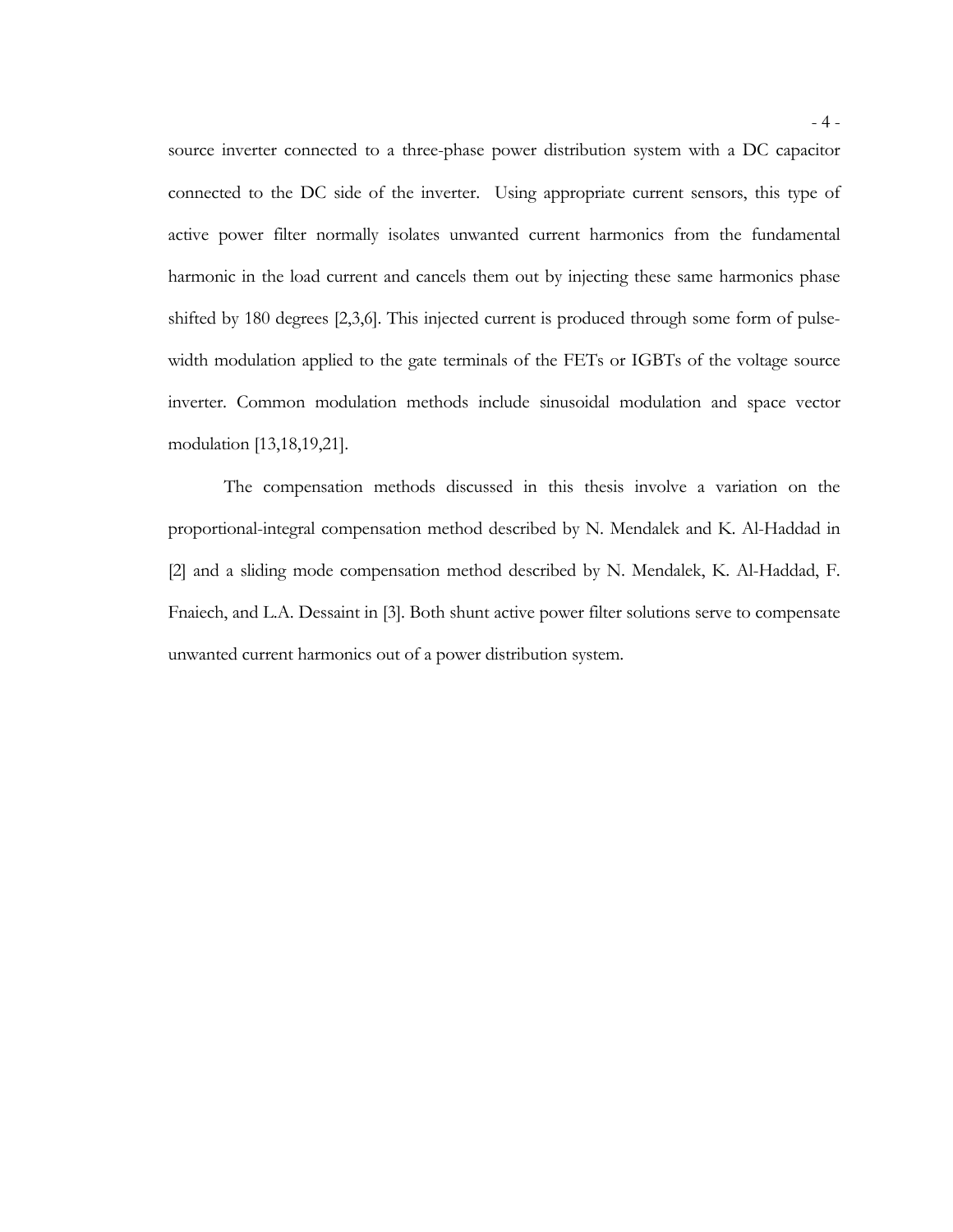source inverter connected to a three-phase power distribution system with a DC capacitor connected to the DC side of the inverter. Using appropriate current sensors, this type of active power filter normally isolates unwanted current harmonics from the fundamental harmonic in the load current and cancels them out by injecting these same harmonics phase shifted by 180 degrees [2,3,6]. This injected current is produced through some form of pulsewidth modulation applied to the gate terminals of the FETs or IGBTs of the voltage source inverter. Common modulation methods include sinusoidal modulation and space vector modulation [13,18,19,21].

The compensation methods discussed in this thesis involve a variation on the proportional-integral compensation method described by N. Mendalek and K. Al-Haddad in [2] and a sliding mode compensation method described by N. Mendalek, K. Al-Haddad, F. Fnaiech, and L.A. Dessaint in [3]. Both shunt active power filter solutions serve to compensate unwanted current harmonics out of a power distribution system.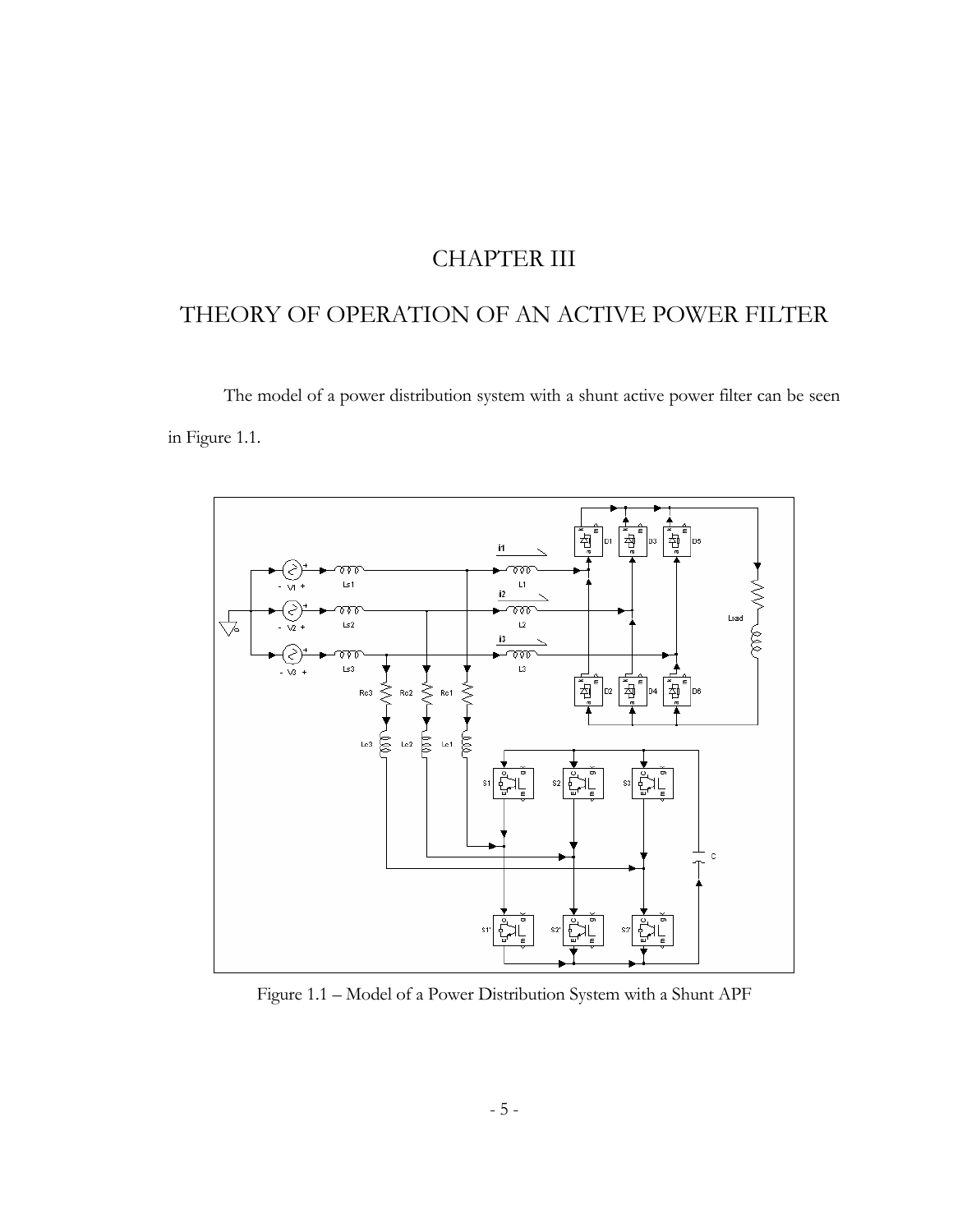# CHAPTER III

# THEORY OF OPERATION OF AN ACTIVE POWER FILTER

The model of a power distribution system with a shunt active power filter can be seen in Figure 1.1.



Figure 1.1 – Model of a Power Distribution System with a Shunt APF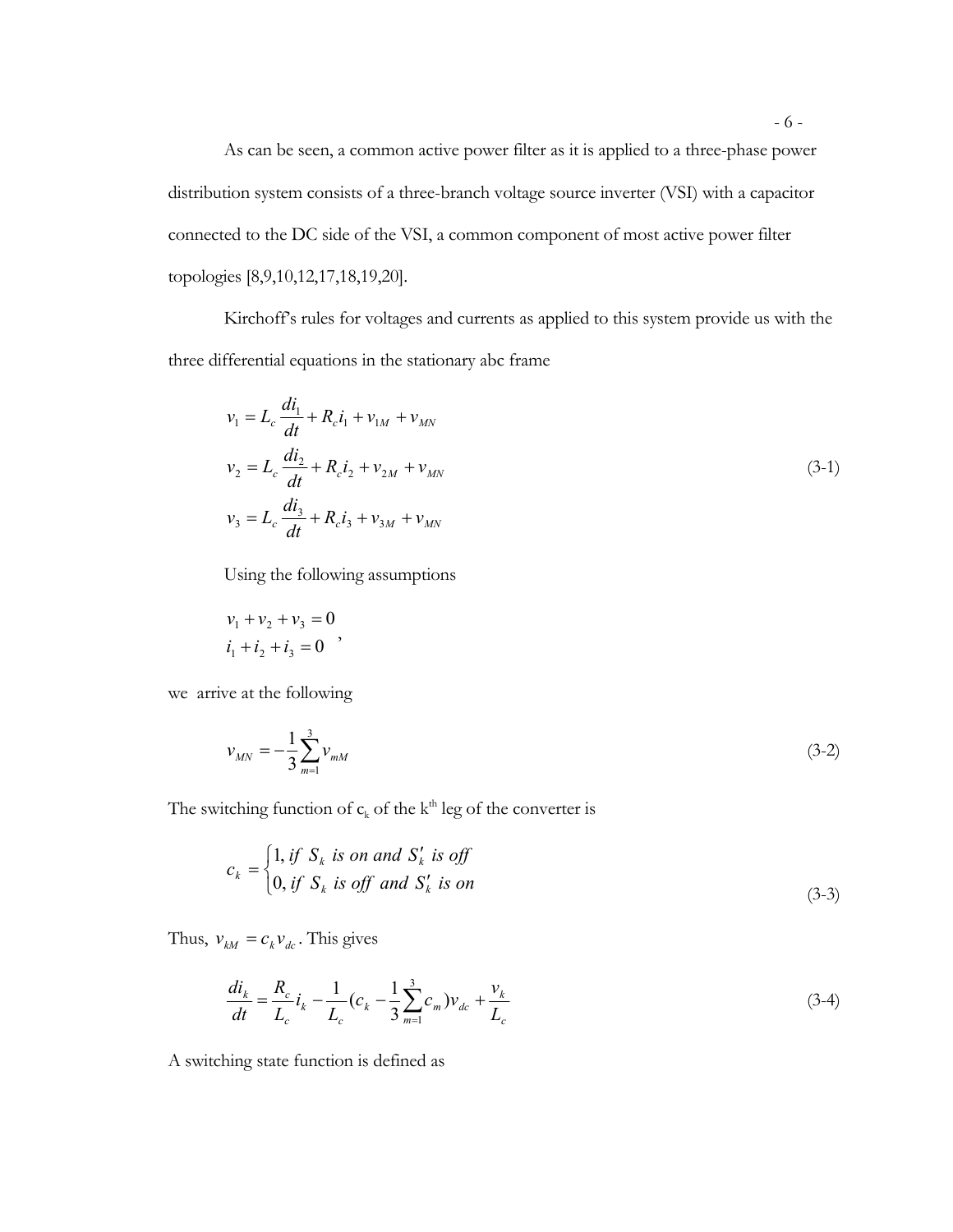As can be seen, a common active power filter as it is applied to a three-phase power distribution system consists of a three-branch voltage source inverter (VSI) with a capacitor connected to the DC side of the VSI, a common component of most active power filter topologies [8,9,10,12,17,18,19,20].

Kirchoff's rules for voltages and currents as applied to this system provide us with the three differential equations in the stationary abc frame

$$
v_1 = L_c \frac{di_1}{dt} + R_c i_1 + v_{1M} + v_{MN}
$$
  
\n
$$
v_2 = L_c \frac{di_2}{dt} + R_c i_2 + v_{2M} + v_{MN}
$$
  
\n
$$
v_3 = L_c \frac{di_3}{dt} + R_c i_3 + v_{3M} + v_{MN}
$$
\n(3-1)

Using the following assumptions

$$
v_1 + v_2 + v_3 = 0
$$
  

$$
i_1 + i_2 + i_3 = 0
$$
,

we arrive at the following

$$
v_{MN} = -\frac{1}{3} \sum_{m=1}^{3} v_{mM} \tag{3-2}
$$

The switching function of  $c_k$  of the k<sup>th</sup> leg of the converter is

$$
c_k = \begin{cases} 1, & \text{if } S_k \text{ is on and } S'_k \text{ is off} \\ 0, & \text{if } S_k \text{ is off and } S'_k \text{ is on} \end{cases}
$$
(3-3)

Thus,  $v_{kM} = c_k v_{dc}$ . This gives

$$
\frac{di_k}{dt} = \frac{R_c}{L_c} i_k - \frac{1}{L_c} (c_k - \frac{1}{3} \sum_{m=1}^{3} c_m) v_{dc} + \frac{v_k}{L_c}
$$
\n(3-4)

A switching state function is defined as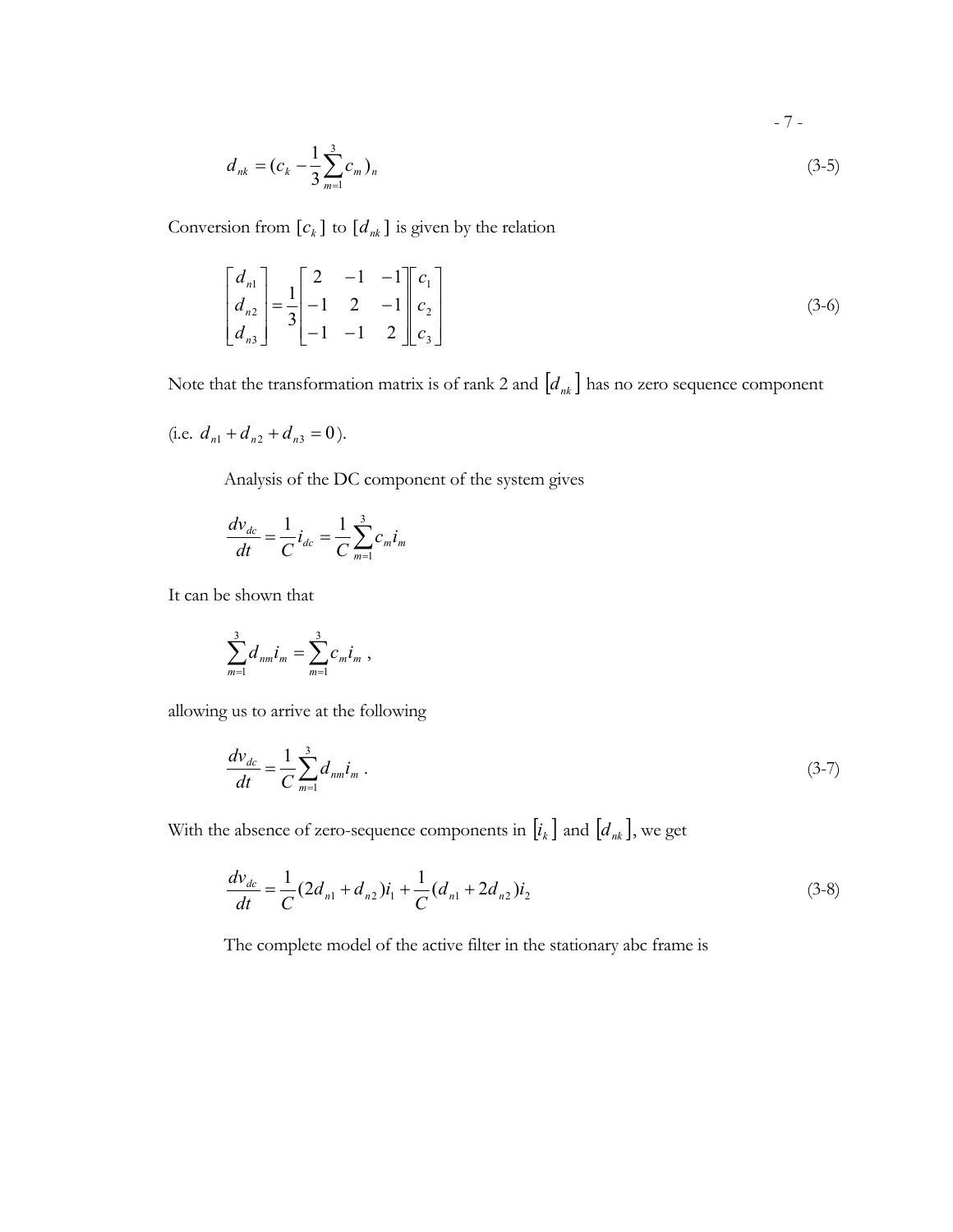$$
-7 -
$$

$$
d_{nk} = (c_k - \frac{1}{3} \sum_{m=1}^{3} c_m)_n
$$
 (3-5)

Conversion from  $[c_k]$  to  $[d_{nk}]$  is given by the relation

$$
\begin{bmatrix} d_{n1} \\ d_{n2} \\ d_{n3} \end{bmatrix} = \frac{1}{3} \begin{bmatrix} 2 & -1 & -1 \\ -1 & 2 & -1 \\ -1 & -1 & 2 \end{bmatrix} \begin{bmatrix} c_1 \\ c_2 \\ c_3 \end{bmatrix}
$$
 (3-6)

Note that the transformation matrix is of rank 2 and  $[d_{nk}]$  has no zero sequence component

(i.e. 
$$
d_{n1} + d_{n2} + d_{n3} = 0
$$
).

Analysis of the DC component of the system gives

$$
\frac{dv_{dc}}{dt} = \frac{1}{C}i_{dc} = \frac{1}{C}\sum_{m=1}^{3}c_{m}i_{m}
$$

It can be shown that

$$
\sum_{m=1}^3 d_{nm} i_m = \sum_{m=1}^3 c_m i_m ,
$$

allowing us to arrive at the following

$$
\frac{dv_{dc}}{dt} = \frac{1}{C} \sum_{m=1}^{3} d_{nm} i_m \,. \tag{3-7}
$$

With the absence of zero-sequence components in  $[i_k]$  and  $[d_{nk}]$ , we get

$$
\frac{dv_{dc}}{dt} = \frac{1}{C} (2d_{n1} + d_{n2})i_1 + \frac{1}{C} (d_{n1} + 2d_{n2})i_2
$$
\n(3-8)

The complete model of the active filter in the stationary abc frame is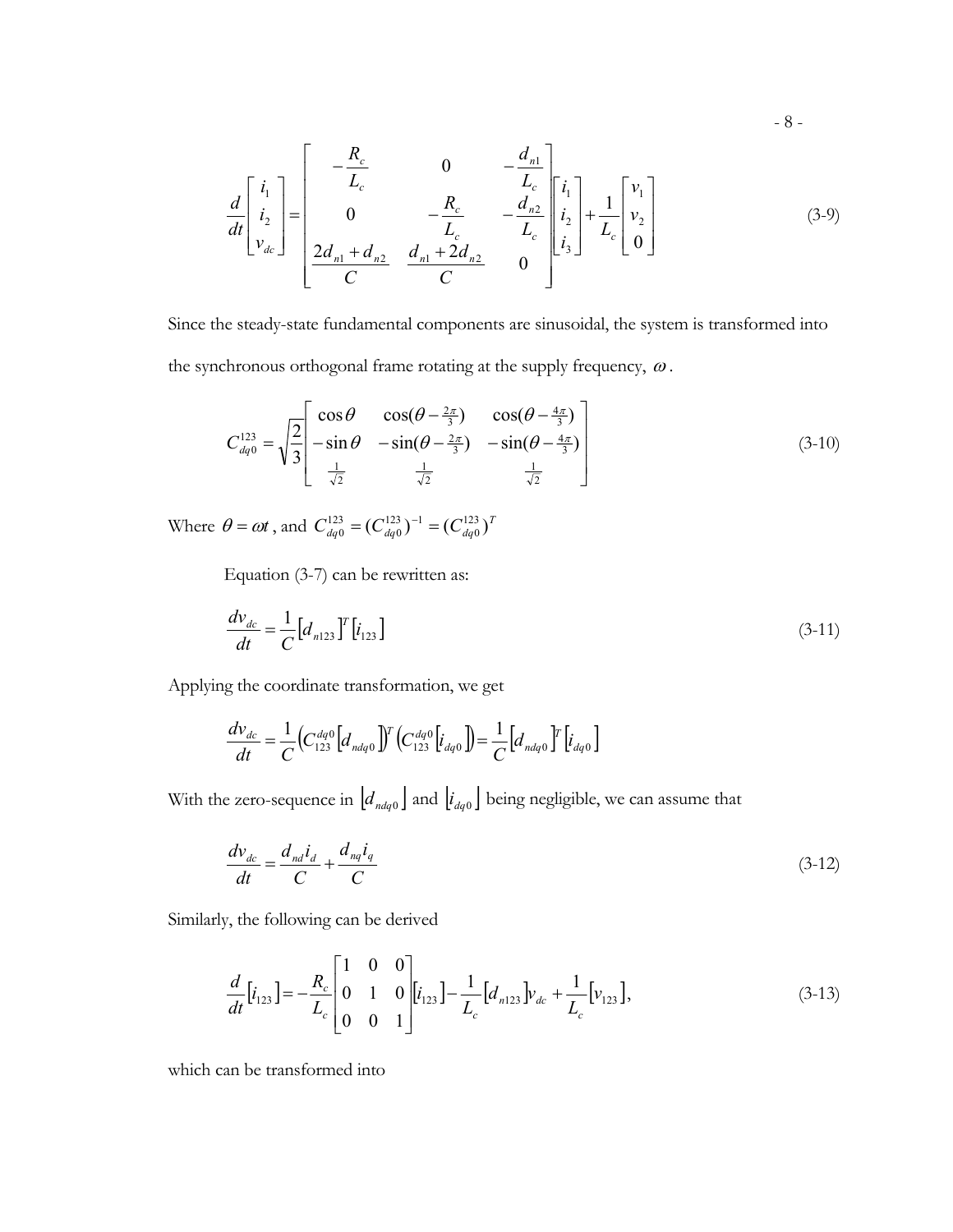$$
\frac{d}{dt} \begin{bmatrix} i_1 \\ i_2 \\ v_{dc} \end{bmatrix} = \begin{bmatrix} -\frac{R_c}{L_c} & 0 & -\frac{d_{n1}}{L_c} \\ 0 & -\frac{R_c}{L_c} & -\frac{d_{n2}}{L_c} \\ \frac{2d_{n1} + d_{n2}}{C} & \frac{d_{n1} + 2d_{n2}}{C} & 0 \end{bmatrix} \begin{bmatrix} i_1 \\ i_2 \\ i_3 \end{bmatrix} + \frac{1}{L_c} \begin{bmatrix} v_1 \\ v_2 \\ 0 \end{bmatrix}
$$
(3-9)

- 8 -

Since the steady-state fundamental components are sinusoidal, the system is transformed into the synchronous orthogonal frame rotating at the supply frequency,  $\omega$ .

$$
C_{dq0}^{123} = \sqrt{\frac{2}{3}} \begin{bmatrix} \cos\theta & \cos(\theta - \frac{2\pi}{3}) & \cos(\theta - \frac{4\pi}{3}) \\ -\sin\theta & -\sin(\theta - \frac{2\pi}{3}) & -\sin(\theta - \frac{4\pi}{3}) \\ \frac{1}{\sqrt{2}} & \frac{1}{\sqrt{2}} & \frac{1}{\sqrt{2}} \end{bmatrix}
$$
(3-10)

Where  $\theta = \omega t$ , and  $C_{dq0}^{123} = (C_{dq0}^{123})^{-1} = (C_{dq0}^{123})^T$  $123 - 1$ 0  $^{123}_{dq0} = (C_{dq0}^{123})^{-1} =$ 

Equation (3-7) can be rewritten as:

$$
\frac{dv_{dc}}{dt} = \frac{1}{C} \left[ d_{n123} \right]^T \left[ i_{123} \right] \tag{3-11}
$$

Applying the coordinate transformation, we get

$$
\frac{dV_{dc}}{dt} = \frac{1}{C} \left( C_{123}^{dq0} \left[ d_{ndq0} \right] \right)^T \left( C_{123}^{dq0} \left[ i_{dq0} \right] \right) = \frac{1}{C} \left[ d_{ndq0} \right]^T \left[ i_{dq0} \right]
$$

With the zero-sequence in  $\left[ d_{ndq0} \right]$  and  $\left[ i_{dq0} \right]$  being negligible, we can assume that

$$
\frac{dv_{dc}}{dt} = \frac{d_{nd}i_d}{C} + \frac{d_{nq}i_q}{C}
$$
\n(3-12)

Similarly, the following can be derived

$$
\frac{d}{dt}\begin{bmatrix}i_{123}\end{bmatrix} = -\frac{R_c}{L_c}\begin{bmatrix}1 & 0 & 0\\ 0 & 1 & 0\\ 0 & 0 & 1\end{bmatrix}\begin{bmatrix}i_{123}\end{bmatrix} - \frac{1}{L_c}\begin{bmatrix}d_{n123} \end{bmatrix}v_{dc} + \frac{1}{L_c}\begin{bmatrix}v_{123} \end{bmatrix},\tag{3-13}
$$

which can be transformed into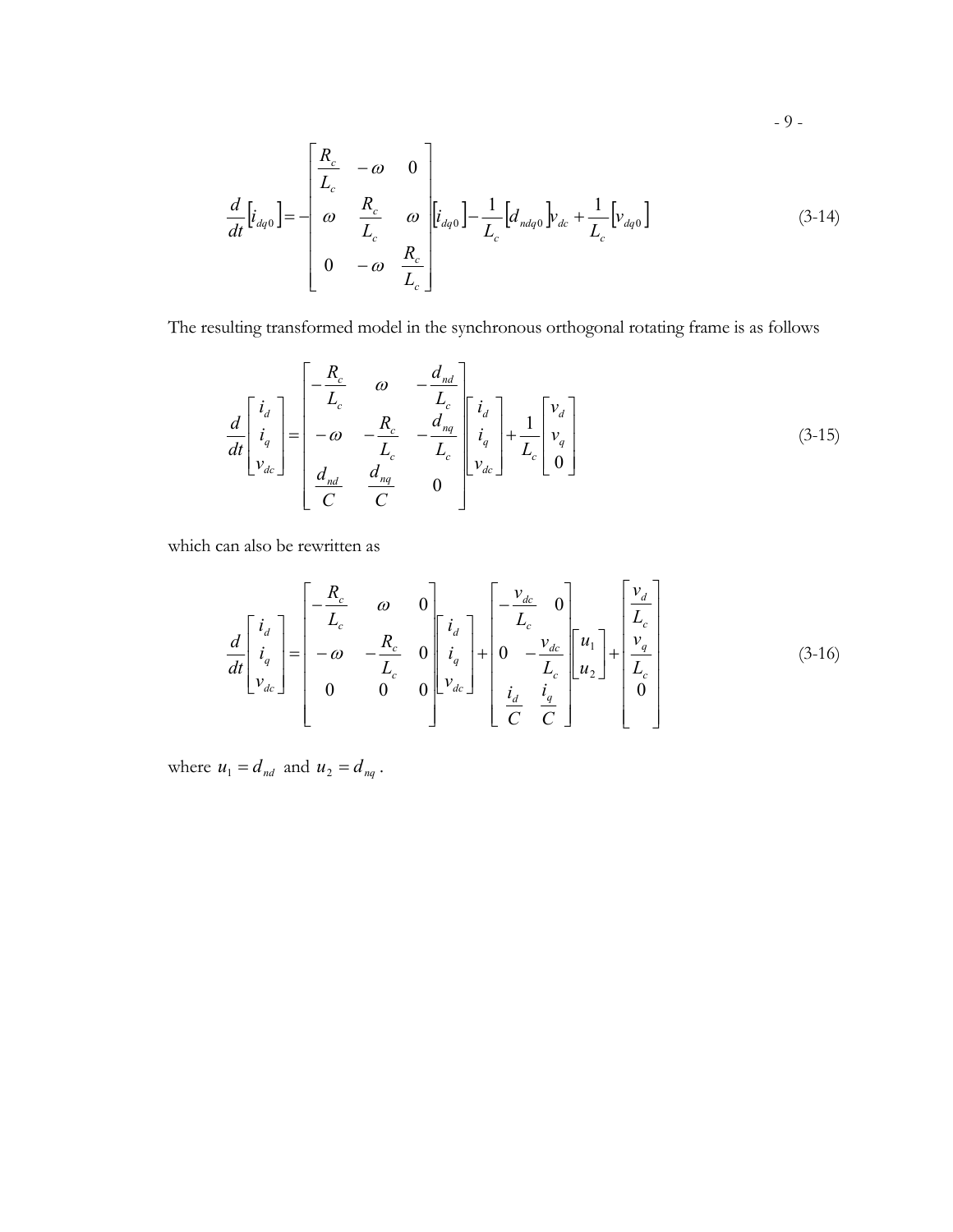$$
\frac{d}{dt}\left[i_{dq0}\right] = -\begin{bmatrix}\frac{R_c}{L_c} & -\omega & 0\\ \omega & \frac{R_c}{L_c} & \omega & \left[i_{dq0}\right] - \frac{1}{L_c}\left[d_{ndq0}\right]v_{dc} + \frac{1}{L_c}\left[v_{dq0}\right] \\ 0 & -\omega & \frac{R_c}{L_c}\end{bmatrix}
$$
(3-14)

The resulting transformed model in the synchronous orthogonal rotating frame is as follows

$$
\frac{d}{dt} \begin{bmatrix} i_d \\ i_q \\ v_{dc} \end{bmatrix} = \begin{bmatrix} -\frac{R_c}{L_c} & \omega & -\frac{d_{nd}}{L_c} \\ -\omega & -\frac{R_c}{L_c} & -\frac{d_{nq}}{L_c} \\ \frac{d_{nd}}{C} & \frac{d_{nq}}{C} & 0 \end{bmatrix} \begin{bmatrix} i_d \\ i_q \\ v_{dc} \end{bmatrix} + \frac{1}{L_c} \begin{bmatrix} v_d \\ v_q \\ 0 \end{bmatrix}
$$
(3-15)

which can also be rewritten as

$$
\frac{d}{dt} \begin{bmatrix} i_d \\ i_q \\ v_{dc} \end{bmatrix} = \begin{bmatrix} -\frac{R_c}{L_c} & \omega & 0 \\ -\omega & -\frac{R_c}{L_c} & 0 \\ 0 & 0 & 0 \end{bmatrix} \begin{bmatrix} i_d \\ i_q \\ v_{dc} \end{bmatrix} + \begin{bmatrix} -\frac{v_{dc}}{L_c} & 0 \\ 0 & -\frac{v_{dc}}{L_c} \\ \frac{i_d}{C} & \frac{i_q}{C} \end{bmatrix} \begin{bmatrix} u_1 \\ u_2 \end{bmatrix} + \begin{bmatrix} \frac{v_d}{L_c} \\ \frac{v_q}{L_c} \\ 0 \end{bmatrix} \tag{3-16}
$$

where  $u_1 = d_{nd}$  and  $u_2 = d_{nq}$ .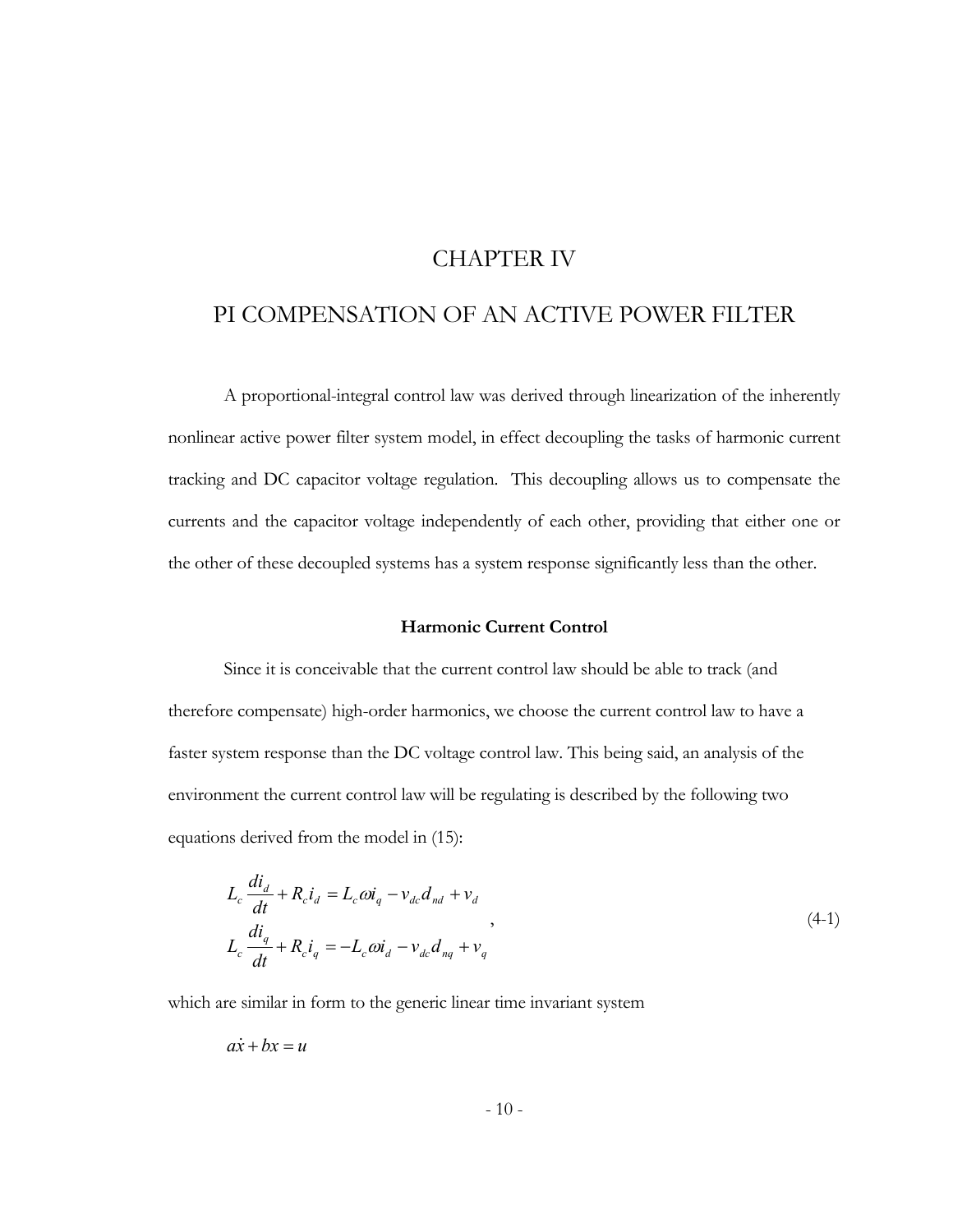# CHAPTER IV

# PI COMPENSATION OF AN ACTIVE POWER FILTER

A proportional-integral control law was derived through linearization of the inherently nonlinear active power filter system model, in effect decoupling the tasks of harmonic current tracking and DC capacitor voltage regulation. This decoupling allows us to compensate the currents and the capacitor voltage independently of each other, providing that either one or the other of these decoupled systems has a system response significantly less than the other.

#### **Harmonic Current Control**

Since it is conceivable that the current control law should be able to track (and therefore compensate) high-order harmonics, we choose the current control law to have a faster system response than the DC voltage control law. This being said, an analysis of the environment the current control law will be regulating is described by the following two equations derived from the model in (15):

$$
L_c \frac{di_d}{dt} + R_c i_d = L_c \omega i_q - v_{dc} d_{nd} + v_d
$$
  
\n
$$
L_c \frac{di_q}{dt} + R_c i_q = -L_c \omega i_d - v_{dc} d_{nq} + v_q
$$
\n(4-1)

which are similar in form to the generic linear time invariant system

$$
a\dot{x} + b x = u
$$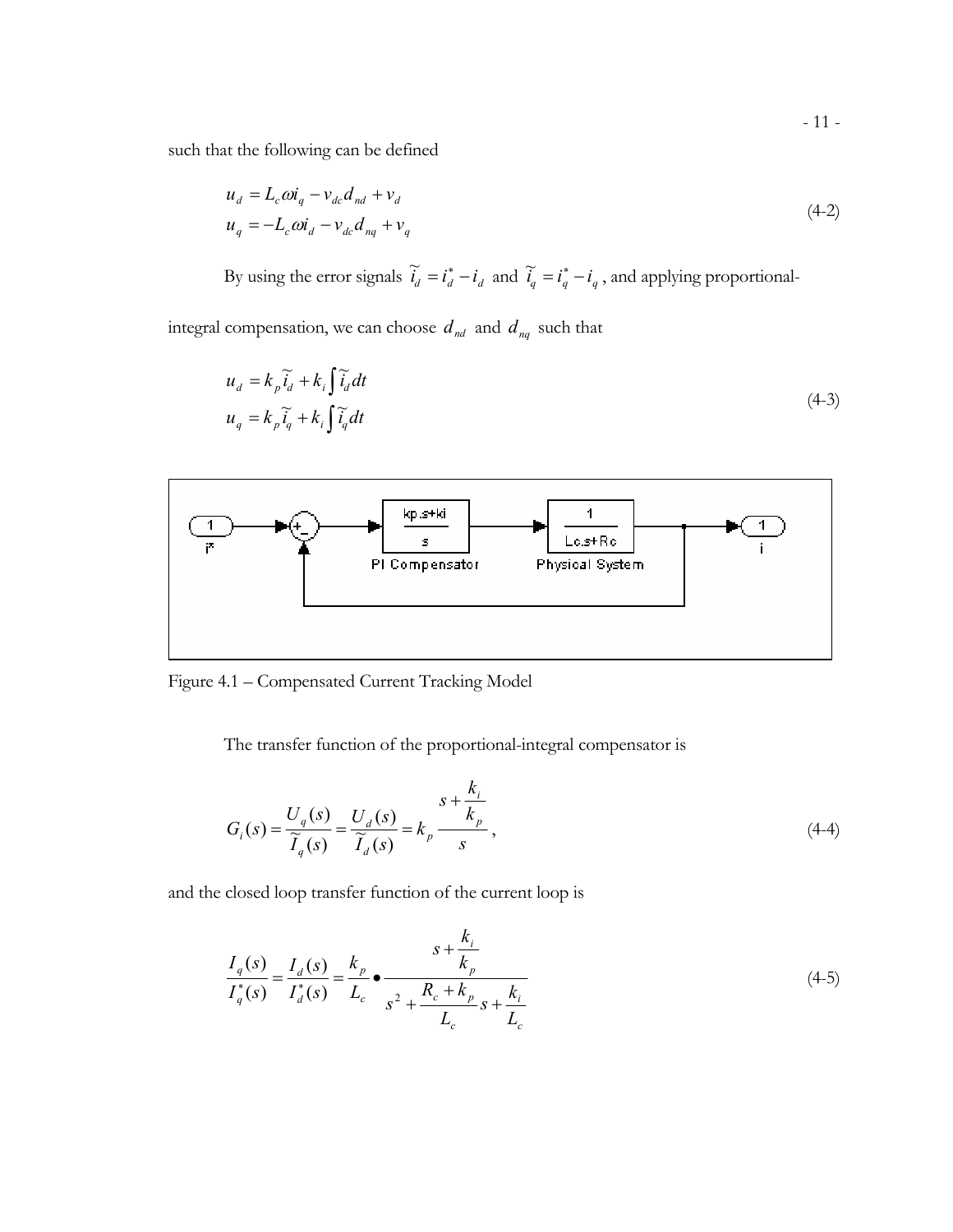such that the following can be defined

$$
u_d = L_c \omega i_q - v_{dc} d_{nd} + v_d
$$
  
\n
$$
u_q = -L_c \omega i_d - v_{dc} d_{nq} + v_q
$$
\n(4-2)

By using the error signals  $\tilde{i}_d = i_d^* - i_d$  and  $\tilde{i}_q = i_q^* - i_q$ , and applying proportional-

integral compensation, we can choose  $d_{nd}$  and  $d_{nq}$  such that

$$
u_d = k_p \tilde{i}_d + k_i \int \tilde{i}_d dt
$$
  
\n
$$
u_q = k_p \tilde{i}_q + k_i \int \tilde{i}_q dt
$$
\n(4-3)



Figure 4.1 – Compensated Current Tracking Model

The transfer function of the proportional-integral compensator is

$$
G_i(s) = \frac{U_q(s)}{\widetilde{I}_q(s)} = \frac{U_d(s)}{\widetilde{I}_d(s)} = k_p \frac{s + \frac{k_i}{k_p}}{s},
$$
\n(4-4)

and the closed loop transfer function of the current loop is

$$
\frac{I_q(s)}{I_q^*(s)} = \frac{I_d(s)}{I_d^*(s)} = \frac{k_p}{L_c} \bullet \frac{s + \frac{k_i}{k_p}}{s^2 + \frac{R_c + k_p}{L_c} s + \frac{k_i}{L_c}}
$$
(4-5)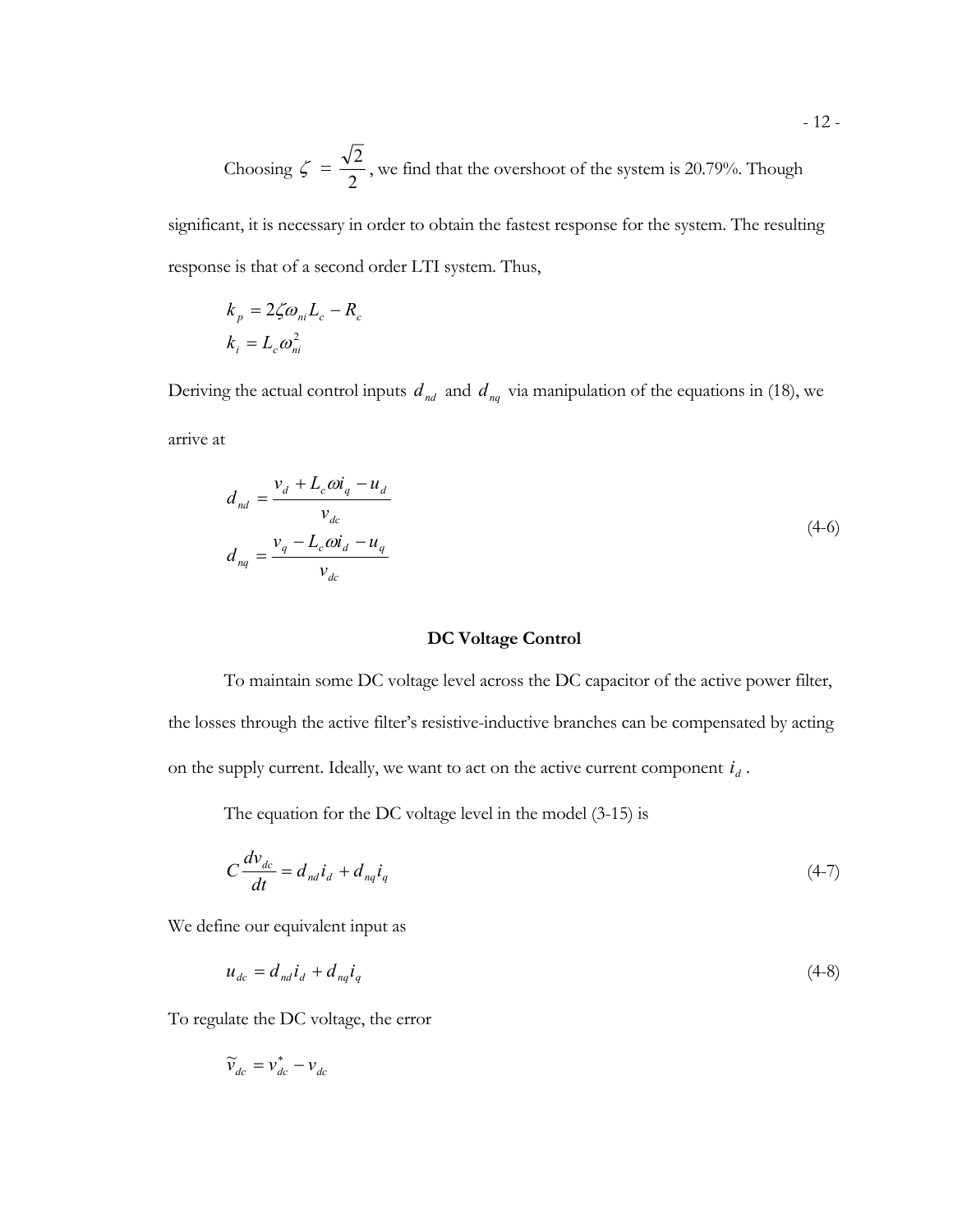Choosing  $\zeta =$ 2  $\frac{2}{1}$ , we find that the overshoot of the system is 20.79%. Though

significant, it is necessary in order to obtain the fastest response for the system. The resulting response is that of a second order LTI system. Thus,

$$
k_p = 2\zeta \omega_{ni} L_c - R_c
$$
  

$$
k_i = L_c \omega_{ni}^2
$$

Deriving the actual control inputs  $d_{nd}$  and  $d_{nq}$  via manipulation of the equations in (18), we arrive at

$$
d_{nd} = \frac{v_d + L_c \omega i_q - u_d}{v_{dc}}
$$
  
\n
$$
d_{nq} = \frac{v_q - L_c \omega i_d - u_q}{v_{dc}}
$$
\n(4-6)

### **DC Voltage Control**

To maintain some DC voltage level across the DC capacitor of the active power filter, the losses through the active filter's resistive-inductive branches can be compensated by acting on the supply current. Ideally, we want to act on the active current component  $\dot{\mathcal{U}}_d$  .

The equation for the DC voltage level in the model (3-15) is

$$
C\frac{dv_{dc}}{dt} = d_{nd}i_d + d_{nq}i_q
$$
\n
$$
(4-7)
$$

We define our equivalent input as

$$
u_{dc} = d_{nd}i_d + d_{nq}i_q \tag{4-8}
$$

To regulate the DC voltage, the error

$$
\widetilde{\mathbf{v}}_{dc} = \mathbf{v}_{dc}^* - \mathbf{v}_{dc}
$$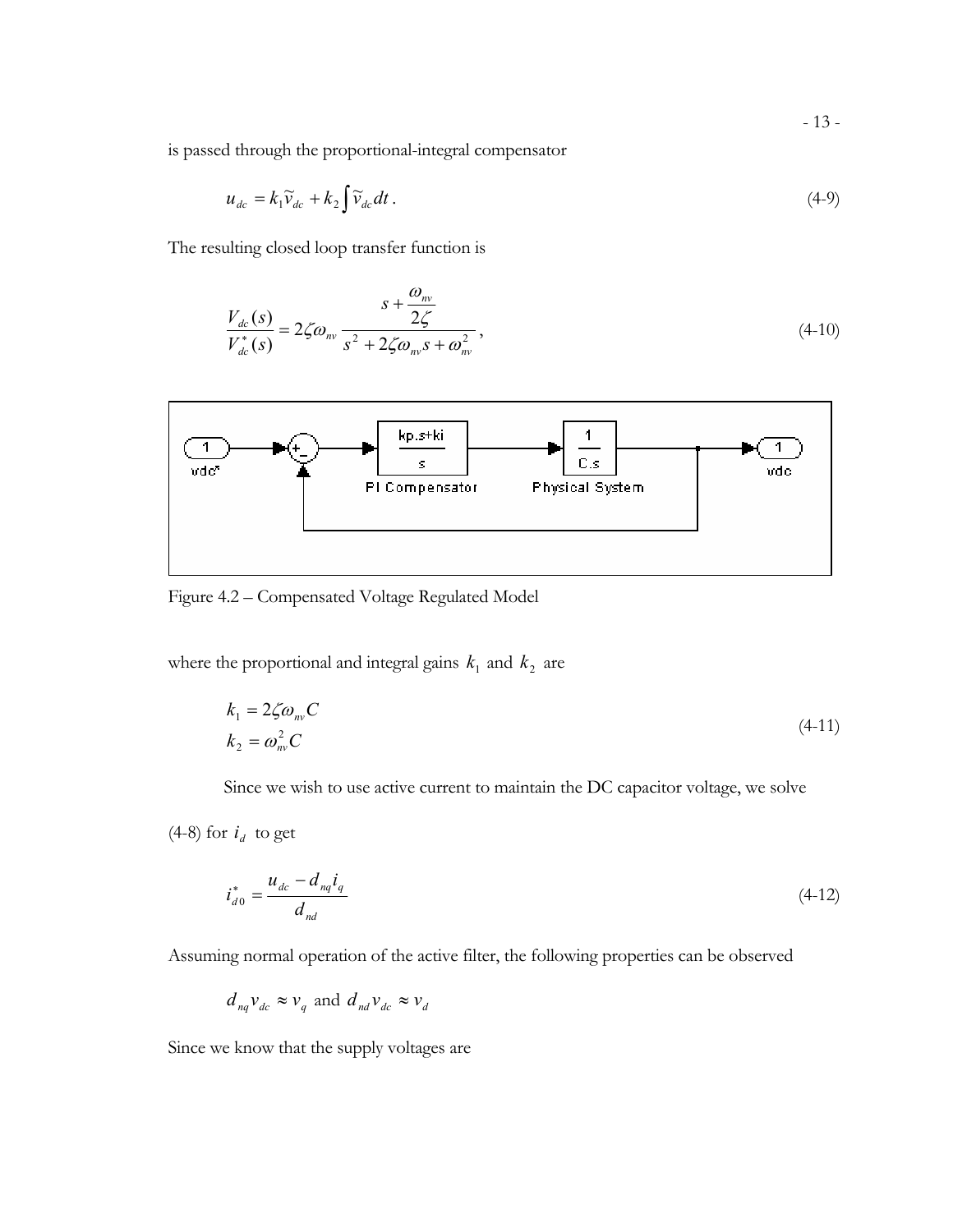is passed through the proportional-integral compensator

$$
u_{dc} = k_1 \widetilde{v}_{dc} + k_2 \int \widetilde{v}_{dc} dt . \tag{4-9}
$$

The resulting closed loop transfer function is

$$
\frac{V_{dc}(s)}{V_{dc}^*(s)} = 2\zeta \omega_m \frac{s + \frac{\omega_m}{2\zeta}}{s^2 + 2\zeta \omega_m s + \omega_m^2},
$$
\n(4-10)



Figure 4.2 – Compensated Voltage Regulated Model

where the proportional and integral gains  $k_1$  and  $k_2$  are

$$
k_1 = 2\zeta \omega_{\text{mv}} C
$$
  
\n
$$
k_2 = \omega_{\text{mv}}^2 C
$$
\n(4-11)

Since we wish to use active current to maintain the DC capacitor voltage, we solve

(4-8) for  $i_d$  to get

$$
i_{d0}^* = \frac{u_{dc} - d_{nq}i_q}{d_{nd}}
$$
 (4-12)

Assuming normal operation of the active filter, the following properties can be observed

$$
d_{nq}v_{dc} \approx v_q
$$
 and  $d_{nd}v_{dc} \approx v_d$ 

Since we know that the supply voltages are

- 13 -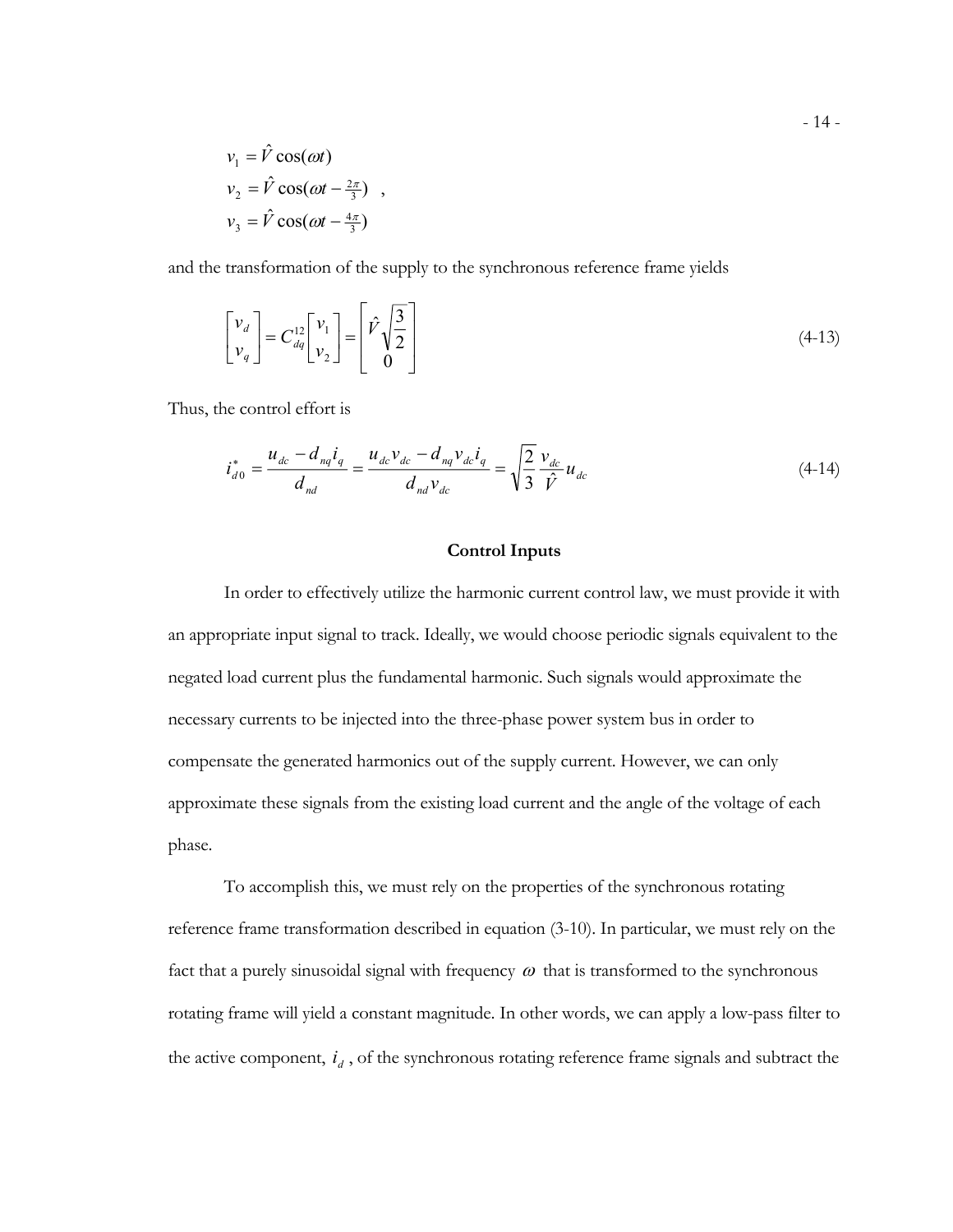$$
v_1 = \hat{V} \cos(\omega t)
$$
  
\n
$$
v_2 = \hat{V} \cos(\omega t - \frac{2\pi}{3}) ,
$$
  
\n
$$
v_3 = \hat{V} \cos(\omega t - \frac{4\pi}{3})
$$

and the transformation of the supply to the synchronous reference frame yields

$$
\begin{bmatrix} v_d \\ v_q \end{bmatrix} = C_{dq}^{12} \begin{bmatrix} v_1 \\ v_2 \end{bmatrix} = \begin{bmatrix} \hat{V} \sqrt{\frac{3}{2}} \\ 0 \end{bmatrix}
$$
 (4-13)

Thus, the control effort is

$$
i_{d0}^* = \frac{u_{dc} - d_{nq}i_q}{d_{nd}} = \frac{u_{dc}v_{dc} - d_{nq}v_{dc}i_q}{d_{nd}v_{dc}} = \sqrt{\frac{2}{3}} \frac{v_{dc}}{\hat{V}} u_{dc}
$$
(4-14)

#### **Control Inputs**

In order to effectively utilize the harmonic current control law, we must provide it with an appropriate input signal to track. Ideally, we would choose periodic signals equivalent to the negated load current plus the fundamental harmonic. Such signals would approximate the necessary currents to be injected into the three-phase power system bus in order to compensate the generated harmonics out of the supply current. However, we can only approximate these signals from the existing load current and the angle of the voltage of each phase.

To accomplish this, we must rely on the properties of the synchronous rotating reference frame transformation described in equation (3-10). In particular, we must rely on the fact that a purely sinusoidal signal with frequency  $\omega$  that is transformed to the synchronous rotating frame will yield a constant magnitude. In other words, we can apply a low-pass filter to the active component, *di* , of the synchronous rotating reference frame signals and subtract the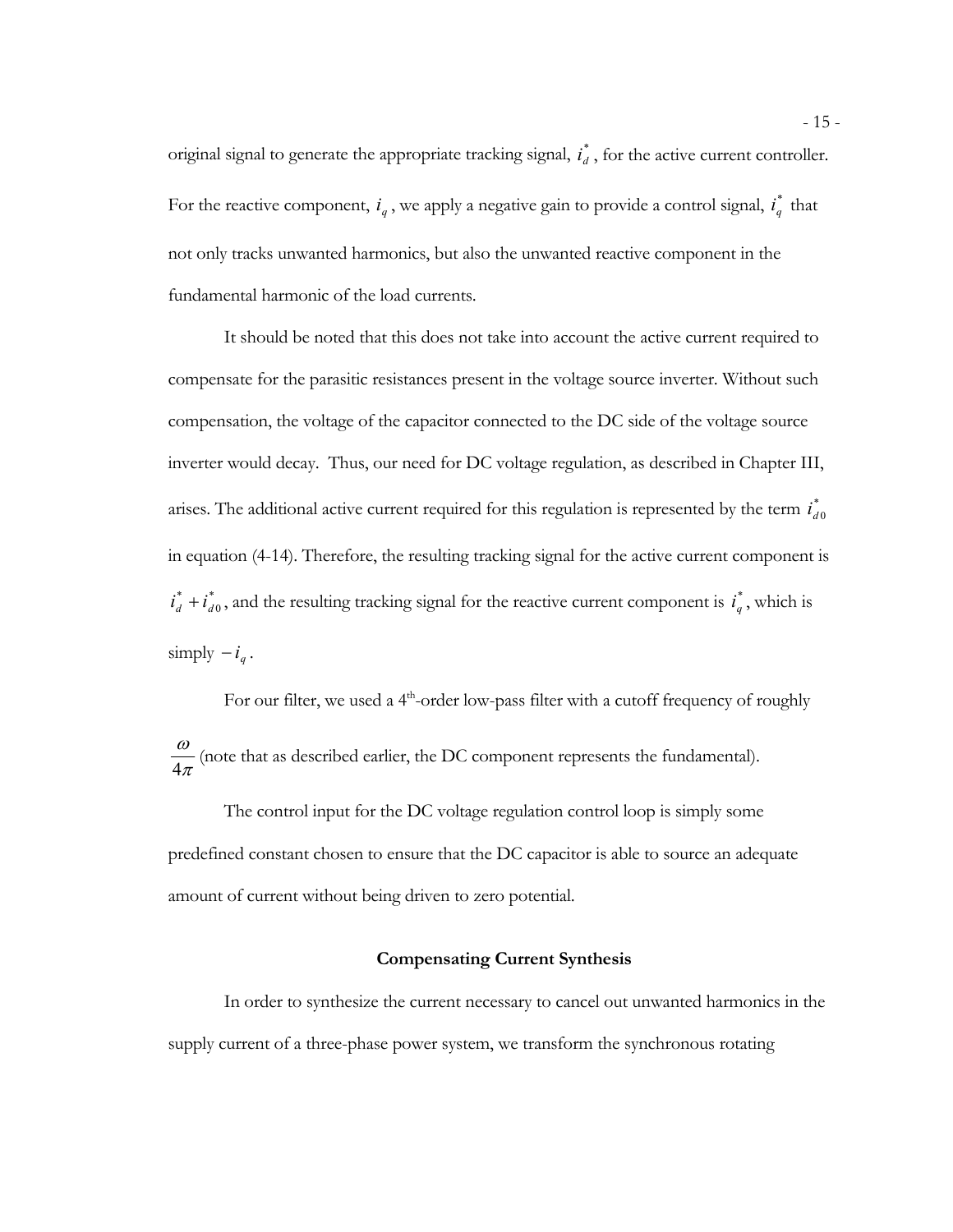original signal to generate the appropriate tracking signal,  $i_d^*$ , for the active current controller. For the reactive component,  $i_q$ , we apply a negative gain to provide a control signal,  $i_q^*$  that not only tracks unwanted harmonics, but also the unwanted reactive component in the fundamental harmonic of the load currents.

It should be noted that this does not take into account the active current required to compensate for the parasitic resistances present in the voltage source inverter. Without such compensation, the voltage of the capacitor connected to the DC side of the voltage source inverter would decay. Thus, our need for DC voltage regulation, as described in Chapter III, arises. The additional active current required for this regulation is represented by the term  $i_{d0}^*$ in equation (4-14). Therefore, the resulting tracking signal for the active current component is \* 0  $i_d^* + i_{d0}^*$ , and the resulting tracking signal for the reactive current component is  $i_q^*$ , which is simply  $-i_q$ .

For our filter, we used a  $4<sup>th</sup>$ -order low-pass filter with a cutoff frequency of roughly π  $\frac{\omega}{4\pi}$  (note that as described earlier, the DC component represents the fundamental).

The control input for the DC voltage regulation control loop is simply some predefined constant chosen to ensure that the DC capacitor is able to source an adequate amount of current without being driven to zero potential.

### **Compensating Current Synthesis**

In order to synthesize the current necessary to cancel out unwanted harmonics in the supply current of a three-phase power system, we transform the synchronous rotating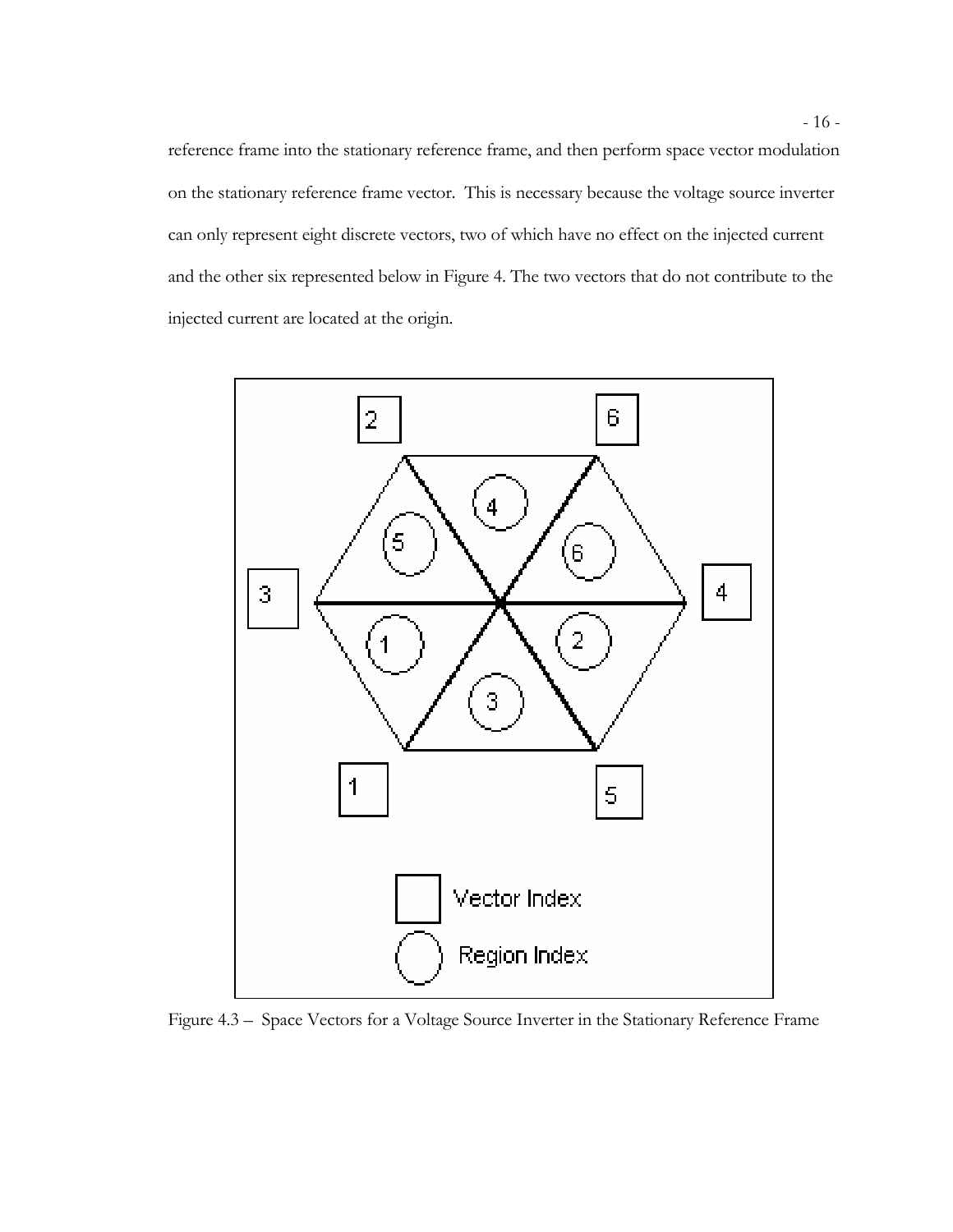reference frame into the stationary reference frame, and then perform space vector modulation on the stationary reference frame vector. This is necessary because the voltage source inverter can only represent eight discrete vectors, two of which have no effect on the injected current and the other six represented below in Figure 4. The two vectors that do not contribute to the injected current are located at the origin.



Figure 4.3 – Space Vectors for a Voltage Source Inverter in the Stationary Reference Frame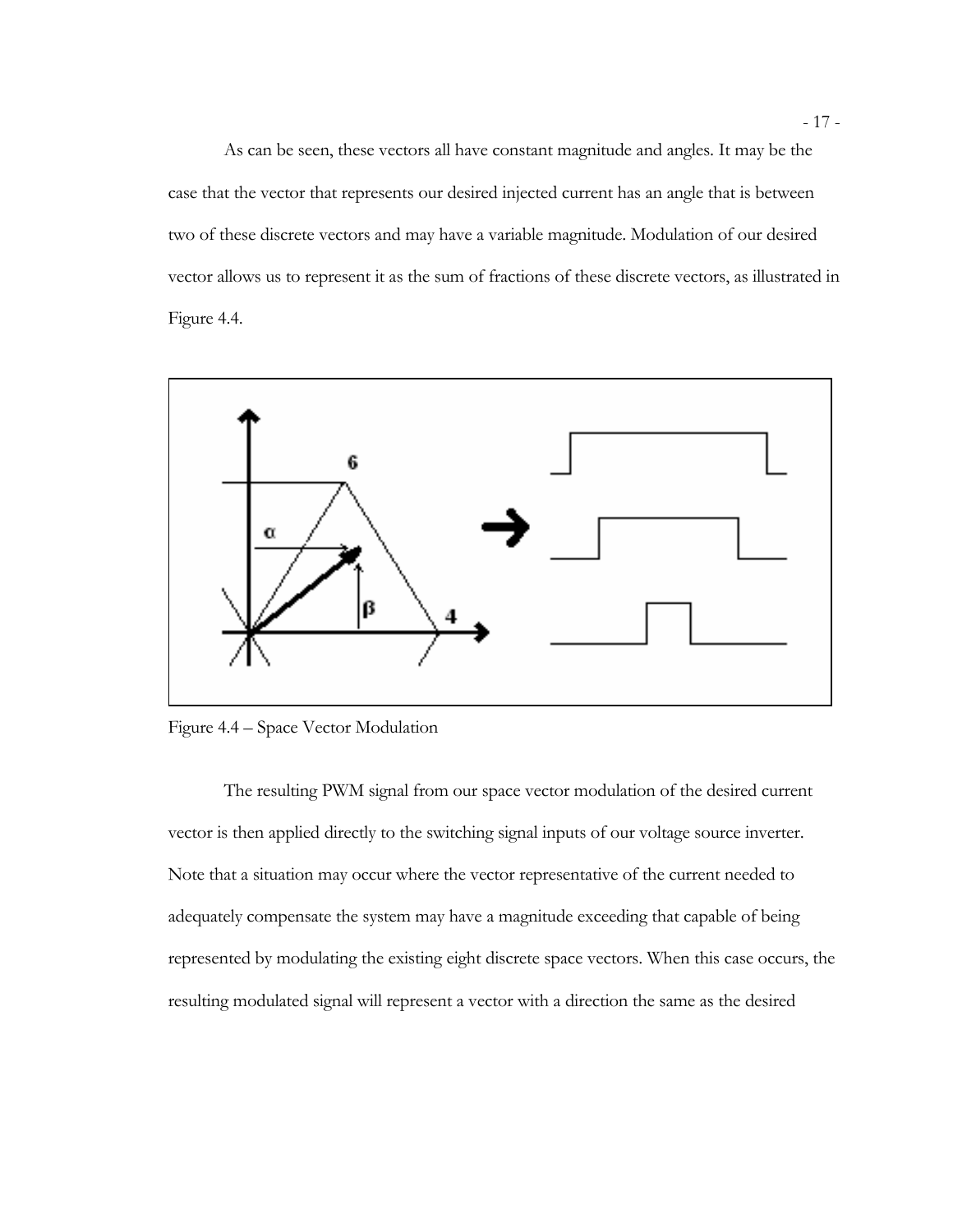As can be seen, these vectors all have constant magnitude and angles. It may be the case that the vector that represents our desired injected current has an angle that is between two of these discrete vectors and may have a variable magnitude. Modulation of our desired vector allows us to represent it as the sum of fractions of these discrete vectors, as illustrated in Figure 4.4.



Figure 4.4 – Space Vector Modulation

The resulting PWM signal from our space vector modulation of the desired current vector is then applied directly to the switching signal inputs of our voltage source inverter. Note that a situation may occur where the vector representative of the current needed to adequately compensate the system may have a magnitude exceeding that capable of being represented by modulating the existing eight discrete space vectors. When this case occurs, the resulting modulated signal will represent a vector with a direction the same as the desired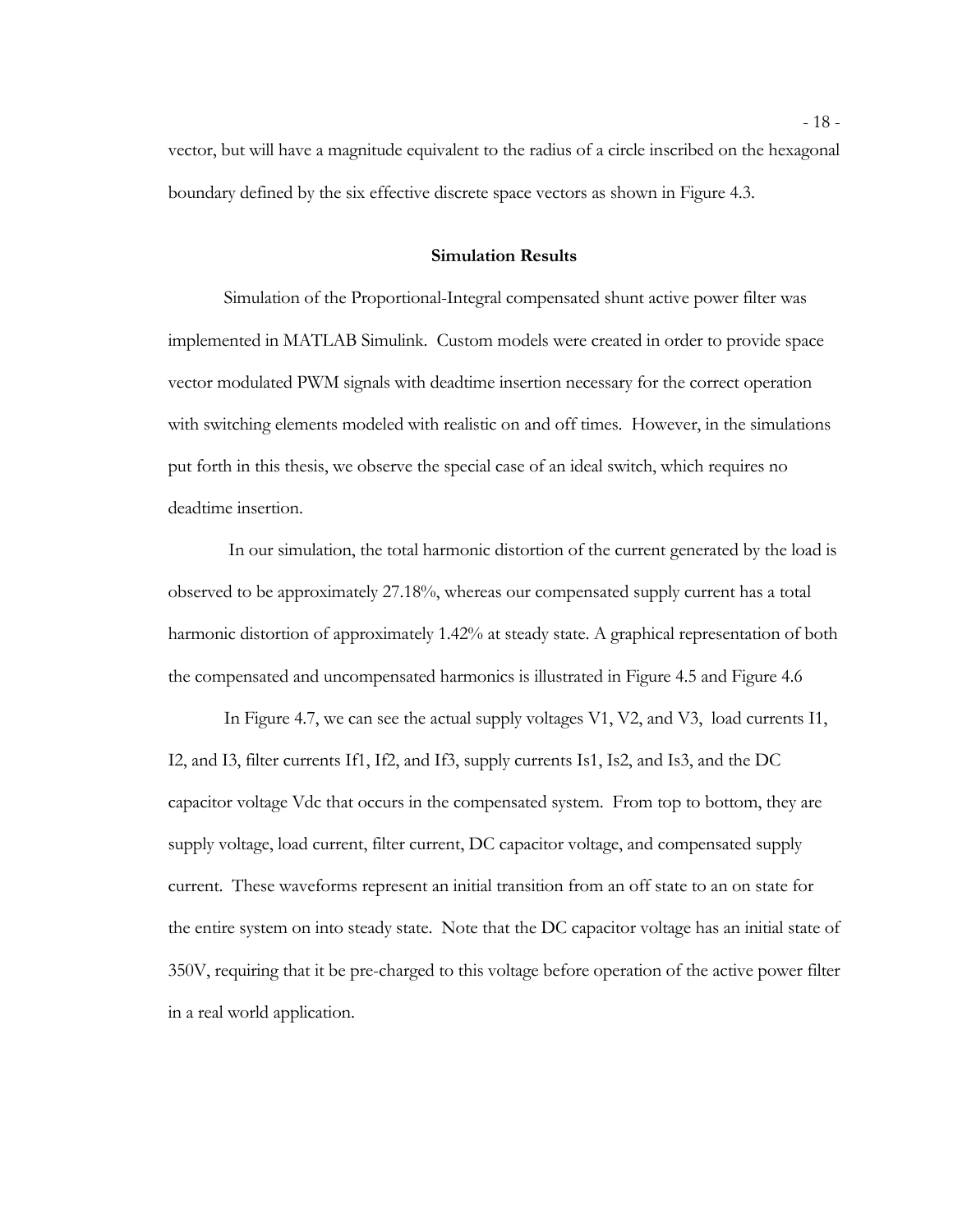vector, but will have a magnitude equivalent to the radius of a circle inscribed on the hexagonal boundary defined by the six effective discrete space vectors as shown in Figure 4.3.

### **Simulation Results**

Simulation of the Proportional-Integral compensated shunt active power filter was implemented in MATLAB Simulink. Custom models were created in order to provide space vector modulated PWM signals with deadtime insertion necessary for the correct operation with switching elements modeled with realistic on and off times. However, in the simulations put forth in this thesis, we observe the special case of an ideal switch, which requires no deadtime insertion.

In our simulation, the total harmonic distortion of the current generated by the load is observed to be approximately 27.18%, whereas our compensated supply current has a total harmonic distortion of approximately 1.42% at steady state. A graphical representation of both the compensated and uncompensated harmonics is illustrated in Figure 4.5 and Figure 4.6

In Figure 4.7, we can see the actual supply voltages V1, V2, and V3, load currents I1, I2, and I3, filter currents If1, If2, and If3, supply currents Is1, Is2, and Is3, and the DC capacitor voltage Vdc that occurs in the compensated system. From top to bottom, they are supply voltage, load current, filter current, DC capacitor voltage, and compensated supply current. These waveforms represent an initial transition from an off state to an on state for the entire system on into steady state. Note that the DC capacitor voltage has an initial state of 350V, requiring that it be pre-charged to this voltage before operation of the active power filter in a real world application.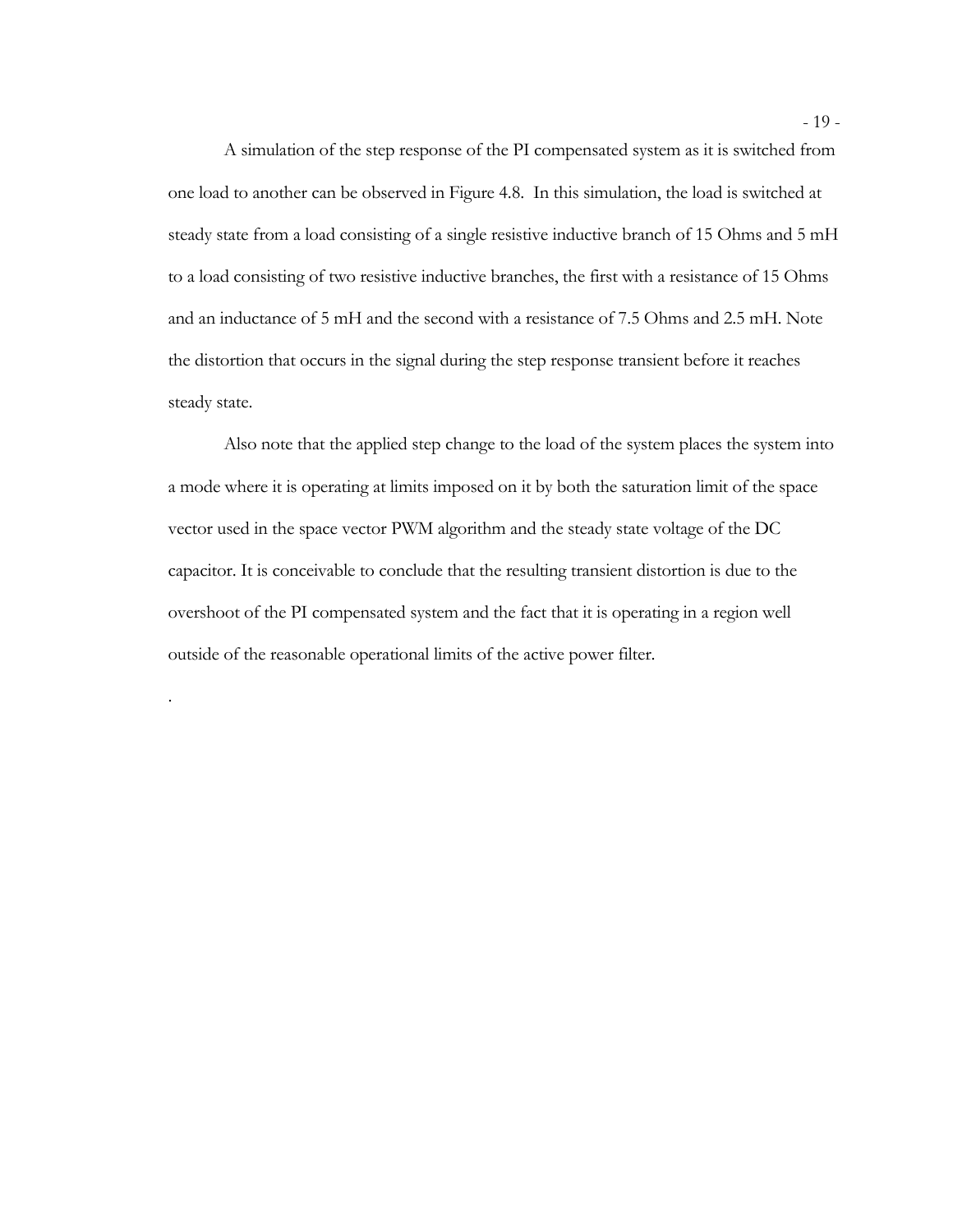A simulation of the step response of the PI compensated system as it is switched from one load to another can be observed in Figure 4.8. In this simulation, the load is switched at steady state from a load consisting of a single resistive inductive branch of 15 Ohms and 5 mH to a load consisting of two resistive inductive branches, the first with a resistance of 15 Ohms and an inductance of 5 mH and the second with a resistance of 7.5 Ohms and 2.5 mH. Note the distortion that occurs in the signal during the step response transient before it reaches steady state.

Also note that the applied step change to the load of the system places the system into a mode where it is operating at limits imposed on it by both the saturation limit of the space vector used in the space vector PWM algorithm and the steady state voltage of the DC capacitor. It is conceivable to conclude that the resulting transient distortion is due to the overshoot of the PI compensated system and the fact that it is operating in a region well outside of the reasonable operational limits of the active power filter.

.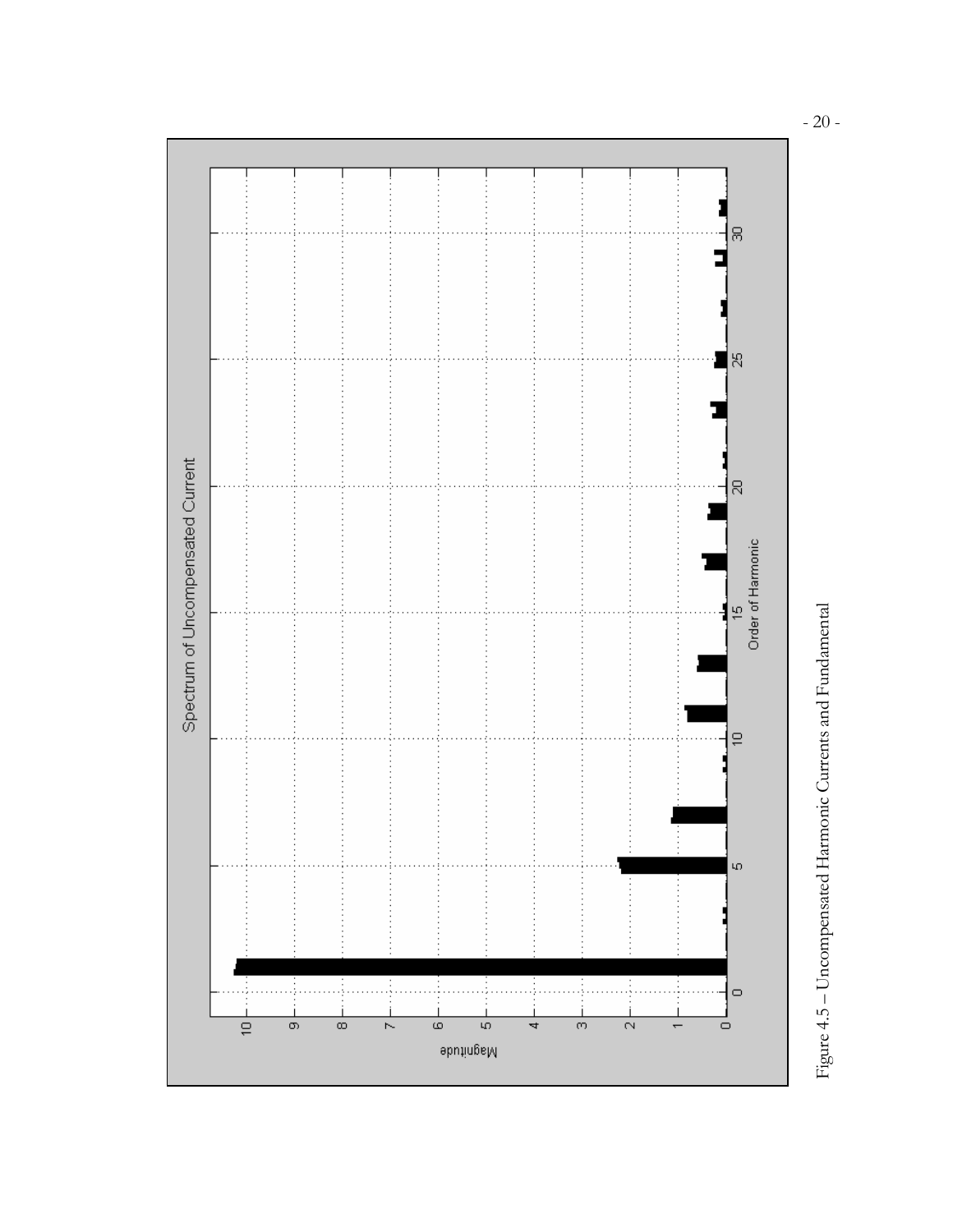



- 20 -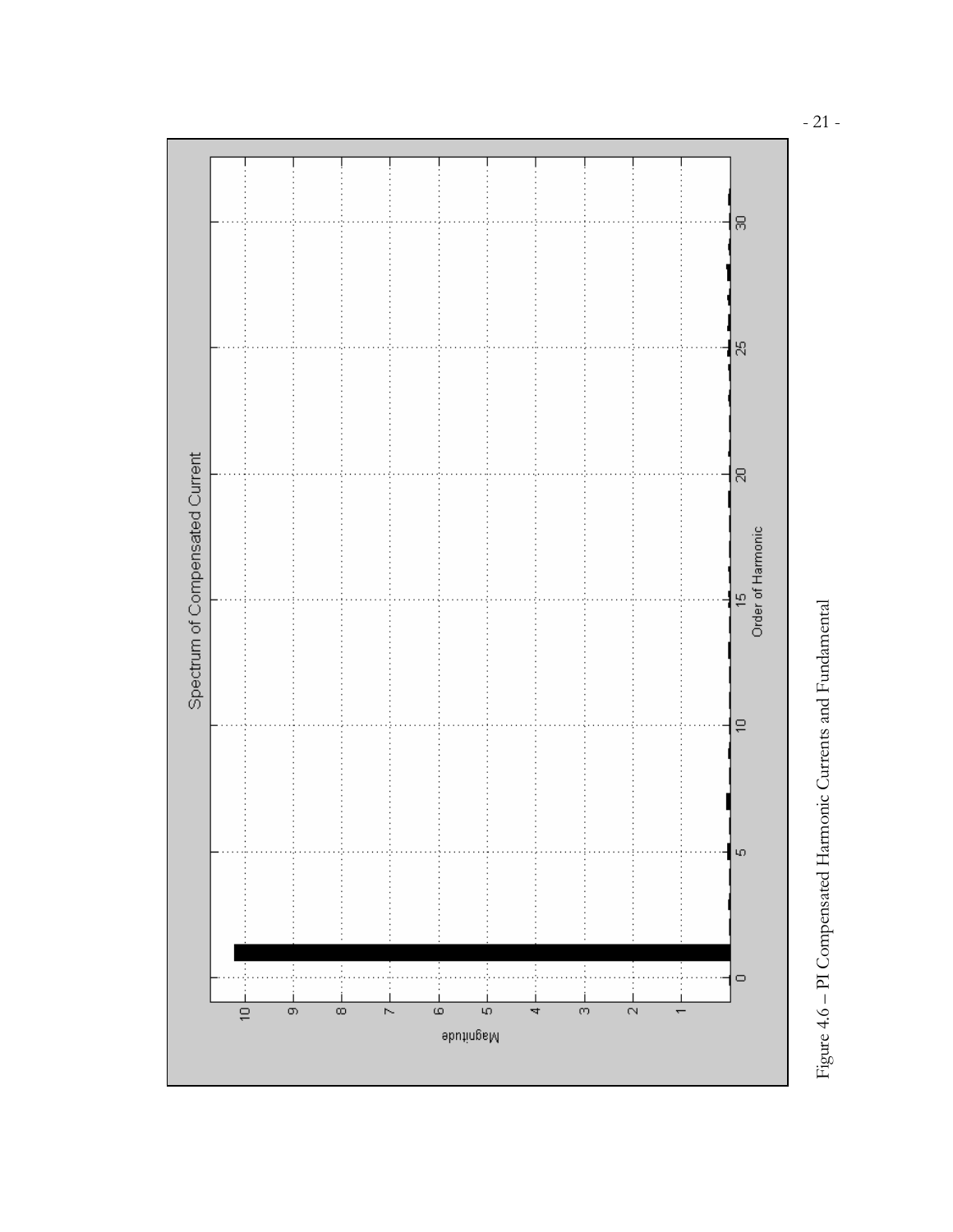



- 21 -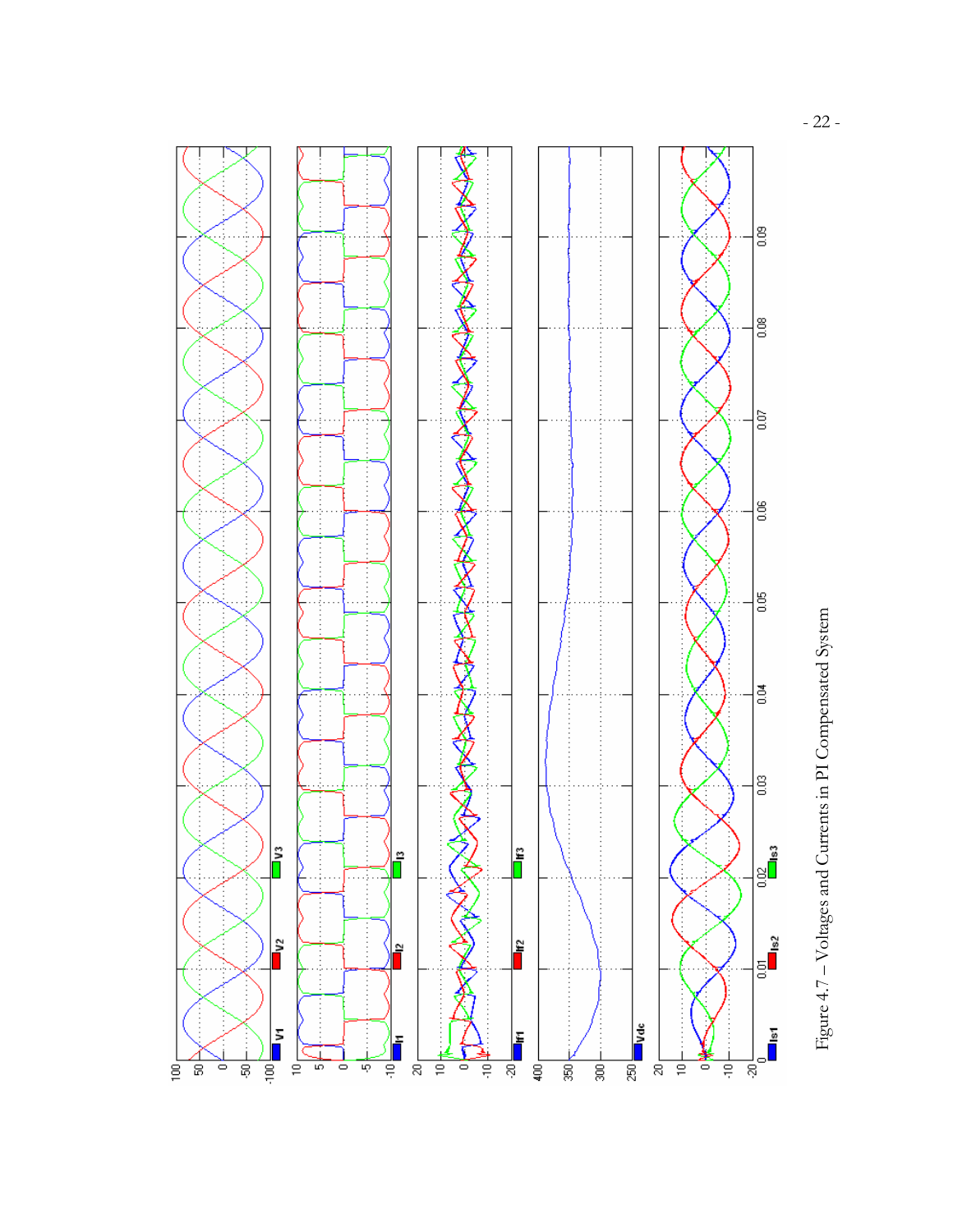

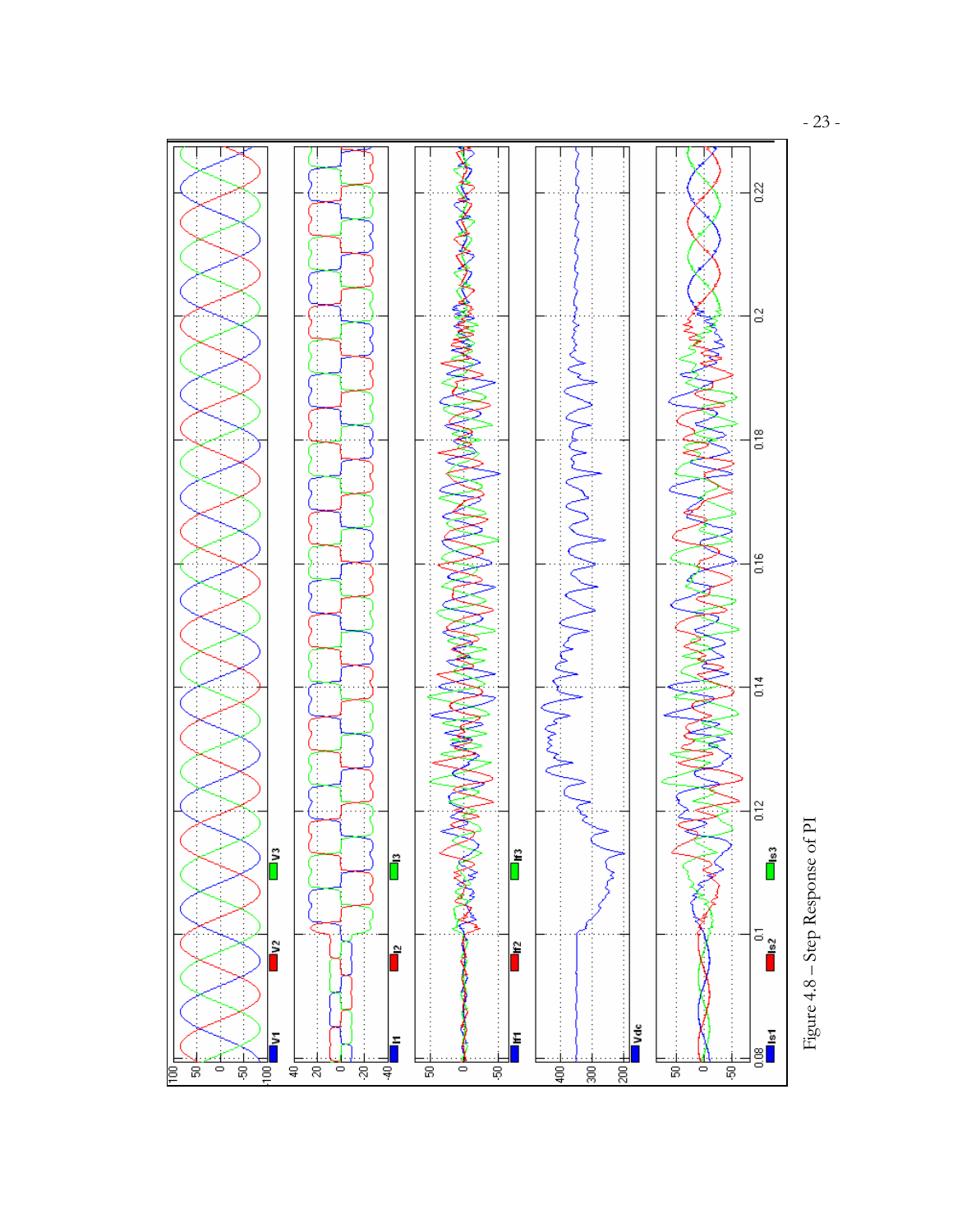

Figure  $4.8$  – Step Response of  $\rm PI$ Figure 4.8 – Step Response of PI

- 23 -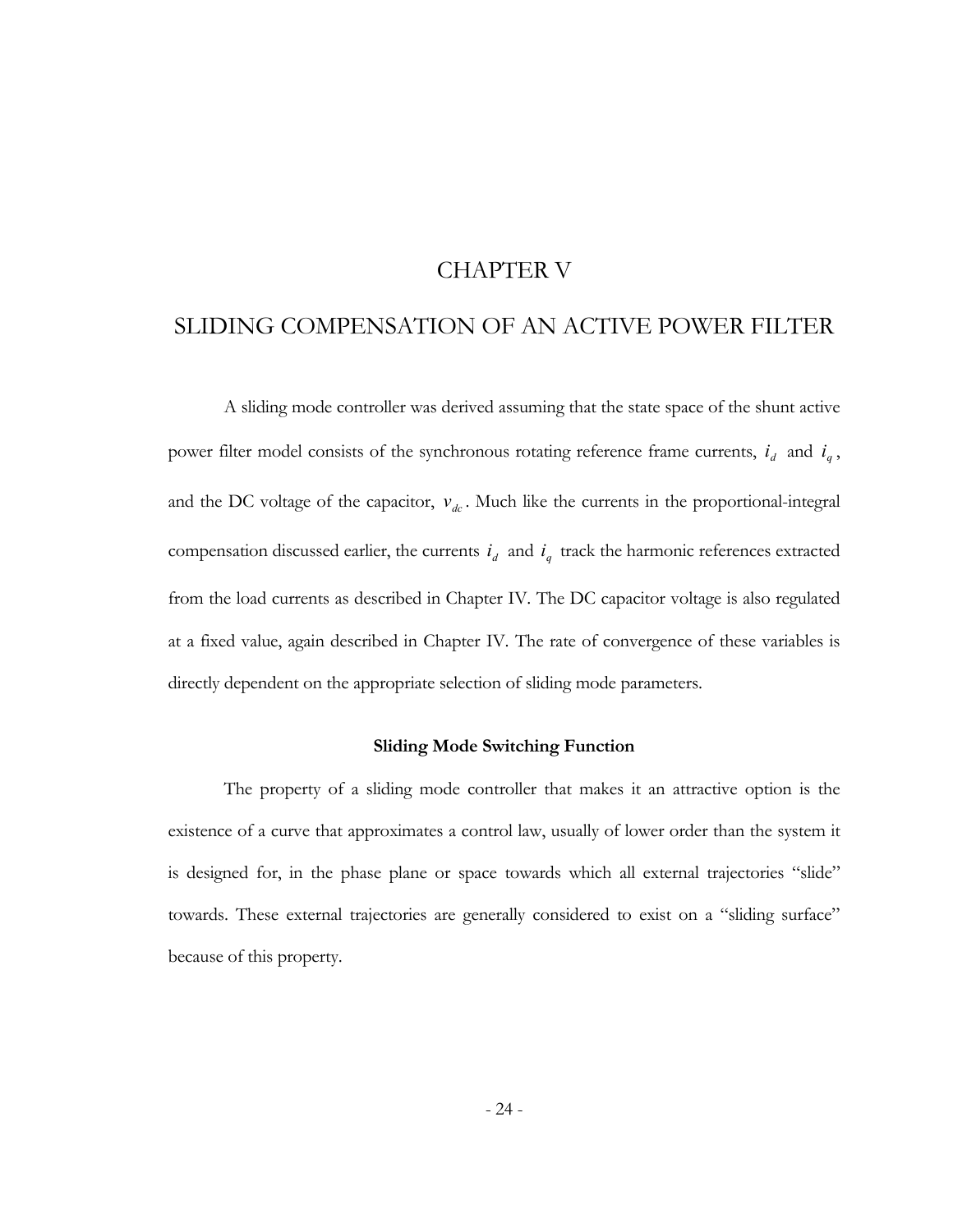# CHAPTER V

# SLIDING COMPENSATION OF AN ACTIVE POWER FILTER

A sliding mode controller was derived assuming that the state space of the shunt active power filter model consists of the synchronous rotating reference frame currents,  $i_d$  and  $i_q$ , and the DC voltage of the capacitor,  $v_{dc}$ . Much like the currents in the proportional-integral compensation discussed earlier, the currents  $i_d$  and  $i_q$  track the harmonic references extracted from the load currents as described in Chapter IV. The DC capacitor voltage is also regulated at a fixed value, again described in Chapter IV. The rate of convergence of these variables is directly dependent on the appropriate selection of sliding mode parameters.

#### **Sliding Mode Switching Function**

The property of a sliding mode controller that makes it an attractive option is the existence of a curve that approximates a control law, usually of lower order than the system it is designed for, in the phase plane or space towards which all external trajectories "slide" towards. These external trajectories are generally considered to exist on a "sliding surface" because of this property.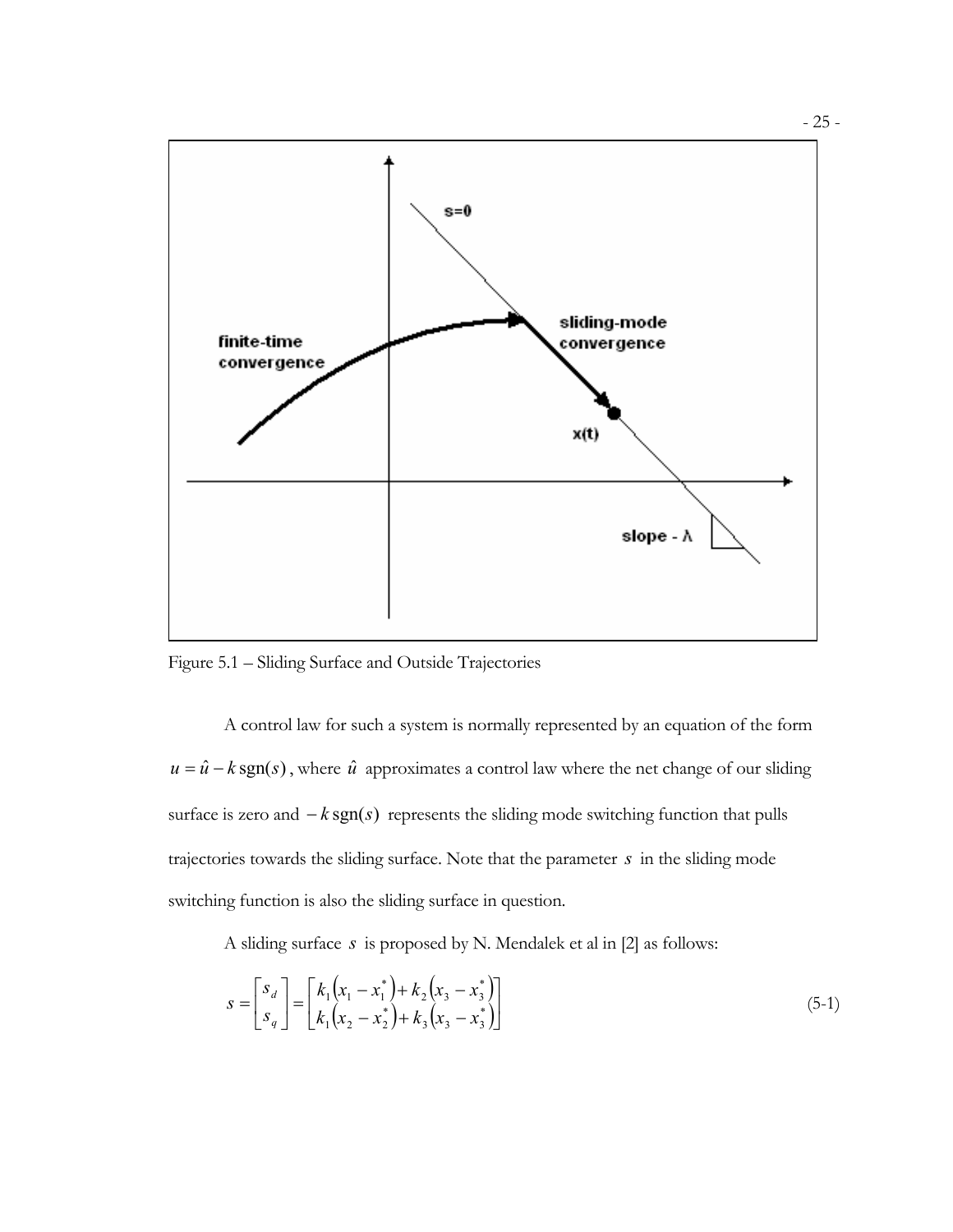

Figure 5.1 – Sliding Surface and Outside Trajectories

A control law for such a system is normally represented by an equation of the form  $u = \hat{u} - k \text{sgn}(s)$ , where  $\hat{u}$  approximates a control law where the net change of our sliding surface is zero and  $-k$  sgn( $s$ ) represents the sliding mode switching function that pulls trajectories towards the sliding surface. Note that the parameter *s* in the sliding mode switching function is also the sliding surface in question.

A sliding surface *s* is proposed by N. Mendalek et al in [2] as follows:

$$
s = \begin{bmatrix} s_d \\ s_g \end{bmatrix} = \begin{bmatrix} k_1 \left( x_1 - x_1^* \right) + k_2 \left( x_3 - x_3^* \right) \\ k_1 \left( x_2 - x_2^* \right) + k_3 \left( x_3 - x_3^* \right) \end{bmatrix} \tag{5-1}
$$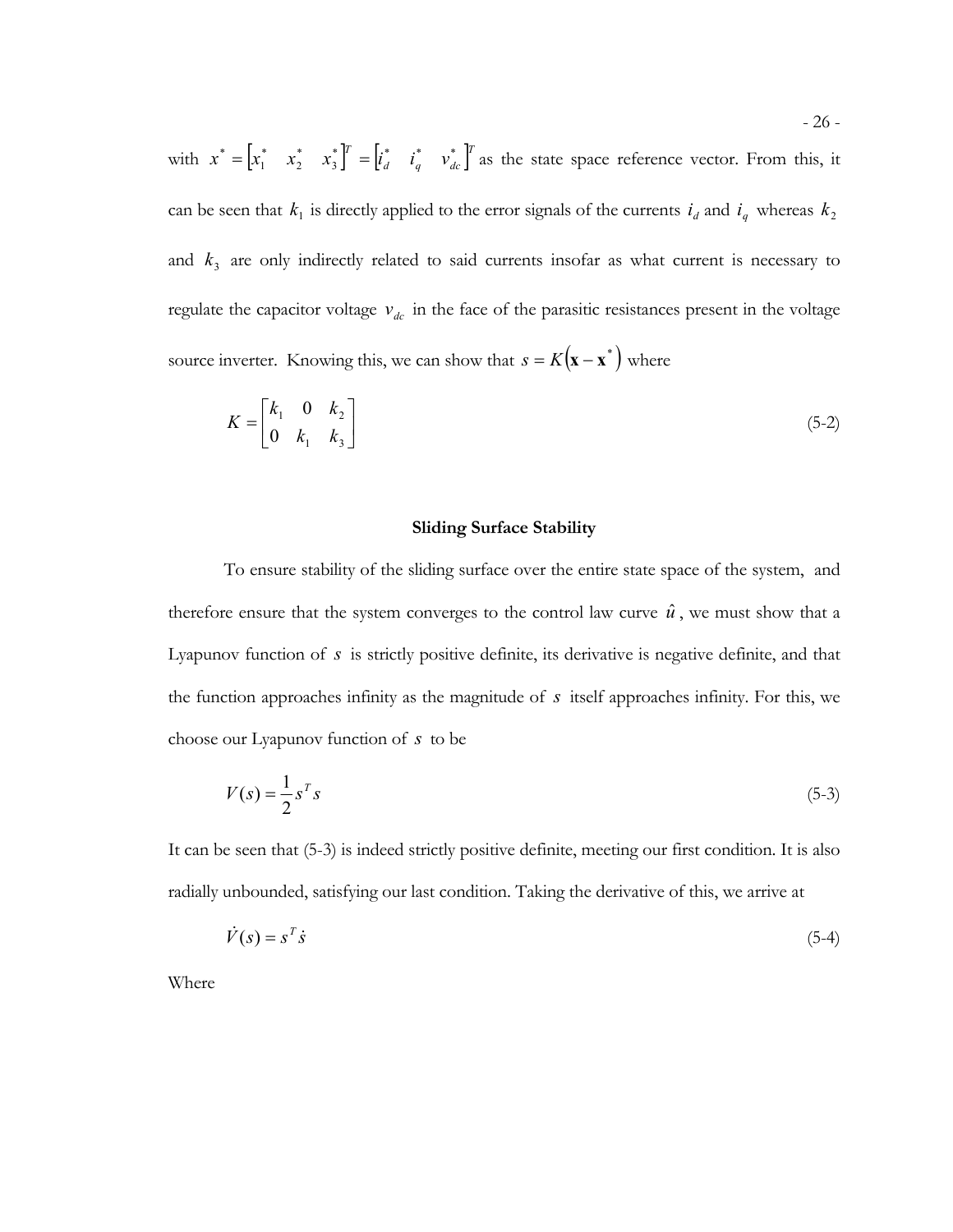with  $x^* = \begin{bmatrix} x_1^* & x_2^* & x_3^* \end{bmatrix}^T = \begin{bmatrix} i_d^* & i_q^* & v_{dc}^* \end{bmatrix}^T$  $x^* = \begin{bmatrix} x_1^* & x_2^* & x_3^* \end{bmatrix}^T = \begin{bmatrix} i_d^* & i_q^* & v_d^* \end{bmatrix}^T$ \* 2 \*  $\mathbf{I}^* = \begin{bmatrix} x_1^* & x_2^* & x_3^* \end{bmatrix}^T = \begin{bmatrix} i_d^* & i_q^* & v_{dc}^* \end{bmatrix}^T$  as the state space reference vector. From this, it can be seen that  $k_1$  is directly applied to the error signals of the currents  $i_d$  and  $i_q$  whereas  $k_2$ and  $k<sub>3</sub>$  are only indirectly related to said currents insofar as what current is necessary to regulate the capacitor voltage  $v_{dc}$  in the face of the parasitic resistances present in the voltage source inverter. Knowing this, we can show that  $s = K(\mathbf{x} - \mathbf{x}^*)$  where

$$
K = \begin{bmatrix} k_1 & 0 & k_2 \\ 0 & k_1 & k_3 \end{bmatrix} \tag{5-2}
$$

#### **Sliding Surface Stability**

To ensure stability of the sliding surface over the entire state space of the system, and therefore ensure that the system converges to the control law curve  $\hat{u}$ , we must show that a Lyapunov function of *s* is strictly positive definite, its derivative is negative definite, and that the function approaches infinity as the magnitude of *s* itself approaches infinity. For this, we choose our Lyapunov function of *s* to be

$$
V(s) = \frac{1}{2} s^T s \tag{5-3}
$$

It can be seen that (5-3) is indeed strictly positive definite, meeting our first condition. It is also radially unbounded, satisfying our last condition. Taking the derivative of this, we arrive at

$$
\dot{V}(s) = s^T \dot{s} \tag{5-4}
$$

Where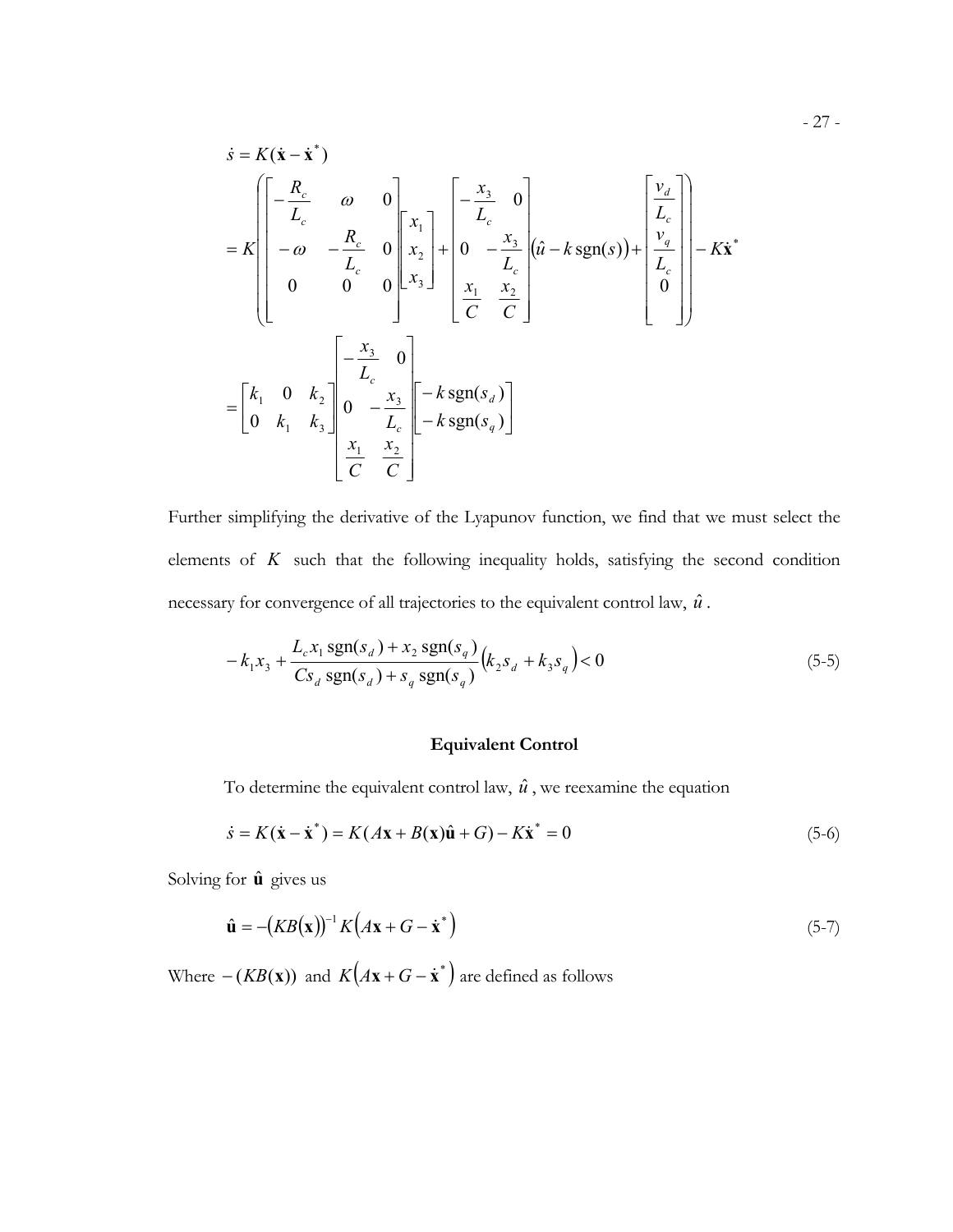$$
\dot{s} = K(\dot{\mathbf{x}} - \dot{\mathbf{x}}^*)
$$
\n
$$
= K \begin{bmatrix}\n-\frac{R_c}{L_c} & \omega & 0 \\
-\omega & -\frac{R_c}{L_c} & 0 \\
0 & 0 & 0\n\end{bmatrix}\n\begin{bmatrix}\nx_1 \\
x_2 \\
x_3\n\end{bmatrix} + \begin{bmatrix}\n-\frac{x_3}{L_c} & 0 \\
0 & -\frac{x_3}{L_c} \\
\frac{x_1}{C} & \frac{x_2}{C}\n\end{bmatrix} (\hat{u} - k \operatorname{sgn}(s)) + \begin{bmatrix}\n\frac{v_d}{L_c} \\
\frac{v_q}{L_c} \\
0\n\end{bmatrix} - K\dot{\mathbf{x}}^*
$$
\n
$$
= \begin{bmatrix}\nk_1 & 0 & k_2 \\
0 & k_1 & k_3\n\end{bmatrix} \begin{bmatrix}\n-\frac{x_3}{L_c} & 0 \\
0 & -\frac{x_3}{L_c} \\
\frac{x_1}{C} & \frac{x_2}{C}\n\end{bmatrix} - k \operatorname{sgn}(s_d)
$$
\n
$$
\frac{x_1}{C} \begin{bmatrix}\n\frac{x_2}{C} \\
\frac{x_1}{C} \\
\frac{x_2}{C}\n\end{bmatrix} - k \operatorname{sgn}(s_q)
$$

Further simplifying the derivative of the Lyapunov function, we find that we must select the elements of  $K$  such that the following inequality holds, satisfying the second condition necessary for convergence of all trajectories to the equivalent control law,  $\hat{u}$ .

$$
-k_1 x_3 + \frac{L_c x_1 \text{ sgn}(s_d) + x_2 \text{ sgn}(s_q)}{Cs_d \text{ sgn}(s_d) + s_q \text{ sgn}(s_q)} (k_2 s_d + k_3 s_q) < 0
$$
\n
$$
(5-5)
$$

### **Equivalent Control**

To determine the equivalent control law,  $\hat{u}$ , we reexamine the equation

$$
\dot{s} = K(\dot{x} - \dot{x}^*) = K(Ax + B(x)\hat{u} + G) - K\dot{x}^* = 0
$$
\n(5-6)

Solving for  $\hat{\mathbf{u}}$  gives us

$$
\hat{\mathbf{u}} = -(KB(\mathbf{x}))^{-1} K(A\mathbf{x} + G - \dot{\mathbf{x}}^*)
$$
\n(5-7)

Where  $-(KB(x))$  and  $K(Ax + G - \dot{x}^*)$  are defined as follows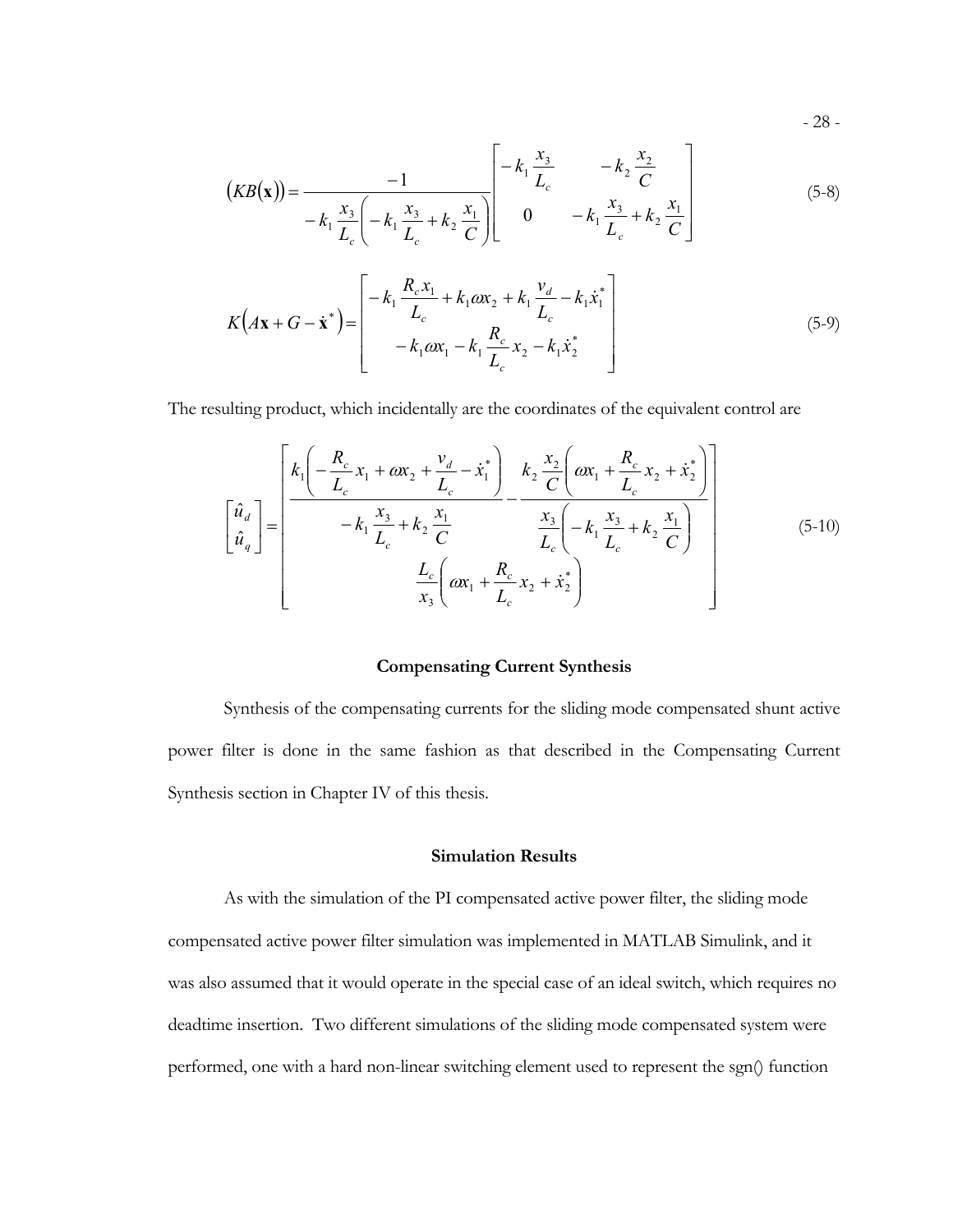- 28 -

$$
(KB(\mathbf{x})) = \frac{-1}{-k_1 \frac{x_3}{L_c} \left(-k_1 \frac{x_3}{L_c} + k_2 \frac{x_1}{C}\right)} \begin{bmatrix} -k_1 \frac{x_3}{L_c} & -k_2 \frac{x_2}{C} \\ 0 & -k_1 \frac{x_3}{L_c} + k_2 \frac{x_1}{C} \end{bmatrix}
$$
(5-8)

$$
K(A\mathbf{x} + G - \dot{\mathbf{x}}^*) = \begin{bmatrix} k_1 & k_1 \ln 2 + k_1 \ln 2 \\ -k_1 \omega x_1 - k_1 \frac{R_c}{L_c} x_2 - k_1 \dot{x}_2^* \\ 0.5-9) \end{bmatrix}
$$
 (5-9)

The resulting product, which incidentally are the coordinates of the equivalent control are

$$
\begin{bmatrix} \hat{u}_d \\ \hat{u}_q \end{bmatrix} = \begin{bmatrix} k_1 \left( -\frac{R_c}{L_c} x_1 + \omega x_2 + \frac{v_d}{L_c} - \dot{x}_1^* \right) & k_2 \frac{x_2}{C} \left( \omega x_1 + \frac{R_c}{L_c} x_2 + \dot{x}_2^* \right) \\ -k_1 \frac{x_3}{L_c} + k_2 \frac{x_1}{C} & \frac{x_3}{L_c} \left( -k_1 \frac{x_3}{L_c} + k_2 \frac{x_1}{C} \right) \\ \frac{L_c}{x_3} \left( \omega x_1 + \frac{R_c}{L_c} x_2 + \dot{x}_2^* \right) \end{bmatrix}
$$
(5-10)

### **Compensating Current Synthesis**

Synthesis of the compensating currents for the sliding mode compensated shunt active power filter is done in the same fashion as that described in the Compensating Current Synthesis section in Chapter IV of this thesis.

### **Simulation Results**

As with the simulation of the PI compensated active power filter, the sliding mode compensated active power filter simulation was implemented in MATLAB Simulink, and it was also assumed that it would operate in the special case of an ideal switch, which requires no deadtime insertion. Two different simulations of the sliding mode compensated system were performed, one with a hard non-linear switching element used to represent the sgn() function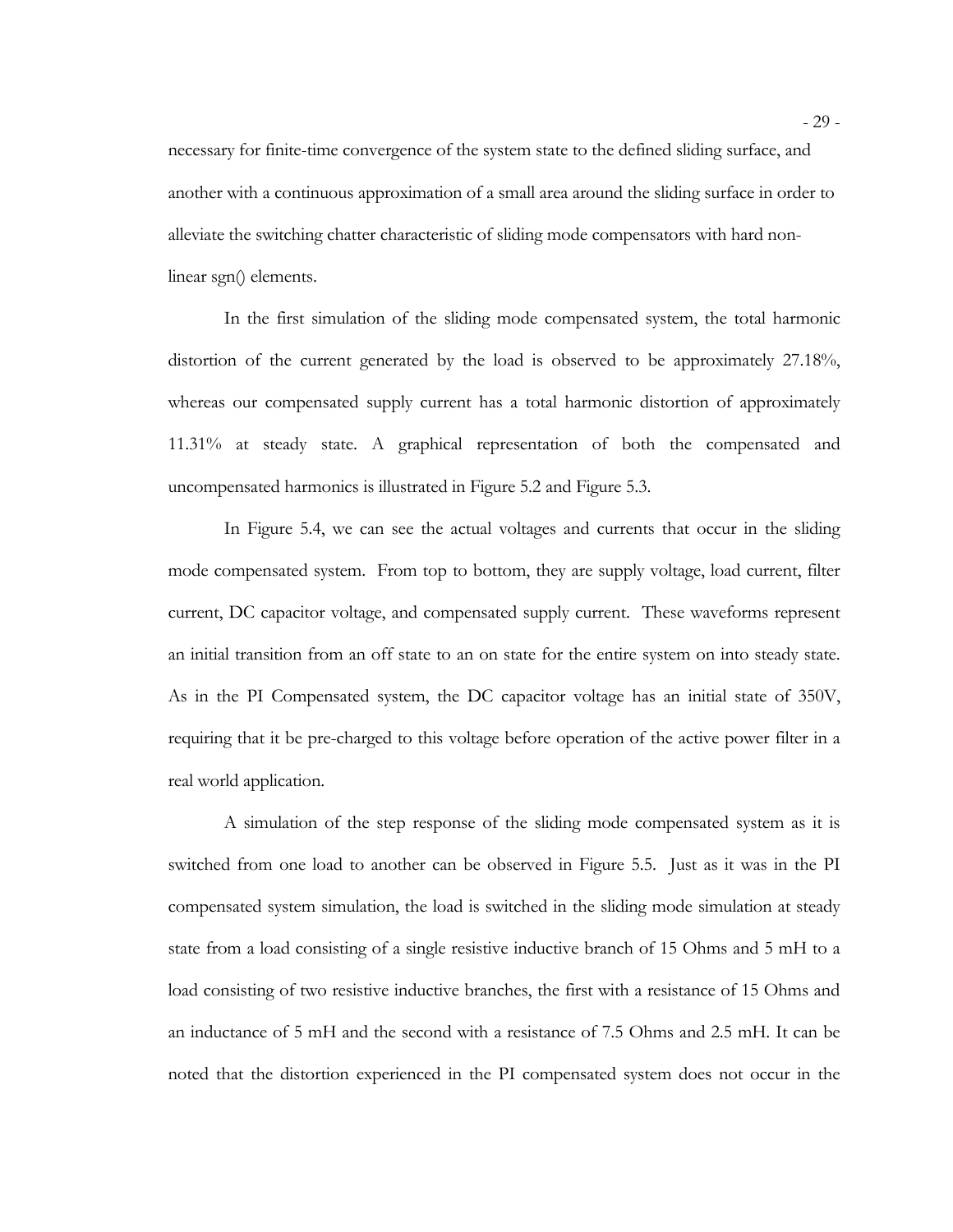necessary for finite-time convergence of the system state to the defined sliding surface, and another with a continuous approximation of a small area around the sliding surface in order to alleviate the switching chatter characteristic of sliding mode compensators with hard nonlinear sgn() elements.

In the first simulation of the sliding mode compensated system, the total harmonic distortion of the current generated by the load is observed to be approximately 27.18%, whereas our compensated supply current has a total harmonic distortion of approximately 11.31% at steady state. A graphical representation of both the compensated and uncompensated harmonics is illustrated in Figure 5.2 and Figure 5.3.

In Figure 5.4, we can see the actual voltages and currents that occur in the sliding mode compensated system. From top to bottom, they are supply voltage, load current, filter current, DC capacitor voltage, and compensated supply current. These waveforms represent an initial transition from an off state to an on state for the entire system on into steady state. As in the PI Compensated system, the DC capacitor voltage has an initial state of 350V, requiring that it be pre-charged to this voltage before operation of the active power filter in a real world application.

A simulation of the step response of the sliding mode compensated system as it is switched from one load to another can be observed in Figure 5.5. Just as it was in the PI compensated system simulation, the load is switched in the sliding mode simulation at steady state from a load consisting of a single resistive inductive branch of 15 Ohms and 5 mH to a load consisting of two resistive inductive branches, the first with a resistance of 15 Ohms and an inductance of 5 mH and the second with a resistance of 7.5 Ohms and 2.5 mH. It can be noted that the distortion experienced in the PI compensated system does not occur in the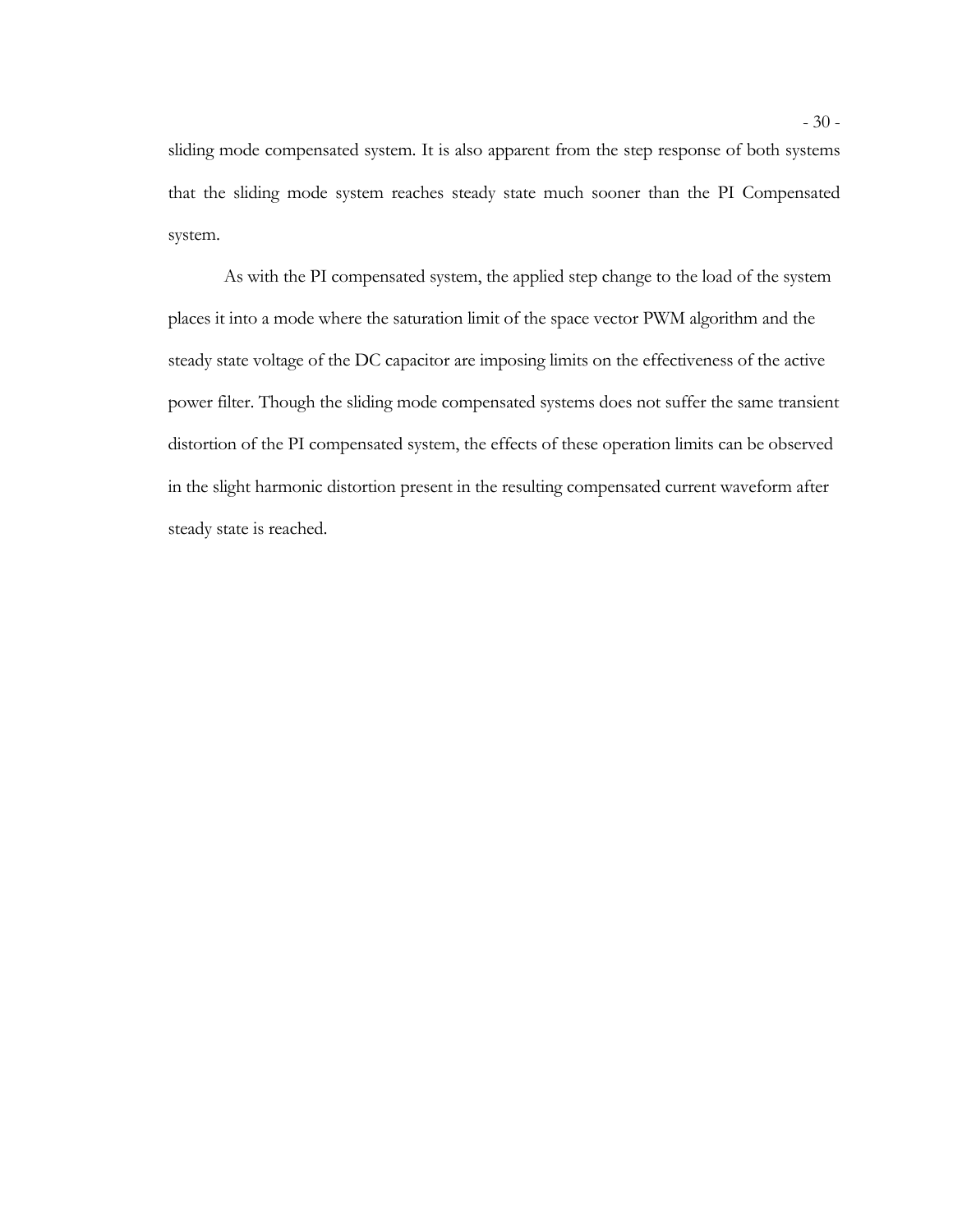sliding mode compensated system. It is also apparent from the step response of both systems that the sliding mode system reaches steady state much sooner than the PI Compensated system.

As with the PI compensated system, the applied step change to the load of the system places it into a mode where the saturation limit of the space vector PWM algorithm and the steady state voltage of the DC capacitor are imposing limits on the effectiveness of the active power filter. Though the sliding mode compensated systems does not suffer the same transient distortion of the PI compensated system, the effects of these operation limits can be observed in the slight harmonic distortion present in the resulting compensated current waveform after steady state is reached.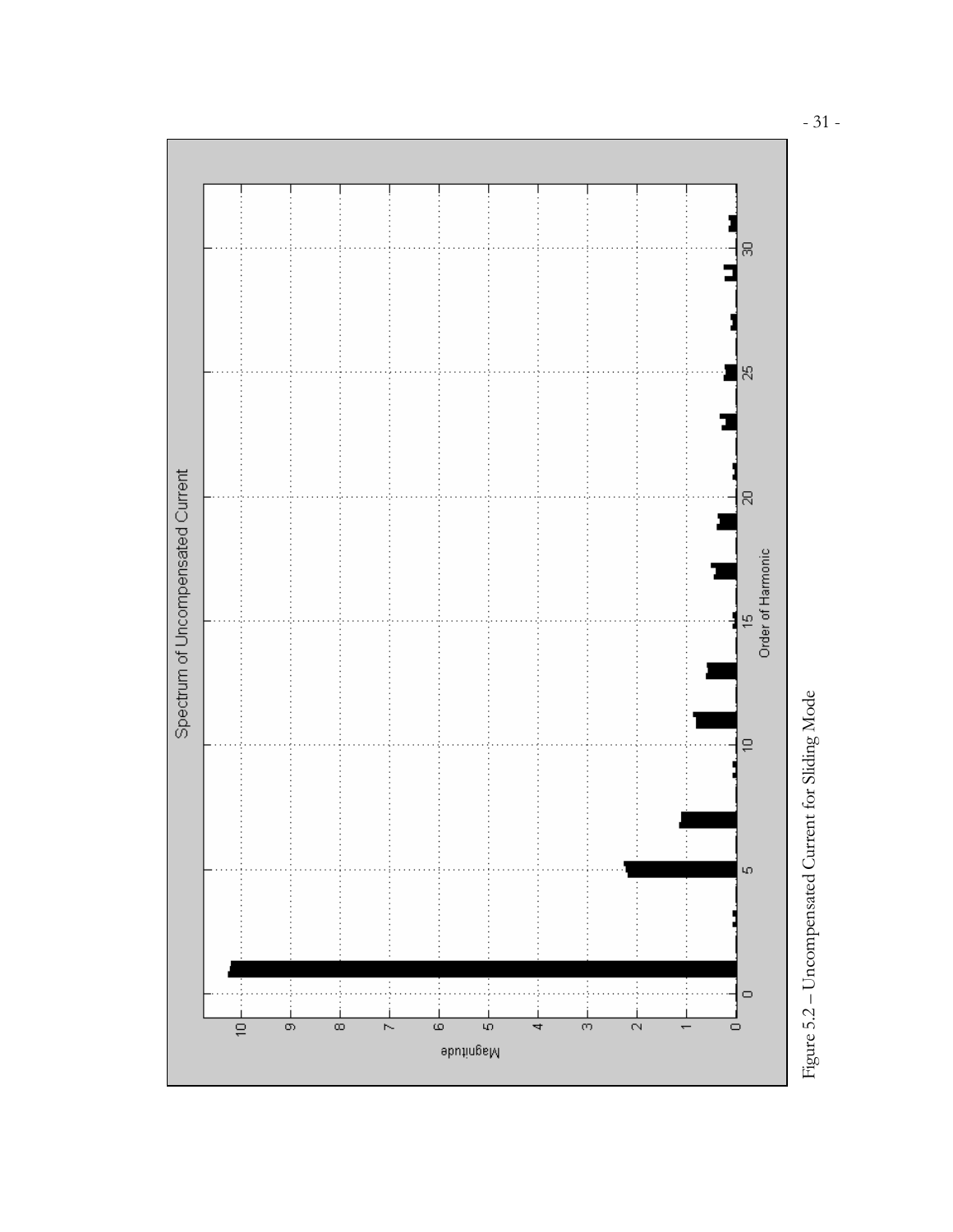

- 31 -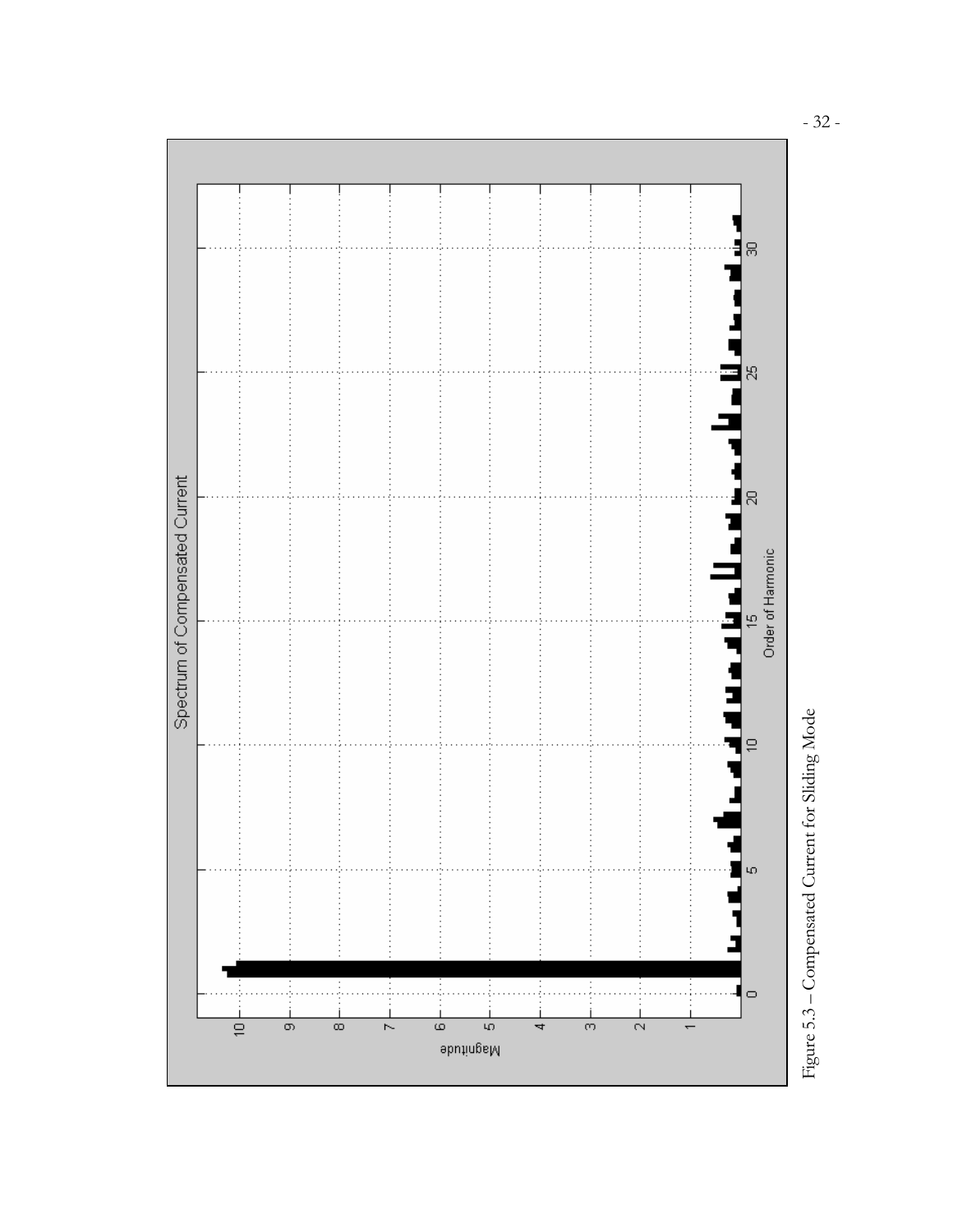



- 32 -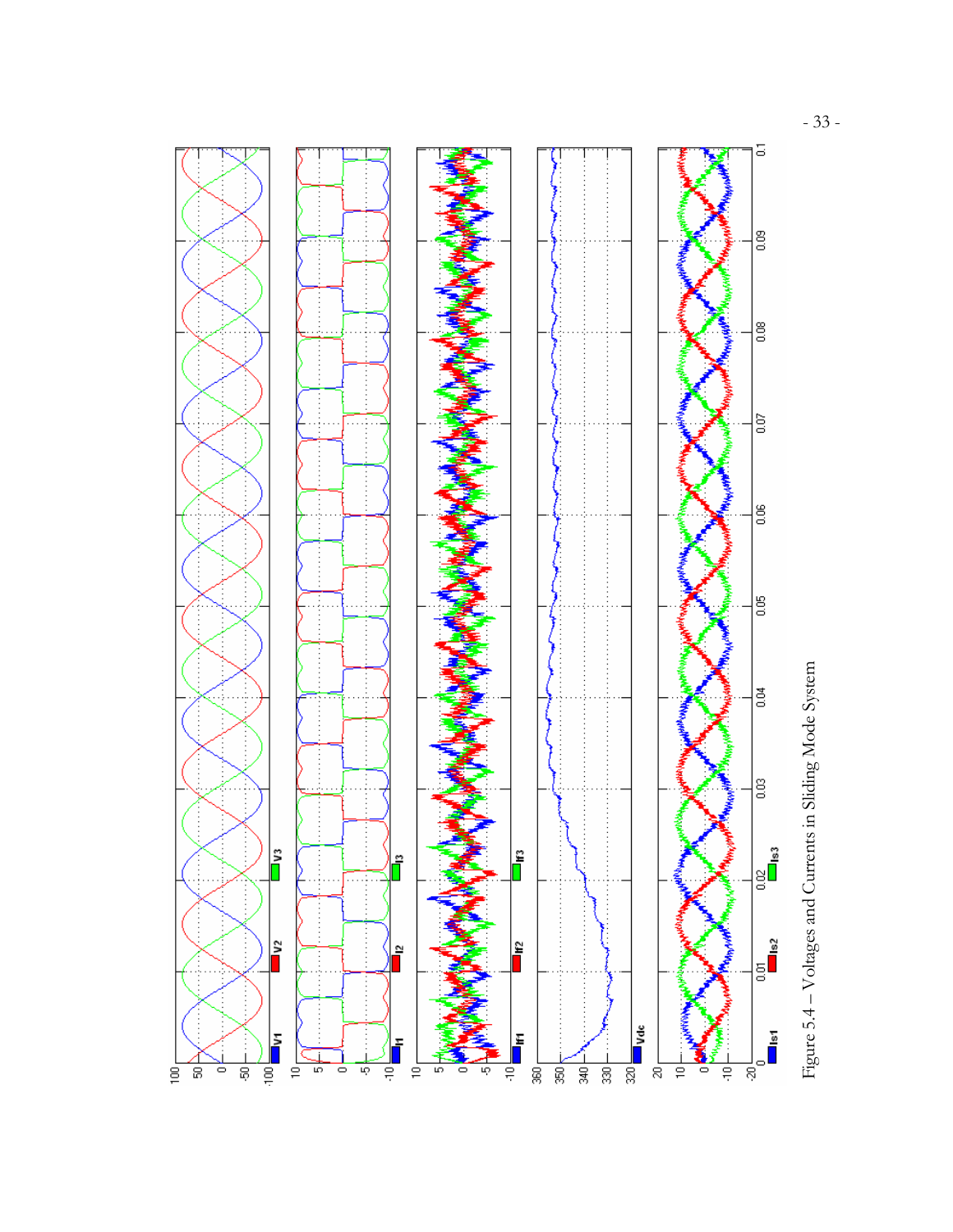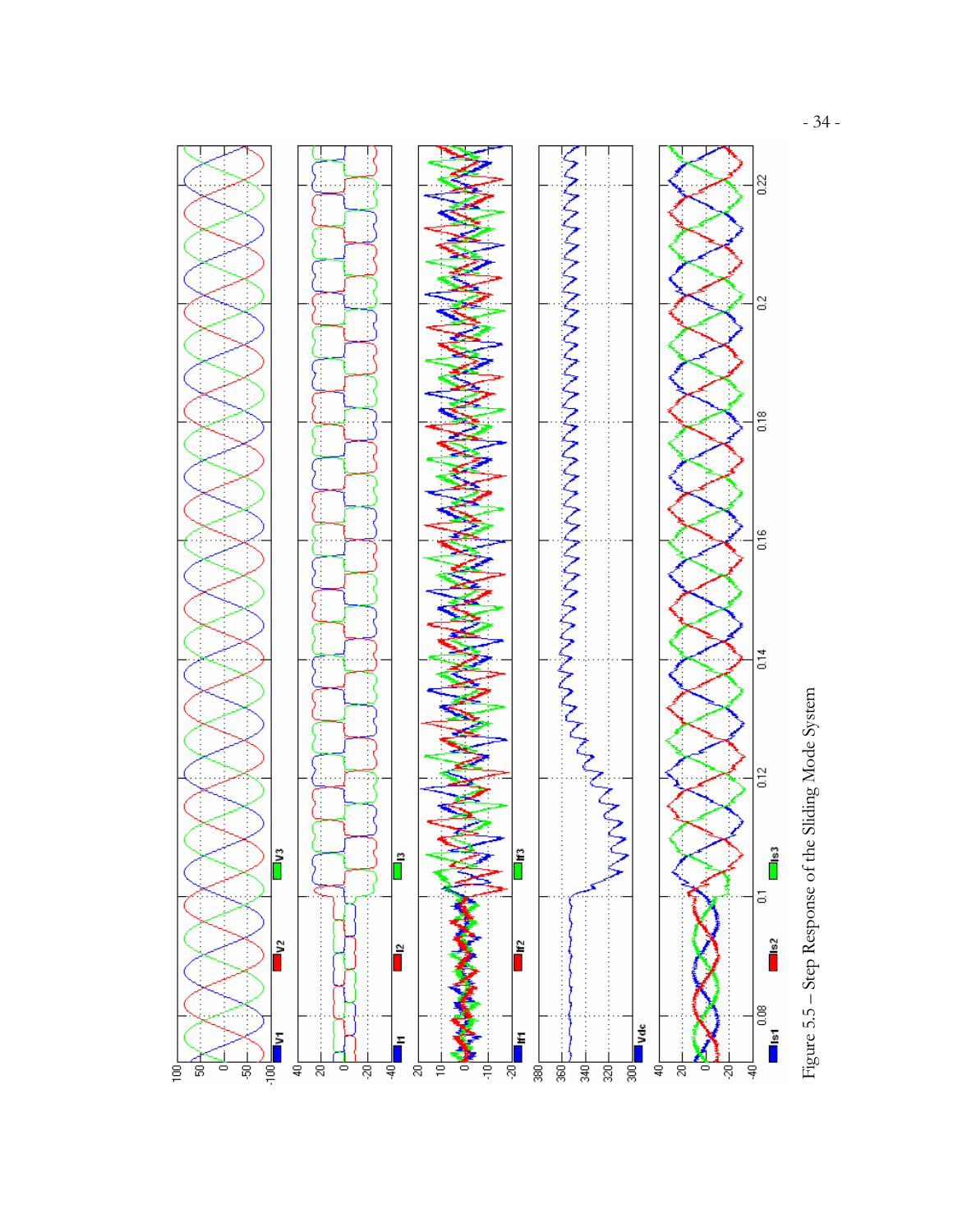Figure 5.5 – Step Response of the Sliding Mode System

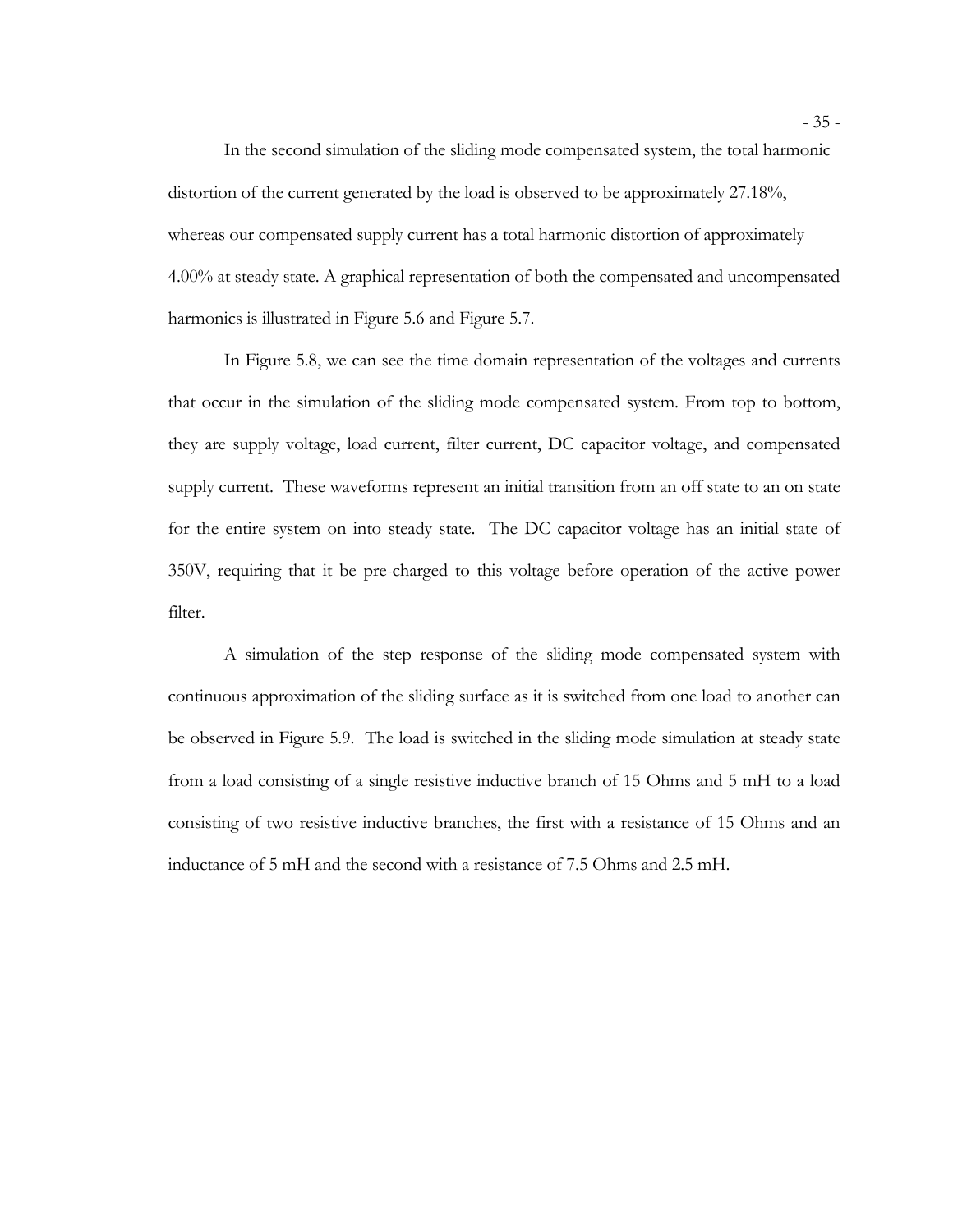In the second simulation of the sliding mode compensated system, the total harmonic distortion of the current generated by the load is observed to be approximately 27.18%, whereas our compensated supply current has a total harmonic distortion of approximately 4.00% at steady state. A graphical representation of both the compensated and uncompensated harmonics is illustrated in Figure 5.6 and Figure 5.7.

In Figure 5.8, we can see the time domain representation of the voltages and currents that occur in the simulation of the sliding mode compensated system. From top to bottom, they are supply voltage, load current, filter current, DC capacitor voltage, and compensated supply current. These waveforms represent an initial transition from an off state to an on state for the entire system on into steady state. The DC capacitor voltage has an initial state of 350V, requiring that it be pre-charged to this voltage before operation of the active power filter.

A simulation of the step response of the sliding mode compensated system with continuous approximation of the sliding surface as it is switched from one load to another can be observed in Figure 5.9. The load is switched in the sliding mode simulation at steady state from a load consisting of a single resistive inductive branch of 15 Ohms and 5 mH to a load consisting of two resistive inductive branches, the first with a resistance of 15 Ohms and an inductance of 5 mH and the second with a resistance of 7.5 Ohms and 2.5 mH.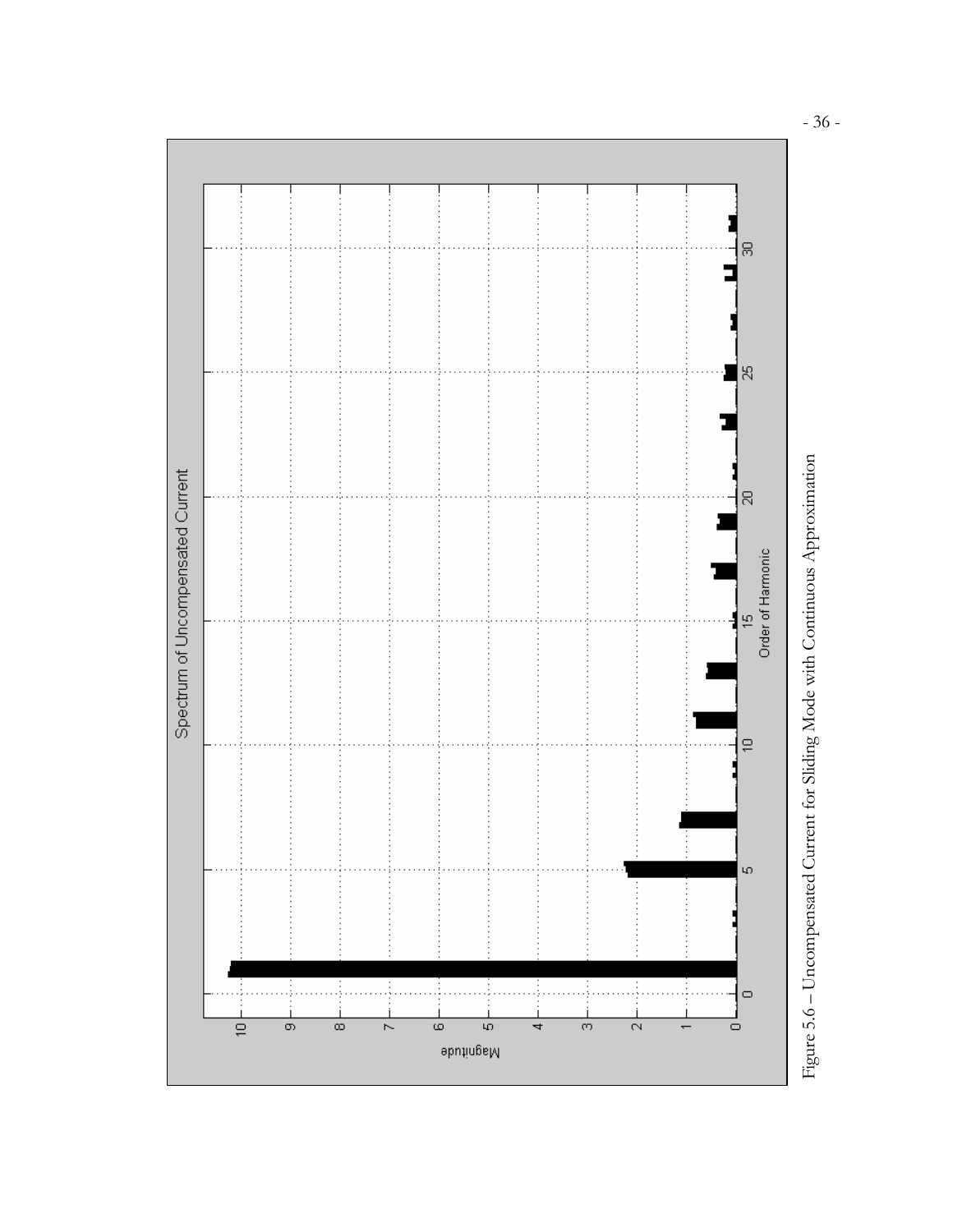

Figure 5.6 - Uncompensated Current for Sliding Mode with Continuous Approximation Figure 5.6 – Uncompensated Current for Sliding Mode with Continuous Approximation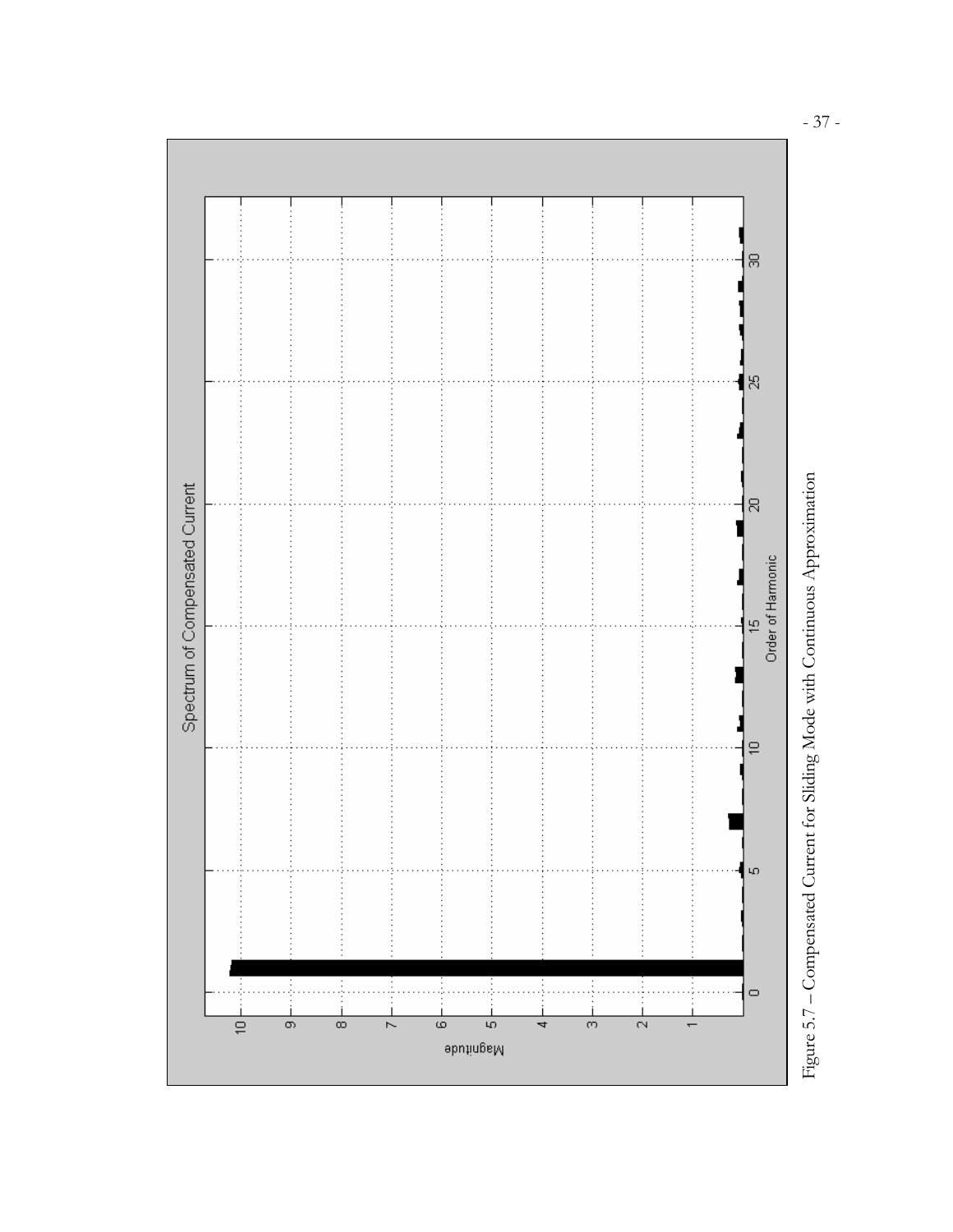

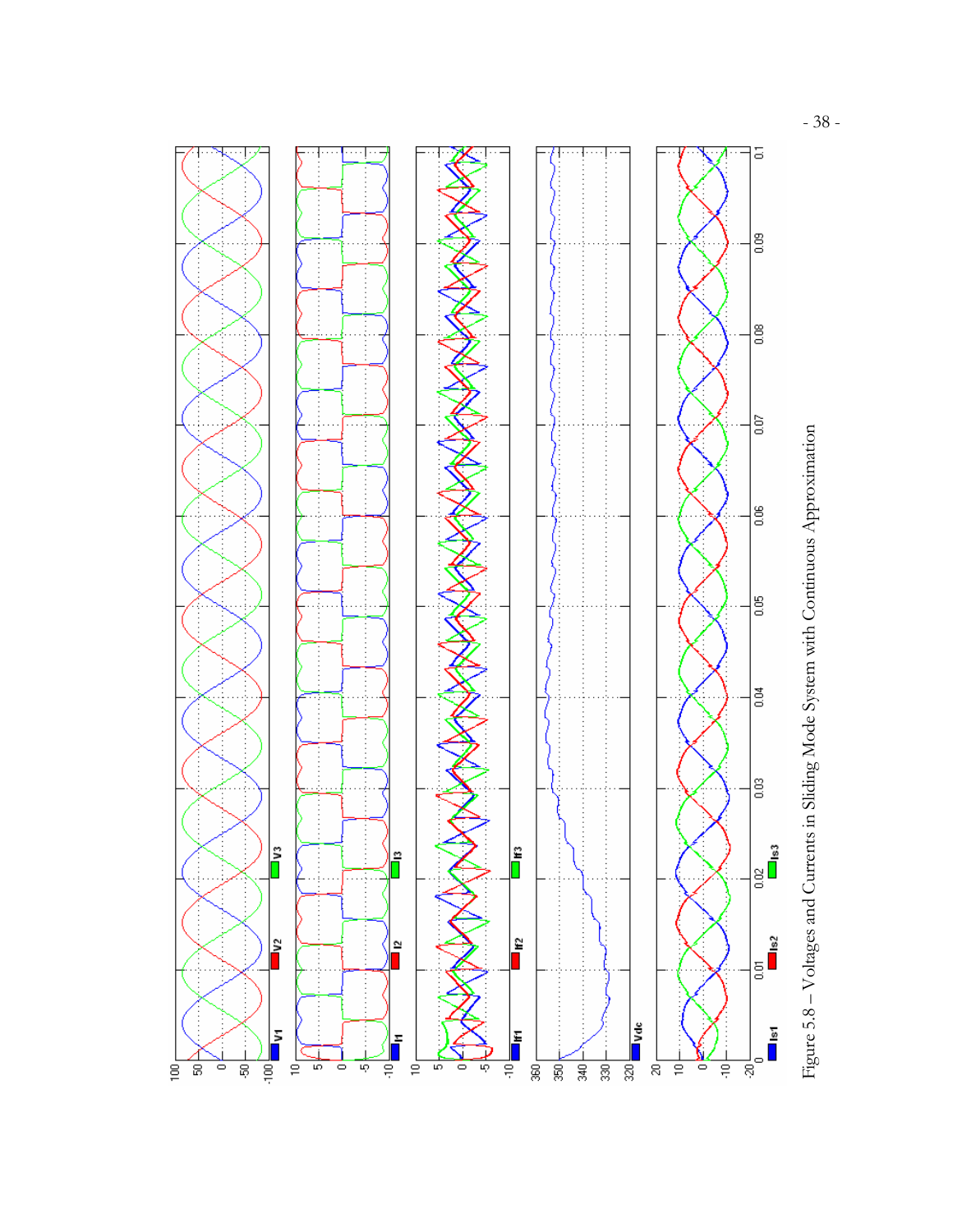

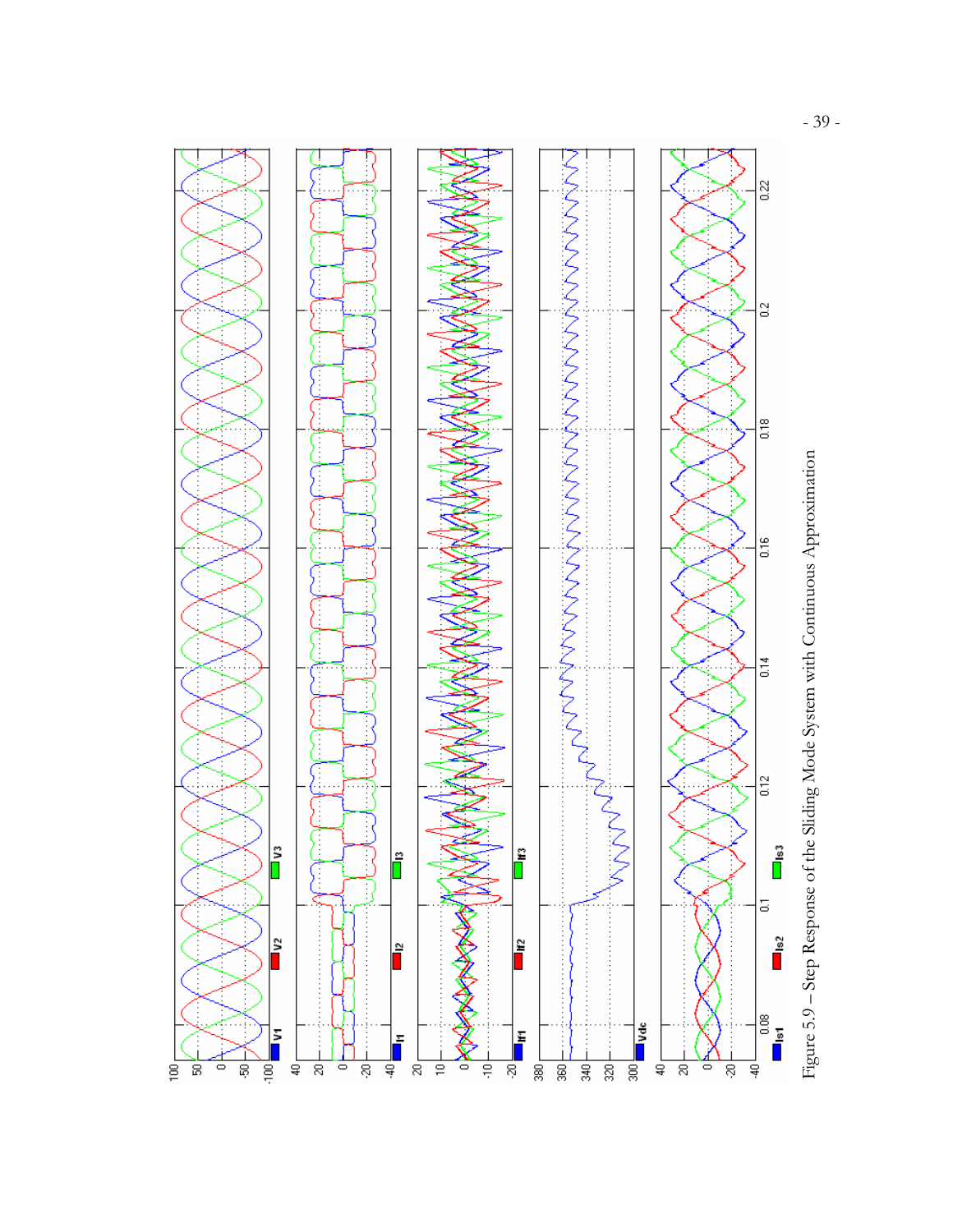



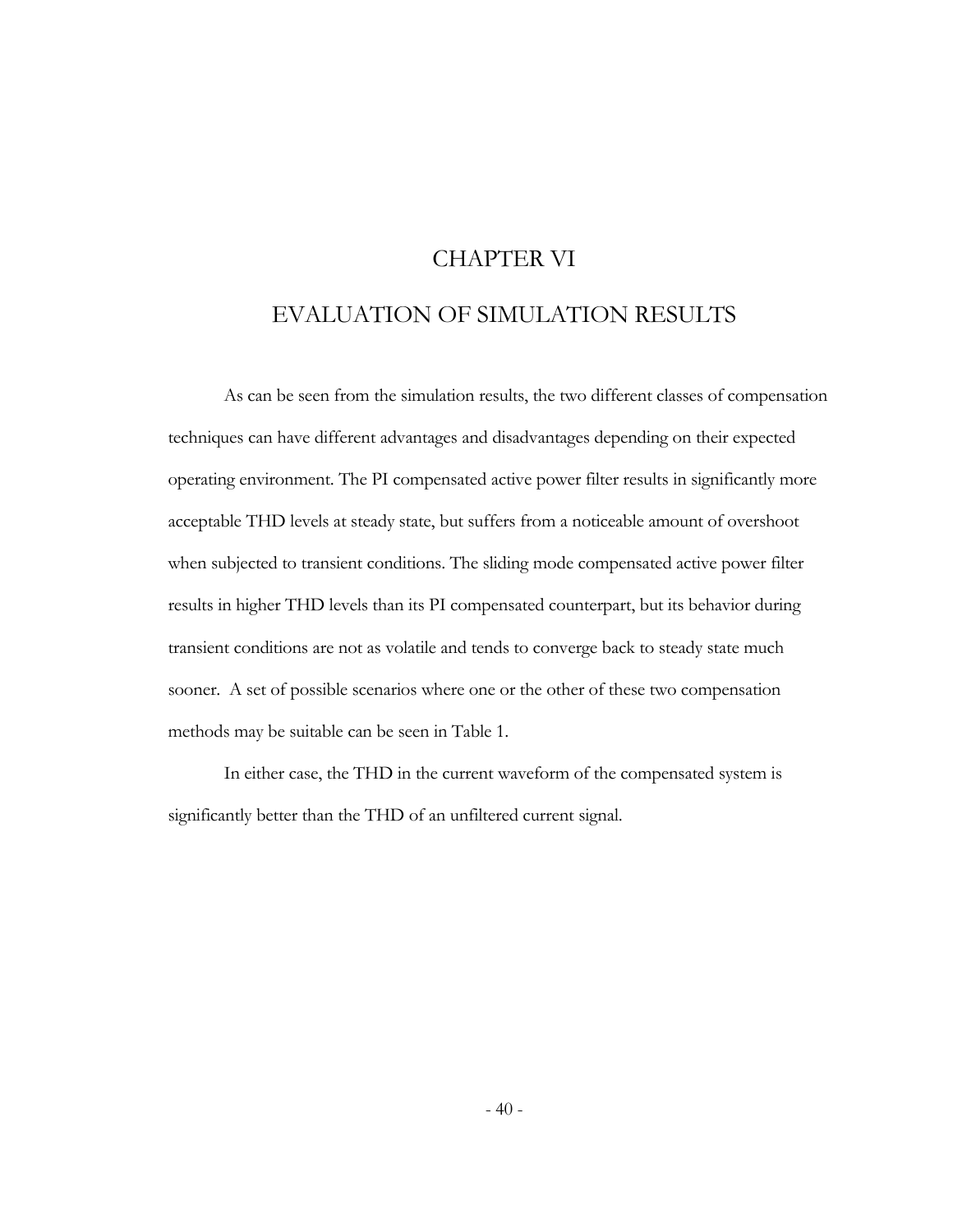# CHAPTER VI

# EVALUATION OF SIMULATION RESULTS

As can be seen from the simulation results, the two different classes of compensation techniques can have different advantages and disadvantages depending on their expected operating environment. The PI compensated active power filter results in significantly more acceptable THD levels at steady state, but suffers from a noticeable amount of overshoot when subjected to transient conditions. The sliding mode compensated active power filter results in higher THD levels than its PI compensated counterpart, but its behavior during transient conditions are not as volatile and tends to converge back to steady state much sooner. A set of possible scenarios where one or the other of these two compensation methods may be suitable can be seen in Table 1.

In either case, the THD in the current waveform of the compensated system is significantly better than the THD of an unfiltered current signal.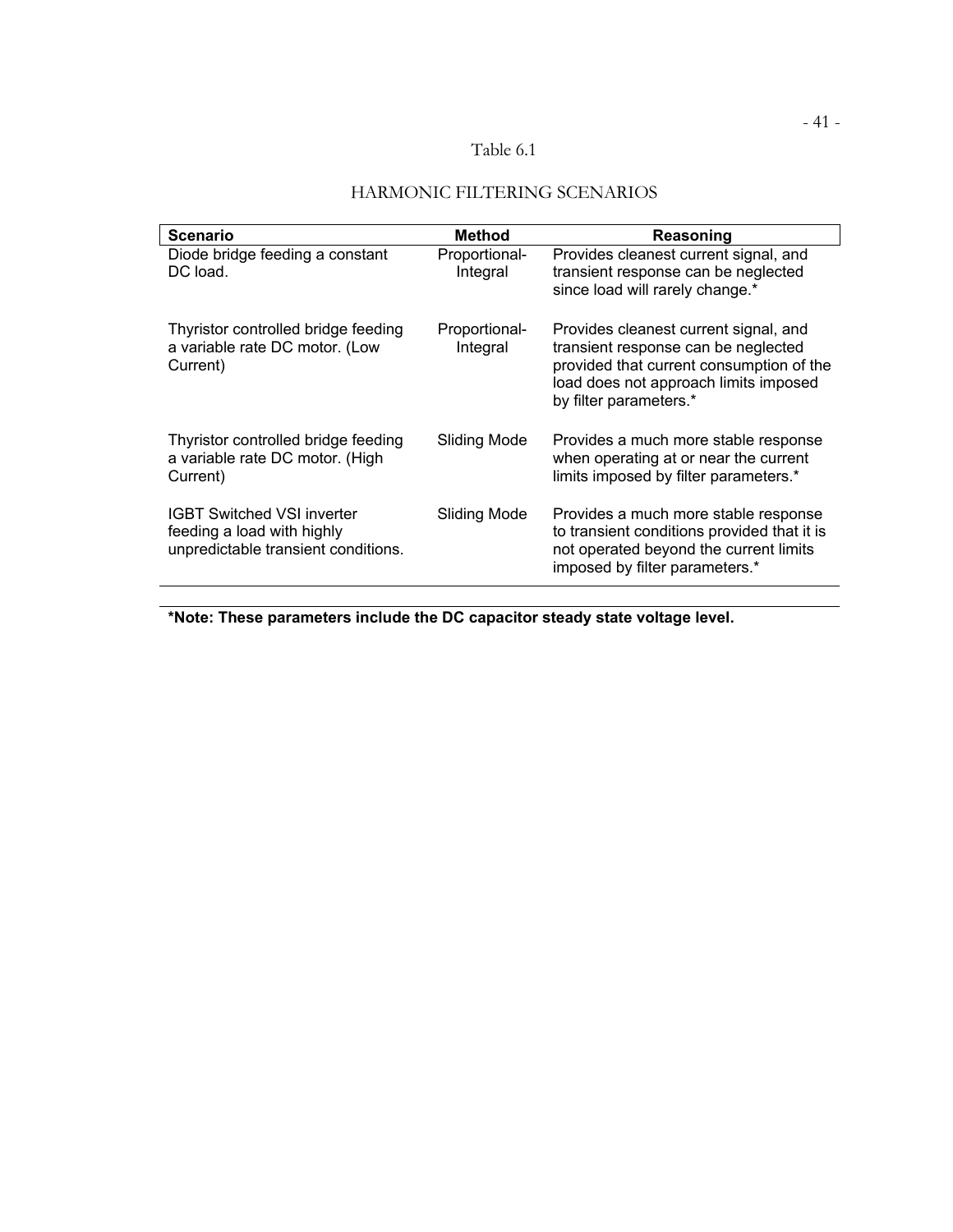### Table 6.1

| <b>Scenario</b>                                                                                        | <b>Method</b>             | Reasoning                                                                                                                                                                                   |  |
|--------------------------------------------------------------------------------------------------------|---------------------------|---------------------------------------------------------------------------------------------------------------------------------------------------------------------------------------------|--|
| Diode bridge feeding a constant<br>DC load.                                                            | Proportional-<br>Integral | Provides cleanest current signal, and<br>transient response can be neglected<br>since load will rarely change.*                                                                             |  |
| Thyristor controlled bridge feeding<br>a variable rate DC motor. (Low<br>Current)                      | Proportional-<br>Integral | Provides cleanest current signal, and<br>transient response can be neglected<br>provided that current consumption of the<br>load does not approach limits imposed<br>by filter parameters.* |  |
| Thyristor controlled bridge feeding<br>a variable rate DC motor. (High<br>Current)                     | Sliding Mode              | Provides a much more stable response<br>when operating at or near the current<br>limits imposed by filter parameters.*                                                                      |  |
| <b>IGBT Switched VSI inverter</b><br>feeding a load with highly<br>unpredictable transient conditions. | Sliding Mode              | Provides a much more stable response<br>to transient conditions provided that it is<br>not operated beyond the current limits<br>imposed by filter parameters.*                             |  |

## HARMONIC FILTERING SCENARIOS

**\*Note: These parameters include the DC capacitor steady state voltage level.**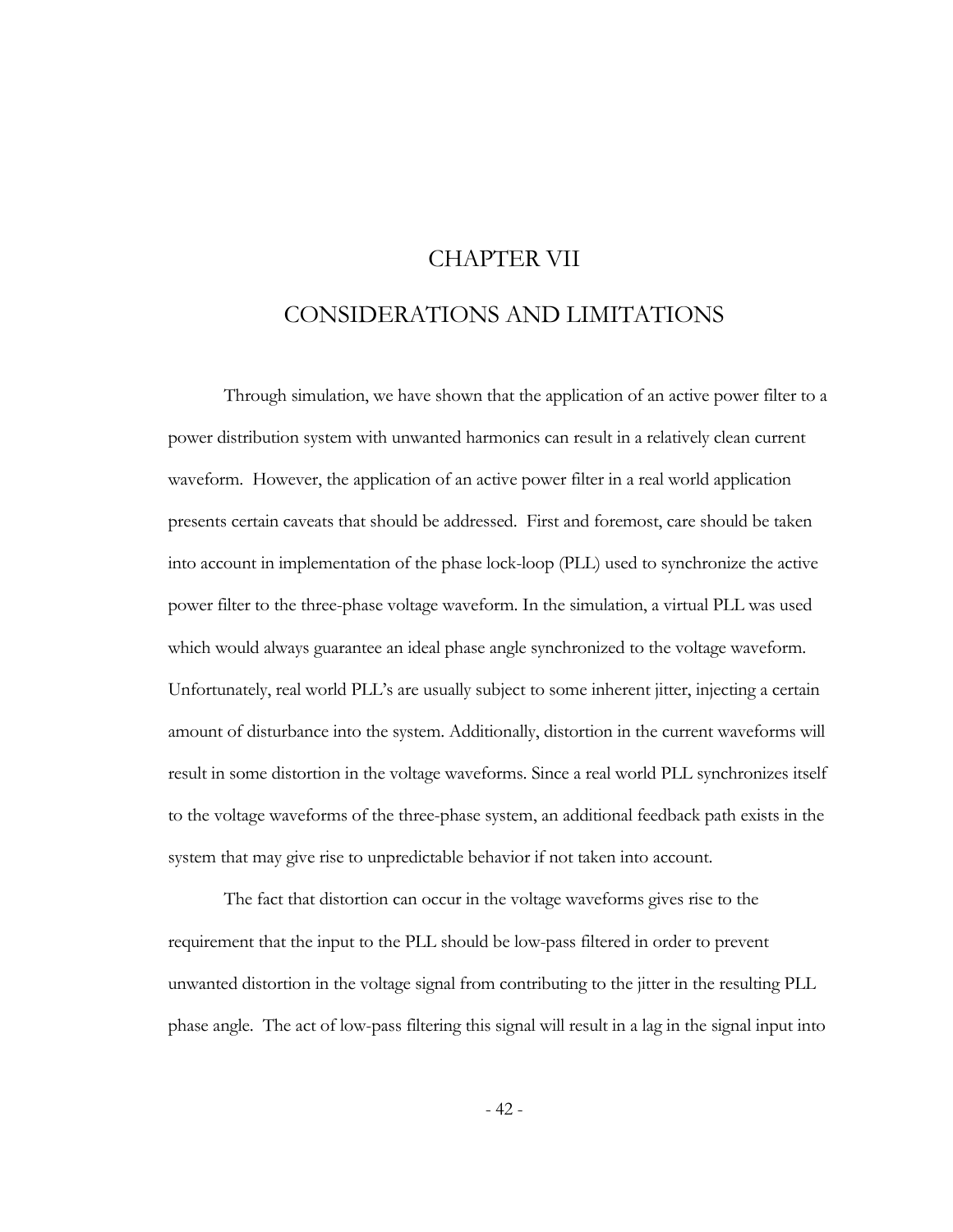# CHAPTER VII

## CONSIDERATIONS AND LIMITATIONS

Through simulation, we have shown that the application of an active power filter to a power distribution system with unwanted harmonics can result in a relatively clean current waveform. However, the application of an active power filter in a real world application presents certain caveats that should be addressed. First and foremost, care should be taken into account in implementation of the phase lock-loop (PLL) used to synchronize the active power filter to the three-phase voltage waveform. In the simulation, a virtual PLL was used which would always guarantee an ideal phase angle synchronized to the voltage waveform. Unfortunately, real world PLL's are usually subject to some inherent jitter, injecting a certain amount of disturbance into the system. Additionally, distortion in the current waveforms will result in some distortion in the voltage waveforms. Since a real world PLL synchronizes itself to the voltage waveforms of the three-phase system, an additional feedback path exists in the system that may give rise to unpredictable behavior if not taken into account.

The fact that distortion can occur in the voltage waveforms gives rise to the requirement that the input to the PLL should be low-pass filtered in order to prevent unwanted distortion in the voltage signal from contributing to the jitter in the resulting PLL phase angle. The act of low-pass filtering this signal will result in a lag in the signal input into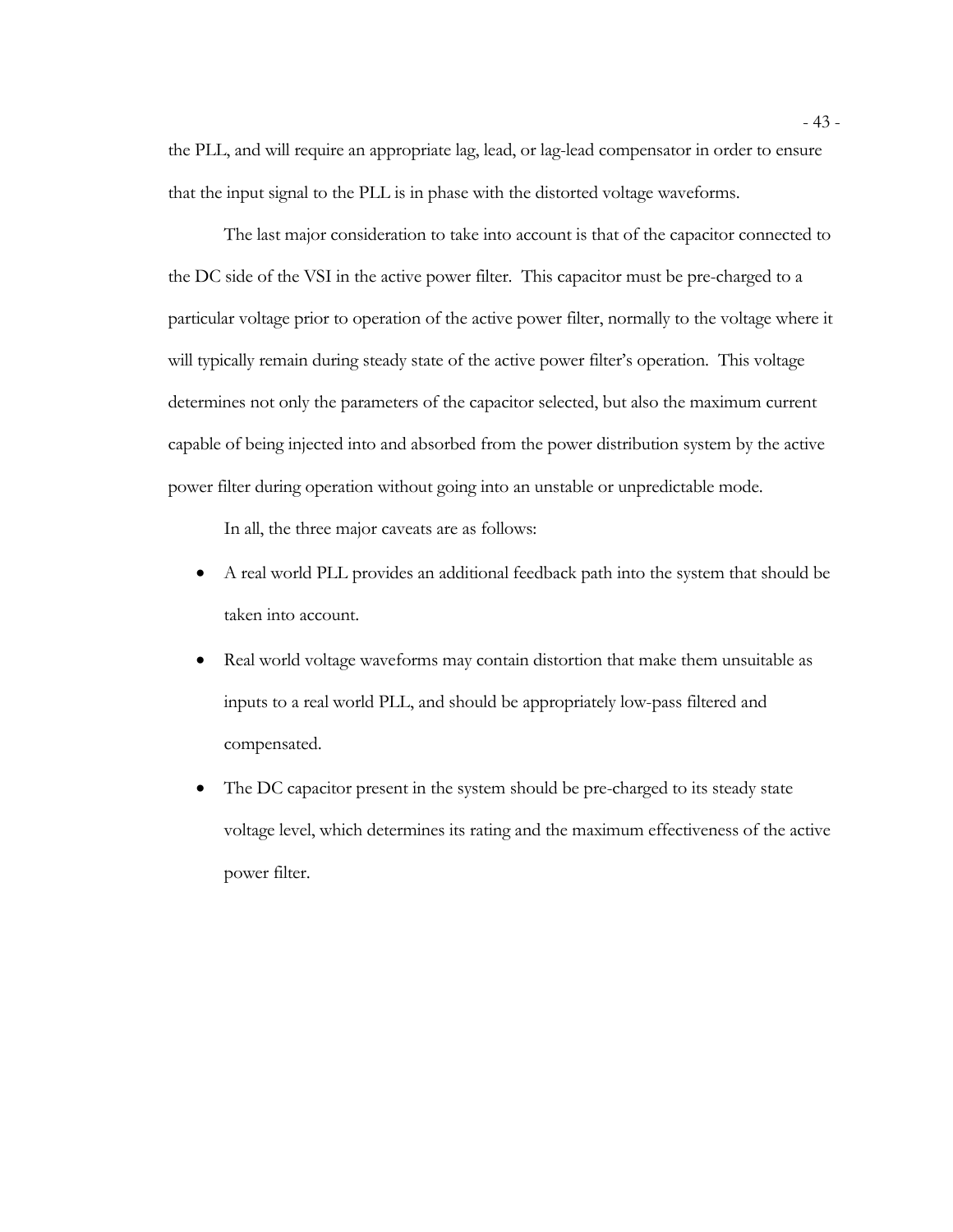the PLL, and will require an appropriate lag, lead, or lag-lead compensator in order to ensure that the input signal to the PLL is in phase with the distorted voltage waveforms.

The last major consideration to take into account is that of the capacitor connected to the DC side of the VSI in the active power filter. This capacitor must be pre-charged to a particular voltage prior to operation of the active power filter, normally to the voltage where it will typically remain during steady state of the active power filter's operation. This voltage determines not only the parameters of the capacitor selected, but also the maximum current capable of being injected into and absorbed from the power distribution system by the active power filter during operation without going into an unstable or unpredictable mode.

In all, the three major caveats are as follows:

- A real world PLL provides an additional feedback path into the system that should be taken into account.
- Real world voltage waveforms may contain distortion that make them unsuitable as inputs to a real world PLL, and should be appropriately low-pass filtered and compensated.
- The DC capacitor present in the system should be pre-charged to its steady state voltage level, which determines its rating and the maximum effectiveness of the active power filter.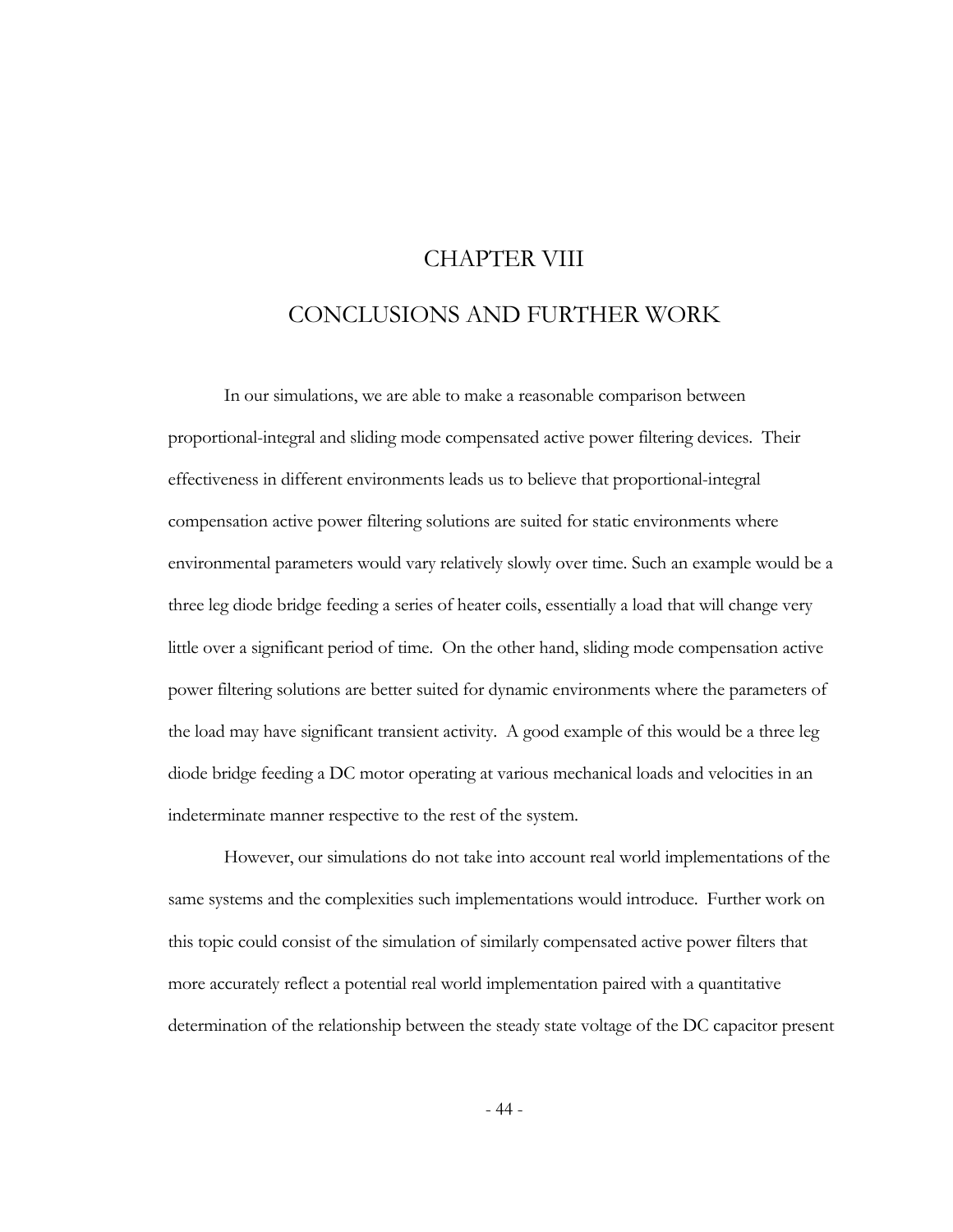# CHAPTER VIII CONCLUSIONS AND FURTHER WORK

In our simulations, we are able to make a reasonable comparison between proportional-integral and sliding mode compensated active power filtering devices. Their effectiveness in different environments leads us to believe that proportional-integral compensation active power filtering solutions are suited for static environments where environmental parameters would vary relatively slowly over time. Such an example would be a three leg diode bridge feeding a series of heater coils, essentially a load that will change very little over a significant period of time. On the other hand, sliding mode compensation active power filtering solutions are better suited for dynamic environments where the parameters of the load may have significant transient activity. A good example of this would be a three leg diode bridge feeding a DC motor operating at various mechanical loads and velocities in an indeterminate manner respective to the rest of the system.

However, our simulations do not take into account real world implementations of the same systems and the complexities such implementations would introduce. Further work on this topic could consist of the simulation of similarly compensated active power filters that more accurately reflect a potential real world implementation paired with a quantitative determination of the relationship between the steady state voltage of the DC capacitor present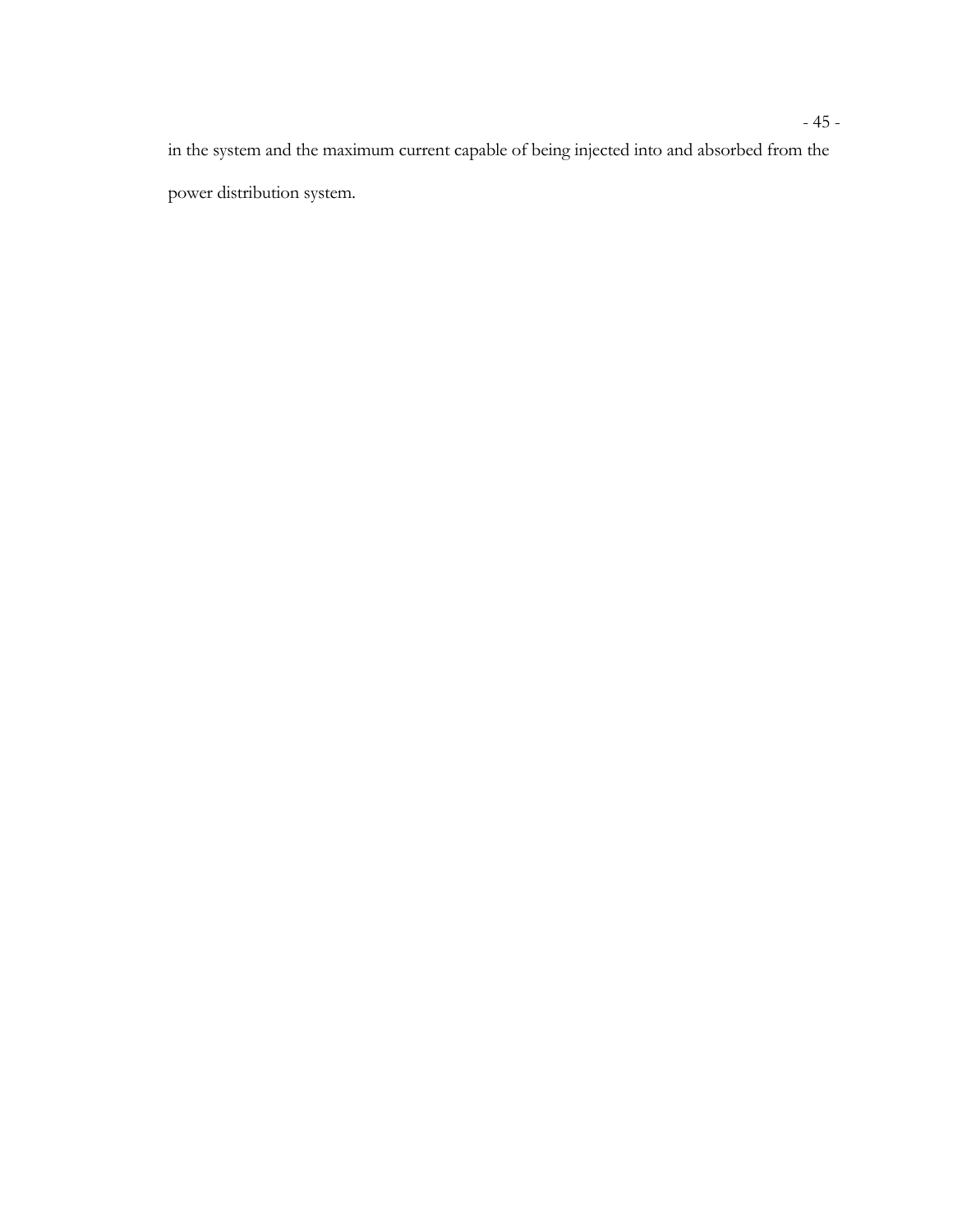in the system and the maximum current capable of being injected into and absorbed from the power distribution system.

# - 45 -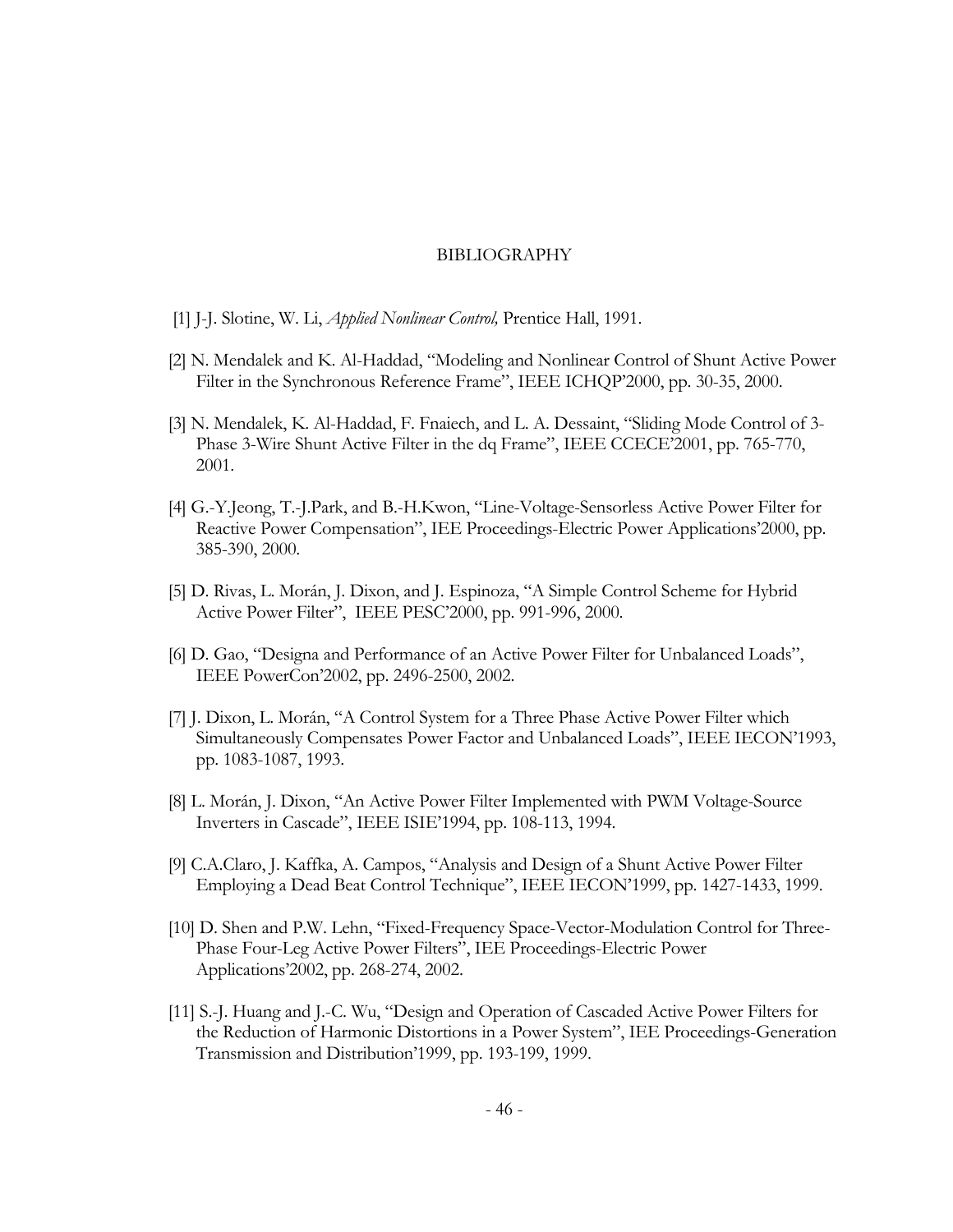#### BIBLIOGRAPHY

- [1] J-J. Slotine, W. Li, *Applied Nonlinear Control,* Prentice Hall, 1991.
- [2] N. Mendalek and K. Al-Haddad, "Modeling and Nonlinear Control of Shunt Active Power Filter in the Synchronous Reference Frame", IEEE ICHQP'2000, pp. 30-35, 2000.
- [3] N. Mendalek, K. Al-Haddad, F. Fnaiech, and L. A. Dessaint, "Sliding Mode Control of 3- Phase 3-Wire Shunt Active Filter in the dq Frame", IEEE CCECE'2001, pp. 765-770, 2001.
- [4] G.-Y.Jeong, T.-J.Park, and B.-H.Kwon, "Line-Voltage-Sensorless Active Power Filter for Reactive Power Compensation", IEE Proceedings-Electric Power Applications'2000, pp. 385-390, 2000.
- [5] D. Rivas, L. Morán, J. Dixon, and J. Espinoza, "A Simple Control Scheme for Hybrid Active Power Filter", IEEE PESC'2000, pp. 991-996, 2000.
- [6] D. Gao, "Designa and Performance of an Active Power Filter for Unbalanced Loads", IEEE PowerCon'2002, pp. 2496-2500, 2002.
- [7] J. Dixon, L. Morán, "A Control System for a Three Phase Active Power Filter which Simultaneously Compensates Power Factor and Unbalanced Loads", IEEE IECON'1993, pp. 1083-1087, 1993.
- [8] L. Morán, J. Dixon, "An Active Power Filter Implemented with PWM Voltage-Source Inverters in Cascade", IEEE ISIE'1994, pp. 108-113, 1994.
- [9] C.A.Claro, J. Kaffka, A. Campos, "Analysis and Design of a Shunt Active Power Filter Employing a Dead Beat Control Technique", IEEE IECON'1999, pp. 1427-1433, 1999.
- [10] D. Shen and P.W. Lehn, "Fixed-Frequency Space-Vector-Modulation Control for Three-Phase Four-Leg Active Power Filters", IEE Proceedings-Electric Power Applications'2002, pp. 268-274, 2002.
- [11] S.-J. Huang and J.-C. Wu, "Design and Operation of Cascaded Active Power Filters for the Reduction of Harmonic Distortions in a Power System", IEE Proceedings-Generation Transmission and Distribution'1999, pp. 193-199, 1999.